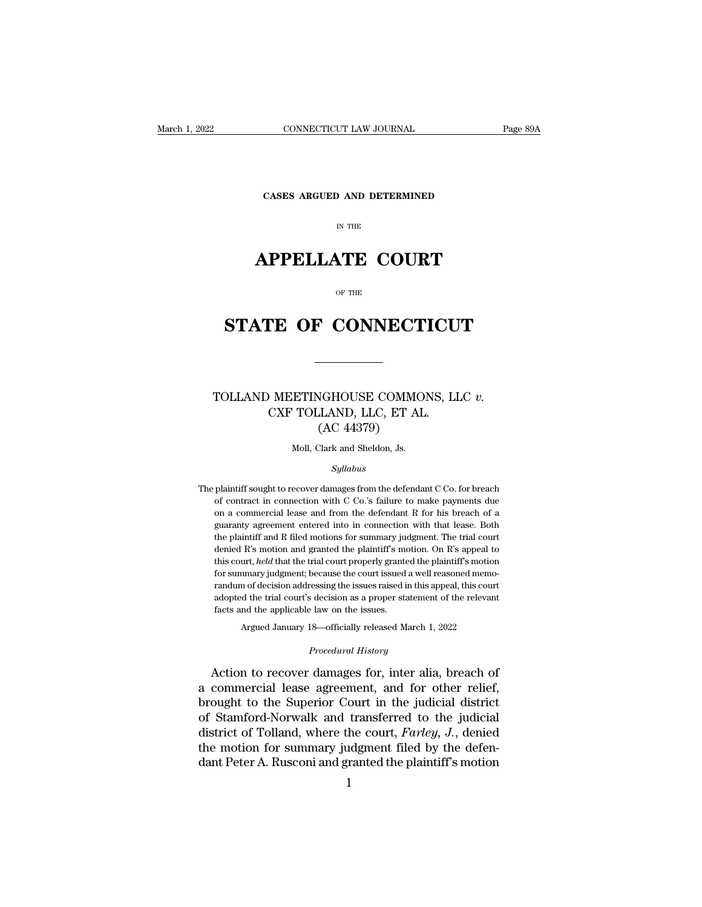**CONNECTICUT LAW JOURNAL**<br>**CASES ARGUED AND DETERMINED** 

# CONNECTICUT LAW JOURNAL<br>
Fage 89A<br>
CASES ARGUED AND DETERMINED<br>
IN THE<br> **APPELLATE COURT**<br>
OF THE

# CASES ARGUED AND DETERMINED<br>
IN THE<br> **STATE OF CONNECTICUT**

### **STATE OF CONNECTICUT**<br>
NOTION MEETINGHOUSE COMMONS, LLC *v.*<br>
CXF TOLLAND, LLC, ET AL. **STATE OF CONNECTICUT**<br>
CLEAND MEETINGHOUSE COMMONS, LLC<br>
CXF TOLLAND, LLC, ET AL.<br>
(AC 44379) NGHOUSE COMMO<br>LAND, LLC, ET AI<br>(AC 44379)<br><sup>Clark</sup> and Sheldon, Js. ETINGHOUSE COMMON<br>
TOLLAND, LLC, ET AL<br>
(AC 44379)<br>
Moll, Clark and Sheldon, Js.<br>
Sullabus

### *Syllabus*

 $\rm (AC~44379)$ <br>Moll, Clark and Sheldon, Js.<br>Syllabus<br>The plaintiff sought to recover damages from the defendant C Co. for breach<br>of contract in connection with C Co.'s failure to make payments due Moll, Clark and Sheldon, Js.<br>Syllabus<br>plaintiff sought to recover damages from the defendant C Co. for breach<br>of contract in connection with C Co.'s failure to make payments due<br>on a commercial lease and from the defendant Moll, Clark and Sheldon, Js.<br>
Syllabus<br>
plaintiff sought to recover damages from the defendant C Co. for breach<br>
of contract in connection with C Co.'s failure to make payments due<br>
on a commercial lease and from the defen  $Syllabus$ <br>plaintiff sought to recover damages from the defendant  $C$  Co. for breach<br>of contract in connection with  $C$  Co.'s failure to make payments due<br>on a commercial lease and from the defendant  $R$  for his breach of a<br>g The plaintiff sought to recover damages from the defendant C Co. for breach of contract in connection with C Co.'s failure to make payments due on a commercial lease and from the defendant R for his breach of a guaranty a plaintiff sought to recover damages from the defendant C Co. for breach of contract in connection with C Co.'s failure to make payments due on a commercial lease and from the defendant R for his breach of a guaranty agreem of contract in connection with C Co.'s failure to make payments due<br>on a commercial lease and from the defendant R for his breach of a<br>guaranty agreement entered into in connection with that lease. Both<br>the plaintiff and R on a commercial lease and from the defendant R for his breach of a guaranty agreement entered into in connection with that lease. Both the plaintiff and R filed motions for summary judgment. The trial court denied R's moti guaranty agreement entered into in connection with that lease. Both<br>the plaintiff and R filed motions for summary judgment. The trial court<br>denied R's motion and granted the plaintiff's motion. On R's appeal to<br>this court, the plaintiff and R filed motions for summary judgment. The trial court<br>denied R's motion and granted the plaintiff's motion. On R's appeal to<br>this court, *held* that the trial court properly granted the plaintiff's motion denied R's motion and granted the plaintiff's methis court, *held* that the trial court properly grante for summary judgment; because the court issued randum of decision addressing the issues raised is adopted the trial co for summary judgment; because the court issued a well reasoned memorandum of decision addressing the issues raised in this appeal, this court adopted the trial court's decision as a proper statement of the relevant facts adopted the trial court's decision as a proper statement of the relevant<br>facts and the applicable law on the issues.<br>Argued January 18—officially released March 1, 2022<br>*Procedural History*<br>Action to recover damages for, i randum of decision addressing the issues raised in this appeal, this court<br>adopted the trial court's decision as a proper statement of the relevant<br>facts and the applicable law on the issues.<br>Argued January 18—officially r

adopted the trial court's decision as a proper statement of the relevant<br>facts and the applicable law on the issues.<br>Argued January 18—officially released March 1, 2022<br>*Procedural History*<br>Action to recover damages for, i facts and the applicable law on the issues.<br>
Argued January 18—officially released March 1, 2022<br>
Procedural History<br>
Action to recover damages for, inter alia, breach of<br>
a commercial lease agreement, and for other relief Argued January 18—officially released March 1, 2022<br>
Procedural History<br>
Action to recover damages for, inter alia, breach of<br>
a commercial lease agreement, and for other relief,<br>
brought to the Superior Court in the judic *Procedural History*<br>Action to recover damages for, inter alia, breach of<br>a commercial lease agreement, and for other relief,<br>brought to the Superior Court in the judicial district<br>of Stamford-Norwalk and transferred to th Action to recover damages for, inter alia, breach of<br>a commercial lease agreement, and for other relief,<br>brought to the Superior Court in the judicial district<br>of Stamford-Norwalk and transferred to the judicial<br>district o Action to recover damages for, inter alia, breach of<br>a commercial lease agreement, and for other relief,<br>brought to the Superior Court in the judicial district<br>of Stamford-Norwalk and transferred to the judicial<br>district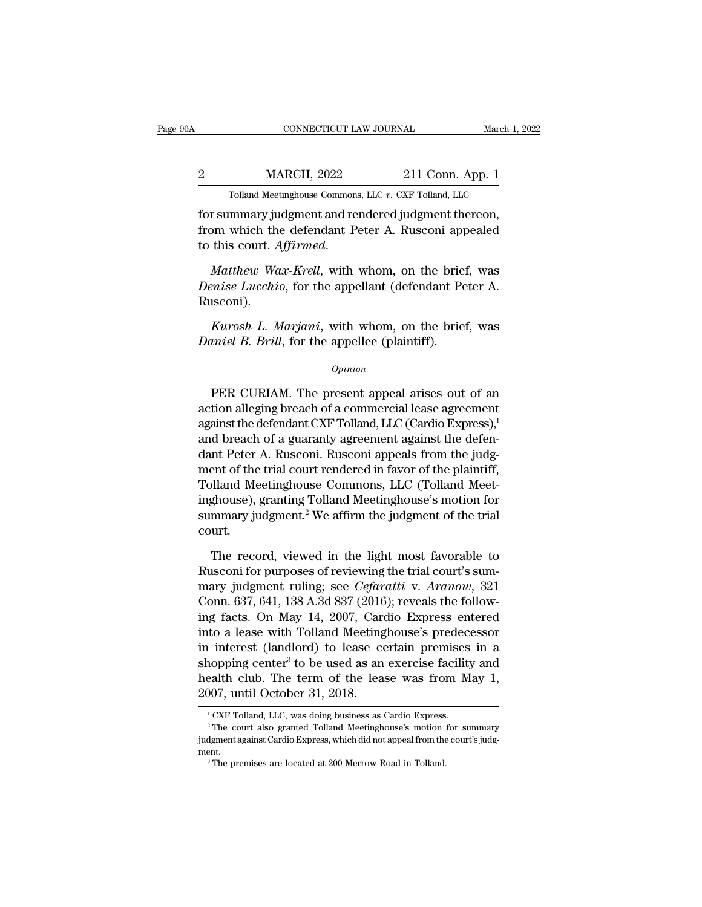EXECUTE CONNECTICUT LAW JOURNAL March 1, 2022<br>22 MARCH, 2022 211 Conn. App. 1<br>211 Conn. App. 1 CONNECTICUT LAW JOURNAL March 1, 2022<br>
211 Conn. App. 1<br>
Tolland Meetinghouse Commons, LLC *v.* CXF Tolland, LLC<br>
for summary judgment and rendered judgment thereon,

FORMECTICUT LAW JOURNAL March 1, 2<br>
2<br>
Tolland Meetinghouse Commons, LLC v. CXF Tolland, LLC<br>
for summary judgment and rendered judgment thereon,<br>
from which the defendant Peter A. Rusconi appealed<br>
to this sourt. Affirmse MARCH, 2022 211 Conn. App. 1<br>
Tolland Meetinghouse Commons, LLC v. CXF Tolland, LLC<br>
for summary judgment and rendered judgment thereon,<br>
from which the defendant Peter A. Rusconi appealed<br>
to this court. *Affirmed*. MARCH, 2022 211 Conn. App. 1<br>
<sup>Tolland Meetinghouse Commons, LLC v. CXF Tolland, LLC</sup><br>
for summary judgment and rendered judgment thereon,<br>
from which the defendant Peter A. Rusconi appealed<br>
to this court. *Affirmed*.<br> *M* 

Tolland Meetinghouse Commons, LLC v. CXF Tolland, LLC<br> **For summary judgment and rendered judgment thereon,**<br> **from which the defendant Peter A. Rusconi appealed**<br> **to this court.** *Affirmed.*<br> *Matthew Wax-Krell*, with wh Rusconi). *Kurosh L. Marjani*, with whom, on the brief, was<br>*Matthew Wax-Krell*, with whom, on the brief, was<br>*Parise Lucchio*, for the appellant (defendant Peter A.<br>Insconi).<br>*Kurosh L. Marjani*, with whom, on the brief, was<br>*Ruros Matthew Wax-Krell*, with whom, on the brie:<br>*Denise Lucchio*, for the appellant (defendant Pe<br>Rusconi).<br>*Kurosh L. Marjani*, with whom, on the brie:<br>*Daniel B. Brill*, for the appellee (plaintiff).<br>*Opinion* 

### *Opinion*

isconi).<br> *Kurosh L. Marjani*, with whom, on the brief, was<br>
iniel B. Brill, for the appellee (plaintiff).<br> *Opinion*<br>
PER CURIAM. The present appeal arises out of an<br>
tion alleging breach of a commercial lease agreement<br> Kurosh L. Marjani, with whom, on the brief, was<br>
Daniel B. Brill, for the appellee (plaintiff).<br>
opinion<br>
PER CURIAM. The present appeal arises out of an<br>
action alleging breach of a commercial lease agreement<br>
against the Farosh E. Indijunt, what whold, on the brief, was<br>Daniel B. Brill, for the appellee (plaintiff).<br> $\frac{opinion}{\text{Prim}}$ <br>PER CURIAM. The present appeal arises out of an<br>action alleging breach of a commercial lease agreement<br>against opinion<br>
DER CURIAM. The present appeal arises out of an<br>
action alleging breach of a commercial lease agreement<br>
against the defendant CXF Tolland, LLC (Cardio Express),<sup>1</sup><br>
and breach of a guaranty agreement against the *Opinion*<br>
PER CURIAM. The present appeal arises out of an<br>
action alleging breach of a commercial lease agreement<br>
against the defendant CXF Tolland, LLC (Cardio Express),<sup>1</sup><br>
and breach of a guaranty agreement against th PER CURIAM. The present appeal arises out of an<br>action alleging breach of a commercial lease agreement<br>against the defendant CXF Tolland, LLC (Cardio Express),<sup>1</sup><br>and breach of a guaranty agreement against the defen-<br>dant PER CURIAM. The present appeal arises out of an action alleging breach of a commercial lease agreement against the defendant CXF Tolland, LLC (Cardio Express),<sup>1</sup> and breach of a guaranty agreement against the defendant P action alleging breach of a commercial lease agreement<br>against the defendant CXF Tolland, LLC (Cardio Express),<sup>1</sup><br>and breach of a guaranty agreement against the defen-<br>dant Peter A. Rusconi. Rusconi appeals from the judgagainst the defendant CXF Tolland, LLC (Cardio Express),<sup>1</sup><br>and breach of a guaranty agreement against the defen-<br>dant Peter A. Rusconi. Rusconi appeals from the judg-<br>ment of the trial court rendered in favor of the plain court. ent of the trial court rendered in favor of the plaintiff,<br>plland Meetinghouse Commons, LLC (Tolland Meet-<br>ghouse), granting Tolland Meetinghouse's motion for<br>mmary judgment.<sup>2</sup> We affirm the judgment of the trial<br>urt.<br>The Tolland Meetinghouse Commons, LLC (Tolland Meetinghouse), granting Tolland Meetinghouse's motion for<br>summary judgment.<sup>2</sup> We affirm the judgment of the trial<br>court.<br>The record, viewed in the light most favorable to<br>Ruscon

inghouse), granting Tolland Meetinghouse's motion for<br>summary judgment.<sup>2</sup> We affirm the judgment of the trial<br>court.<br>The record, viewed in the light most favorable to<br>Rusconi for purposes of reviewing the trial court's su summary judgment.<sup>2</sup> We affirm the judgment of the trial court.<br>
The record, viewed in the light most favorable to<br>
Rusconi for purposes of reviewing the trial court's sum-<br>
mary judgment ruling; see *Cefaratti* v. Aranow, court.<br>
The record, viewed in the light most favorable to<br>
Rusconi for purposes of reviewing the trial court's sum-<br>
mary judgment ruling; see *Cefaratti* v. Aranow, 321<br>
Conn. 637, 641, 138 A.3d 837 (2016); reveals the fo The record, viewed in the light most favorable to<br>Rusconi for purposes of reviewing the trial court's sum-<br>mary judgment ruling; see *Cefaratti* v. Aranow, 321<br>Conn. 637, 641, 138 A.3d 837 (2016); reveals the follow-<br>ing f The record, viewed in the light most favorable to<br>Rusconi for purposes of reviewing the trial court's sum-<br>mary judgment ruling; see *Cefaratti* v. Aranow, 321<br>Conn. 637, 641, 138 A.3d 837 (2016); reveals the follow-<br>ing Rusconi for purposes of reviewing the trial court's sum-<br>mary judgment ruling; see *Cefaratti* v. Aranow, 321<br>Conn. 637, 641, 138 A.3d 837 (2016); reveals the follow-<br>ing facts. On May 14, 2007, Cardio Express entered<br>into mary judgment ruling; see *Cefaratti* v. Aranow, 321<br>Conn. 637, 641, 138 A.3d 837 (2016); reveals the follow-<br>ing facts. On May 14, 2007, Cardio Express entered<br>into a lease with Tolland Meetinghouse's predecessor<br>in inter Conn. 637, 641, 138 A.3d 837 (2016<br>ing facts. On May 14, 2007, Cardinto a lease with Tolland Meeting<br>in interest (landlord) to lease coshopping center<sup>3</sup> to be used as an<br>health club. The term of the lease<br>2007, until Oct in interest (landlord) to lease certain premises in a<br>shopping center<sup>3</sup> to be used as an exercise facility and<br>health club. The term of the lease was from May 1,<br> $2007$ , until October 31, 2018.<br> $^{1}$ CXF Tolland, LLC, was health club. The term of the lease was from May 1,

ment.

<sup>3</sup> The premises are located at 200 Merrow Road in Tolland.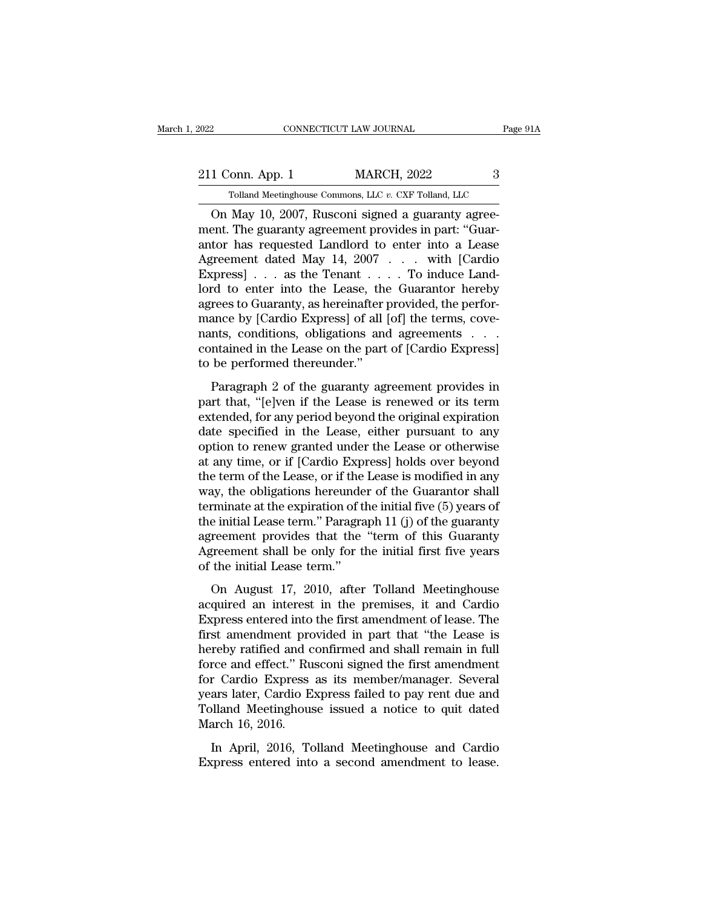2022 CONNECTICUT LAW JOURNAL Page 91A<br>211 Conn. App. 1 MARCH, 2022 3<br>211 Conn. App. 1 MARCH, 2022 3 EXECTICUT LAW JOURNAL Page<br>
Folland Meetinghouse Commons, LLC *v.* CXF Tolland, LLC<br>
May 10 2007 Rusconi signed a guaranty agree-

CONNECTICUT LAW JOURNAL<br>
1 Conn. App. 1 MARCH, 2022 3<br>
Tolland Meetinghouse Commons, LLC v. CXF Tolland, LLC<br>
On May 10, 2007, Rusconi signed a guaranty agree-<br>
ent. The guaranty agreement provides in part: "Guar-<br>
tor has 211 Conn. App. 1 MARCH, 2022 3<br>
Tolland Meetinghouse Commons, LLC v. CXF Tolland, LLC<br>
On May 10, 2007, Rusconi signed a guaranty agreement. The guaranty agreement provides in part: "Guar-<br>
antor has requested Landlord to 211 Conn. App. 1 MARCH, 2022 3<br>
Tolland Meetinghouse Commons, LLC v. CXF Tolland, LLC<br>
On May 10, 2007, Rusconi signed a guaranty agreement. The guaranty agreement provides in part: "Guarantor has requested Landlord to en 211 Conn. App. 1 MARCH, 2022 3<br>
Tolland Meetinghouse Commons, LLC  $v$ . CXF Tolland, LLC<br>
On May 10, 2007, Rusconi signed a guaranty agreement. The guaranty agreement provides in part: "Guarantor has requested Landlord to Tolland Meetinghouse Commons, LLC v. CXF Tolland, LLC<br>
On May 10, 2007, Rusconi signed a guaranty agreement. The guaranty agreement provides in part: "Guarantor has requested Landlord to enter into a Lease<br>
Agreement date Tolland Meetinghouse Commons, LLC v. CXF Tolland, LLC<br>
On May 10, 2007, Rusconi signed a guaranty agree-<br>
ment. The guaranty agreement provides in part: "Guar-<br>
antor has requested Landlord to enter into a Lease<br>
Agreemen On May 10, 2007, Rusconi signed a guaranty agreement. The guaranty agreement provides in part: "Guarantor has requested Landlord to enter into a Lease Agreement dated May 14, 2007 . . . with [Cardio Express] . . . as the T ment. The guaranty agreement provides in part: "Guarantor has requested Landlord to enter into a Lease Agreement dated May 14, 2007 . . . with [Cardio Express] . . . as the Tenant . . . . To induce Landlord to enter into t antor has requested Landlord to enter into a Lease<br>Agreement dated May 14,  $2007 \ldots$  with [Cardio Express] . . . as the Tenant . . . . To induce Landlord to enter into the Lease, the Guarantor hereby<br>agrees to Guaranty, a Agreement dated May 14, 2007  $\ldots$  with [Cardio Express]  $\ldots$  as the Tenant  $\ldots$ . To induce Landlord to enter into the Lease, the Guarantor hereby agrees to Guaranty, as hereinafter provided, the performance by [Cardio Express] . . . as the Tenant . .<br>lord to enter into the Lease, the<br>agrees to Guaranty, as hereinafter p<br>mance by [Cardio Express] of all<br>nants, conditions, obligations and<br>contained in the Lease on the part<br>to be performed rees to Guaranty, as hereinafter provided, the perfor-<br>nees to Guaranty, as hereinafter provided, the perfor-<br>ance by [Cardio Express] of all [of] the terms, cove-<br>nts, conditions, obligations and agreements . . . .<br>ntaine respects to dualitary, as recemanted provided, the period<br>mance by [Cardio Express] of all [of] the terms, cove-<br>nants, conditions, obligations and agreements . . .<br>contained in the Lease on the part of [Cardio Express]<br>to

mants, conditions, obligations and agreements . . . contained in the Lease on the part of [Cardio Express]<br>to be performed thereunder."<br>Paragraph 2 of the guaranty agreement provides in<br>part that, "[e]ven if the Lease is data specified in the Lease on the part of [Cardio Express]<br>to be performed thereunder."<br>Paragraph 2 of the guaranty agreement provides in<br>part that, "[e]ven if the Lease is renewed or its term<br>extended, for any period be Formalista in the Ecase of the part of [calculo Express]<br>to be performed thereunder."<br>Paragraph 2 of the guaranty agreement provides in<br>part that, "[e]ven if the Lease is renewed or its term<br>extended, for any period beyond be be performed distreducts.<br>
Paragraph 2 of the guaranty agreement provides in<br>
part that, "[e]ven if the Lease is renewed or its term<br>
extended, for any period beyond the original expiration<br>
date specified in the Lease, Paragraph 2 of the guaranty agreement provides in<br>part that, "[e]ven if the Lease is renewed or its term<br>extended, for any period beyond the original expiration<br>date specified in the Lease, either pursuant to any<br>option to part that, "[e]ven if the Lease is renewed or its term<br>extended, for any period beyond the original expiration<br>date specified in the Lease, either pursuant to any<br>option to renew granted under the Lease or otherwise<br>at any extended, for any period beyond the original expiration<br>date specified in the Lease, either pursuant to any<br>option to renew granted under the Lease or otherwise<br>at any time, or if [Cardio Express] holds over beyond<br>the ter date specified in the Lease, either pursuant to any<br>option to renew granted under the Lease or otherwise<br>at any time, or if [Cardio Express] holds over beyond<br>the term of the Lease, or if the Lease is modified in any<br>way, option to renew granted under the Lease or otherwise<br>at any time, or if [Cardio Express] holds over beyond<br>the term of the Lease, or if the Lease is modified in any<br>way, the obligations hereunder of the Guarantor shall<br>ter at any time, or if [Cardio Express] holds over beyond<br>the term of the Lease, or if the Lease is modified in any<br>way, the obligations hereunder of the Guarantor shall<br>terminate at the expiration of the initial five (5) year the term of the Lease, or if the<br>way, the obligations hereunde<br>terminate at the expiration of the<br>the initial Lease term.'' Paragra<br>agreement provides that the<br>Agreement shall be only for the<br>of the initial Lease term.''<br>O minate at the expiration of the initial five  $(5)$  years of<br>e initial Lease term." Paragraph 11 (j) of the guaranty<br>reement provides that the "term of this Guaranty<br>greement shall be only for the initial first five years<br> the initial Lease term." Paragraph 11 (j) of the guaranty<br>agreement provides that the "term of this Guaranty<br>Agreement shall be only for the initial first five years<br>of the initial Lease term."<br>On August 17, 2010, after T

Express enter a matches in the "term of this Guaranty<br>agreement shall be only for the initial first five years<br>of the initial Lease term."<br>On August 17, 2010, after Tolland Meetinghouse<br>acquired an interest in the premises Expression provided into the initial first five years<br>of the initial Lease term."<br>On August 17, 2010, after Tolland Meetinghouse<br>acquired an interest in the premises, it and Cardio<br>Express entered into the first amendment hereinful and the only for the middle most live years<br>of the initial Lease term."<br>On August 17, 2010, after Tolland Meetinghouse<br>acquired an interest in the premises, it and Cardio<br>Express entered into the first amendment on August 17, 2010, after Tolland Meetinghouse<br>acquired an interest in the premises, it and Cardio<br>Express entered into the first amendment of lease. The<br>first amendment provided in part that "the Lease is<br>hereby ratified On August 17, 2010, after Tolland Meetinghouse<br>acquired an interest in the premises, it and Cardio<br>Express entered into the first amendment of lease. The<br>first amendment provided in part that "the Lease is<br>hereby ratified acquired an interest in the premises, it and Cardio<br>Express entered into the first amendment of lease. The<br>first amendment provided in part that "the Lease is<br>hereby ratified and confirmed and shall remain in full<br>force an Express entered into the first amendment of lease. The<br>first amendment provided in part that "the Lease is<br>hereby ratified and confirmed and shall remain in full<br>force and effect." Rusconi signed the first amendment<br>for Ca first amendment pro<br>hereby ratified and c<br>force and effect." Ru<br>for Cardio Express<br>years later, Cardio E<br>Tolland Meetinghous<br>March 16, 2016.<br>In April, 2016, To The and effect." Rusconi signed the first amendment<br>
ree and effect." Rusconi signed the first amendment<br>
reardio Express as its member/manager. Several<br>
ars later, Cardio Express failed to pay rent due and<br>
blland Meeting Force and cheea. Traseom afghed are mor americanted<br>for Cardio Express as its member/manager. Several<br>years later, Cardio Express failed to pay rent due and<br>Tolland Meetinghouse issued a notice to quit dated<br>March 16, 2016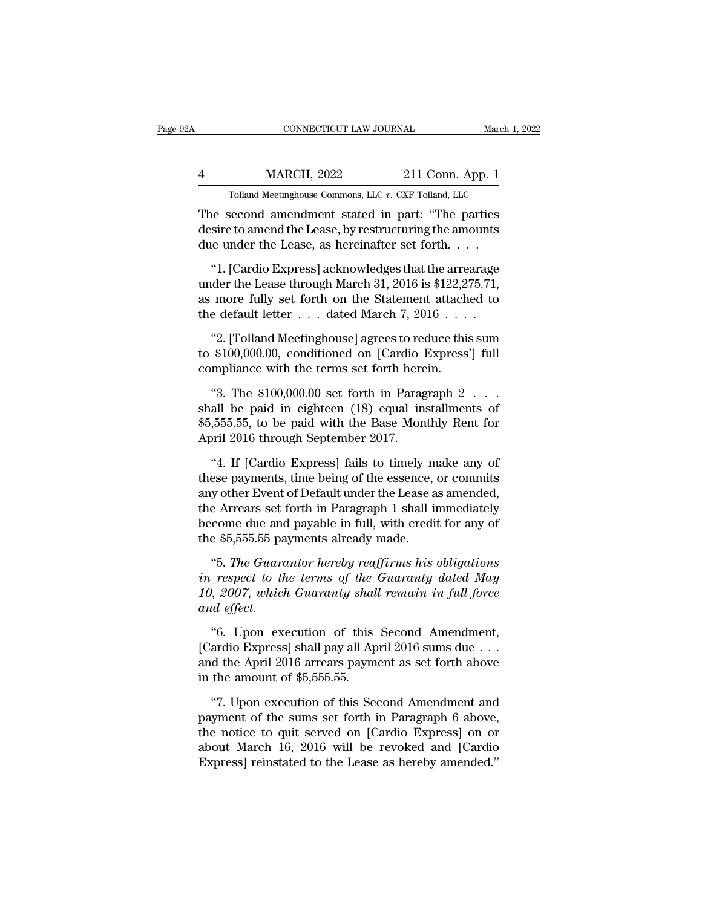| A | CONNECTICUT LAW JOURNAL                               | March 1, 2022      |
|---|-------------------------------------------------------|--------------------|
|   | <b>MARCH, 2022</b>                                    | $211$ Conn. App. 1 |
|   | Tolland Meetinghouse Commons, LLC v. CXF Tolland, LLC |                    |
|   | The second amendment stated in part: "The parties     |                    |

CONNECTICUT LAW JOURNAL March 1, 2022<br>
4 MARCH, 2022 211 Conn. App. 1<br>
Tolland Meetinghouse Commons, LLC v. CXF Tolland, LLC<br>
The second amendment stated in part: "The parties<br>
desire to amend the Lease, by restructuring t MARCH, 2022 211 Conn. App. 1<br>
Tolland Meetinghouse Commons, LLC v. CXF Tolland, LLC<br>
The second amendment stated in part: "The parties<br>
desire to amend the Lease, by restructuring the amounts<br>
due under the Lease, as herei  $\frac{\text{MARCH, 2022}}{\text{Tolland Meeting} \times \text{Commons, LLC } v. \text{ CXF Tolland, LLC}}$ <br>The second amendment stated in part: "The parties desire to amend the Lease, by restructuring the amounts due under the Lease, as hereinafter set forth. . . . . . . . . . . WARCH, 2022 211 CONN. App. 1<br>
Tolland Meetinghouse Commons, LLC  $v$ . CXF Tolland, LLC<br>
i.e. second amendment stated in part: "The parties<br>
sire to amend the Lease, by restructuring the amounts<br>
i.e. under the Lease, as he

Tolland Meetinghouse Commons, LLC  $v$ . CXF Tolland, LLC<br>The second amendment stated in part: "The parties<br>desire to amend the Lease, by restructuring the amounts<br>due under the Lease, as hereinafter set forth....<br>"1. [Card The second amendment stated in part: "The parties<br>desire to amend the Lease, by restructuring the amounts<br>due under the Lease, as hereinafter set forth. . . .<br>"1. [Cardio Express] acknowledges that the arrearage<br>under the The second dimensions stated in part. The particle desire to amend the Lease, by restructuring the amounts due under the Lease, as hereinafter set forth. . . . . "1. [Cardio Express] acknowledges that the arrearage under e under the Lease, as nerematter set rorth. . . . .<br>"1. [Cardio Express] acknowledges that the arrearage<br>der the Lease through March 31, 2016 is \$122,275.71,<br>more fully set forth on the Statement attached to<br>e default lett "1. [Cardio Express] acknowledges that the arrearage<br>under the Lease through March 31, 2016 is \$122,275.71,<br>as more fully set forth on the Statement attached to<br>the default letter . . . dated March 7, 2016 . . . .<br>"2. [To under the Lease through March 31, 2016 is \$122,2?<br>as more fully set forth on the Statement attach<br>the default letter  $\ldots$  dated March 7, 2016  $\ldots$ <br>"2. [Tolland Meetinghouse] agrees to reduce this<br>to \$100,000.00, conditi

more runy set forth on the Statement attached to<br>
e default letter . . . dated March 7, 2016 . . . .<br>
"2. [Tolland Meetinghouse] agrees to reduce this sum<br>  $$100,000.00$ , conditioned on [Cardio Express'] full<br>
mpliance wi

the default letter  $\ldots$  dated march  $t$ , 2010  $\ldots$  .<br>
"2. [Tolland Meetinghouse] agrees to reduce this sum<br>
to \$100,000.00, conditioned on [Cardio Express'] full<br>
compliance with the terms set forth herein.<br>
"3. The \$10 "2. [Tolland Meetinghouse] agrees to reduce this sum<br>to \$100,000.00, conditioned on [Cardio Express'] full<br>compliance with the terms set forth herein.<br>"3. The \$100,000.00 set forth in Paragraph 2 . . .<br>shall be paid in ei to \$100,000.00, conditioned on [Cardio 1<br>compliance with the terms set forth here<br>"3. The \$100,000.00 set forth in Parag<br>shall be paid in eighteen  $(18)$  equal in:<br>\$5,555.55, to be paid with the Base Mon<br>April 2016 throug mpinance with the terms set forth in Paragraph 2...<br>
"3. The \$100,000.00 set forth in Paragraph 2...<br>
all be paid in eighteen  $(18)$  equal installments of<br>
555.55, to be paid with the Base Monthly Rent for<br>
oril 2016 thro (4) "3. The \$100,000.00 set forth in Paragraph 2  $\ldots$  shall be paid in eighteen (18) equal installments of \$5,555.55, to be paid with the Base Monthly Rent for April 2016 through September 2017.<br>(4. If [Cardio Express] f

shall be paid in eighteen  $(18)$  equal installments of<br>\$5,555.55, to be paid with the Base Monthly Rent for<br>April 2016 through September 2017.<br>"4. If [Cardio Express] fails to timely make any of<br>these payments, time being \$5,555.55, to be paid with the Base Monthly Rent for<br>April 2016 through September 2017.<br>"4. If [Cardio Express] fails to timely make any of<br>these payments, time being of the essence, or commits<br>any other Event of Default April 2016 through September 2017.<br>
"4. If [Cardio Express] fails to timely make any of<br>
these payments, time being of the essence, or commits<br>
any other Event of Default under the Lease as amended,<br>
the Arrears set forth "4. If [Cardio Express] fails to timely m<br>these payments, time being of the essence,<br>any other Event of Default under the Lease a<br>the Arrears set forth in Paragraph 1 shall in<br>become due and payable in full, with credit<br>t Example 1.1 **The Guarants** is the essence, or commits<br>
y other Event of Default under the Lease as amended,<br>
e Arrears set forth in Paragraph 1 shall immediately<br>
come due and payable in full, with credit for any of<br>
e \$5, *in respectively increase in the Lease as amended,*<br>the Arrears set forth in Paragraph 1 shall immediately<br>become due and payable in full, with credit for any of<br>the \$5,555.55 payments already made.<br>"5. The Guarantor hereb

*10, 2007*, which Guaranty shall immediately become due and payable in full, with credit for any of the \$5,555.55 payments already made.<br>
"5. The Guarantor hereby reaffirms his obligations in respect to the terms of the Gu decome due and<br>the \$5,555.55 pa<br>"5. *The Guare*<br>in respect to the<br>10, 2007, which<br>and effect.<br>"6. Upon ex e \$0,000.00 payments areaay made.<br>
"5. *The Guarantor hereby reaffirms his obligations*<br> *respect to the terms of the Guaranty dated May*<br>
1, 2007, which Guaranty shall remain in full force<br>
deffect.<br>
"6. Upon execution of "5. The Guarantor hereby reaffirms his obligations<br>in respect to the terms of the Guaranty dated May<br>10, 2007, which Guaranty shall remain in full force<br>and effect.<br>"6. Upon execution of this Second Amendment,<br>[Cardio Exp

in respect to the terms of the Guaranty dated May 10, 2007, which Guaranty shall remain in full force and effect.<br>"6. Upon execution of this Second Amendment, [Cardio Express] shall pay all April 2016 sums due  $\dots$  and th 10, 2007, which Guaranty shal<br>and effect.<br>"6. Upon execution of this<br>[Cardio Express] shall pay all Ap<br>and the April 2016 arrears paym<br>in the amount of \$5,555.55.<br>"7. Upon execution of this Se %. Upon execution of this Second Amendment,<br>
ardio Express] shall pay all April 2016 sums due . . .<br>
d the April 2016 arrears payment as set forth above<br>
the amount of \$5,555.55.<br>
"7. Upon execution of this Second Amendme "6. Upon execution of this Second Amendment,<br>[Cardio Express] shall pay all April 2016 sums due  $\dots$ <br>and the April 2016 arrears payment as set forth above<br>in the amount of \$5,555.55.<br>"7. Upon execution of this Second Amen

[Cardio Express] shall pay all April 2016 sums due  $\ldots$ <br>and the April 2016 arrears payment as set forth above<br>in the amount of \$5,555.55.<br>"7. Upon execution of this Second Amendment and<br>payment of the sums set forth in P and the April 2016 arrears payment as set forth above<br>in the amount of \$5,555.55.<br>"7. Upon execution of this Second Amendment and<br>payment of the sums set forth in Paragraph 6 above,<br>the notice to quit served on [Cardio Exp in the amount of \$5,555.55.<br>"7. Upon execution of this Second Amendment and<br>payment of the sums set forth in Paragraph 6 above,<br>the notice to quit served on [Cardio Express] on or<br>about March 16, 2016 will be revoked and [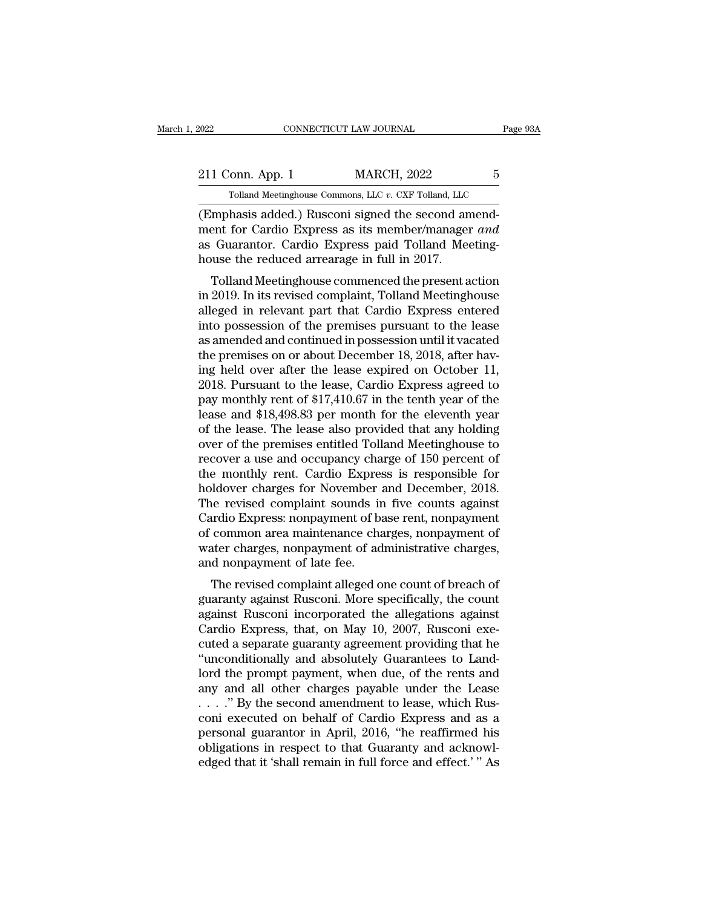| 2022             | CONNECTICUT LAW JOURNAL                               | Page 93A |
|------------------|-------------------------------------------------------|----------|
| 211 Conn. App. 1 | <b>MARCH, 2022</b>                                    | 5        |
|                  | Tolland Meetinghouse Commons, LLC v. CXF Tolland, LLC |          |
|                  | (Emphasis added) Rusconi signed the second amend-     |          |

CONNECTICUT LAW JOURNAL<br>
211 Conn. App. 1 MARCH, 2022 5<br>
211 Conn. App. 1 MARCH, 2022 5<br>
21 Connect of Emphasis added.) Rusconi signed the second amend-<br>
22 Cuprantor Cardio Express as its member/manager and<br>
28 Guerantor 211 Conn. App. 1 MARCH, 2022 5<br>
Tolland Meetinghouse Commons, LLC v. CXF Tolland, LLC<br>
(Emphasis added.) Rusconi signed the second amend-<br>
ment for Cardio Express as its member/manager *and*<br>
as Guarantor. Cardio Express p 211 Conn. App. 1 MARCH, 2022 5<br>
Tolland Meetinghouse Commons, LLC  $v$ . CXF Tolland, LLC<br>
(Emphasis added.) Rusconi signed the second amendment for Cardio Express as its member/manager *and*<br>
as Guarantor. Cardio Express p  $\begin{tabular}{ c c c} \multicolumn{1}{c}{{\bf 211 Conn. App. 1}} & {MARCH, 2022} \\ \hline \hline \multicolumn{1}{c}{{\bf 7olland Meetinghouse Commons, LLC $v$. CXF Tolland, LLC}} \\ \hline \multicolumn{1}{c}{{\bf (Emphasis added.) Rusconi signed the second an} \\ \mbox{ment for Cardio Express as its member/manager} \\ \mbox{as Guardian. Cardio Express paid Tolland Meeu} \\ \hline \end{tabular}$ Tolland Meetinghouse Commons, LLC  $v$ . CXF Tolland, LLC<br>
Imphasis added.) Rusconi signed the second amend-<br>
ent for Cardio Express as its member/manager and<br>
Guarantor. Cardio Express paid Tolland Meeting-<br>
use the reduce (Emphasis added.) Rusconi signed the second amendment for Cardio Express as its member/manager *and* as Guarantor. Cardio Express paid Tolland Meetinghouse the reduced arrearage in full in 2017.<br>Tolland Meetinghouse commen

(Eniphasis added.) Ruscoln signed the second antend-<br>ment for Cardio Express as its member/manager *and*<br>as Guarantor. Cardio Express paid Tolland Meeting-<br>house the reduced arrearage in full in 2017.<br>Tolland Meetinghouse intent for Cardio Express as its intender/hialiager *and*<br>as Guarantor. Cardio Express paid Tolland Meeting-<br>house the reduced arrearage in full in 2017.<br>Tolland Meetinghouse commenced the present action<br>in 2019. In its re as Guarantor. Cartuo Express paid Tonand Meeting-<br>house the reduced arrearage in full in 2017.<br>Tolland Meetinghouse commenced the present action<br>in 2019. In its revised complaint, Tolland Meetinghouse<br>alleged in relevant p Tolland Meetinghouse commenced the present action<br>in 2019. In its revised complaint, Tolland Meetinghouse<br>alleged in relevant part that Cardio Express entered<br>into possession of the premises pursuant to the lease<br>as amende Tolland Meetinghouse commenced the present action<br>in 2019. In its revised complaint, Tolland Meetinghouse<br>alleged in relevant part that Cardio Express entered<br>into possession of the premises pursuant to the lease<br>as amende in 2019. In its revised complaint, Tolland Meetinghouse<br>alleged in relevant part that Cardio Express entered<br>into possession of the premises pursuant to the lease<br>as amended and continued in possession until it vacated<br>the alleged in relevant part that Cardio Express entered<br>into possession of the premises pursuant to the lease<br>as amended and continued in possession until it vacated<br>the premises on or about December 18, 2018, after hav-<br>ing into possession of the premises pursuant to the lease<br>as amended and continued in possession until it vacated<br>the premises on or about December 18, 2018, after hav-<br>ing held over after the lease expired on October 11,<br>2018 as amended and continued in possession until it vacated<br>the premises on or about December 18, 2018, after hav-<br>ing held over after the lease expired on October 11,<br>2018. Pursuant to the lease, Cardio Express agreed to<br>pay the premises on or about December 18, 2018, after having held over after the lease expired on October 11, 2018. Pursuant to the lease, Cardio Express agreed to pay monthly rent of \$17,410.67 in the tenth year of the lease ing held over after the lease expired on October 11,<br>2018. Pursuant to the lease, Cardio Express agreed to<br>pay monthly rent of \$17,410.67 in the tenth year of the<br>lease and \$18,498.83 per month for the eleventh year<br>of the 2018. Pursuant to the lease, Cardio Express agreed to<br>pay monthly rent of \$17,410.67 in the tenth year of the<br>lease and \$18,498.83 per month for the eleventh year<br>of the lease. The lease also provided that any holding<br>over pay monthly rent of \$17,410.67 in the tenth year of the lease and \$18,498.83 per month for the eleventh year of the lease. The lease also provided that any holding over of the premises entitled Tolland Meetinghouse to reco lease and \$18,498.83 per month for the eleventh year<br>of the lease. The lease also provided that any holding<br>over of the premises entitled Tolland Meetinghouse to<br>recover a use and occupancy charge of 150 percent of<br>the mon of the lease. The lease also provided that any holding<br>over of the premises entitled Tolland Meetinghouse to<br>recover a use and occupancy charge of 150 percent of<br>the monthly rent. Cardio Express is responsible for<br>holdover over of the premises entitled Tolland Meetinghouse to<br>recover a use and occupancy charge of 150 percent of<br>the monthly rent. Cardio Express is responsible for<br>holdover charges for November and December, 2018.<br>The revised c recover a use and occupancy charge of 150 percent of<br>the monthly rent. Cardio Express is responsible for<br>holdover charges for November and December, 2018.<br>The revised complaint sounds in five counts against<br>Cardio Express: the monthly rent. Cardio Expres<br>holdover charges for November<br>The revised complaint sounds in<br>Cardio Express: nonpayment of ba<br>of common area maintenance cha<br>water charges, nonpayment of ad<br>and nonpayment of late fee.<br>The nabver charges for November and December, 2018.<br>The revised complaint sounds in five counts against<br>ardio Express: nonpayment of base rent, nonpayment of<br>common area maintenance charges, nonpayment of<br>ater charges, nonpaym The Tevised Complaint sounds in the Counts against<br>Cardio Express: nonpayment of base rent, nonpayment of<br>water charges, nonpayment of administrative charges,<br>and nonpayment of late fee.<br>The revised complaint alleged one c

Cardio Express. holipayment of base fent, holipayment of<br>of common area maintenance charges, nonpayment of<br>water charges, nonpayment of administrative charges,<br>and nonpayment of late fee.<br>The revised complaint alleged one or common area maintenance charges, nonpayment of<br>water charges, nonpayment of administrative charges,<br>and nonpayment of late fee.<br>The revised complaint alleged one count of breach of<br>guaranty against Rusconi. More specifi water charges, nonpayment of administrative charges,<br>and nonpayment of late fee.<br>The revised complaint alleged one count of breach of<br>guaranty against Rusconi .More specifically, the count<br>against Rusconi incorporated the The revised complaint alleged one count of breach of<br>guaranty against Rusconi. More specifically, the count<br>against Rusconi incorporated the allegations against<br>Cardio Express, that, on May 10, 2007, Rusconi exe-<br>cuted a s The revised complaint alleged one count of breach of<br>guaranty against Rusconi. More specifically, the count<br>against Rusconi incorporated the allegations against<br>Cardio Express, that, on May 10, 2007, Rusconi exe-<br>cuted a s guaranty against Rusconi. More specifically, the count<br>against Rusconi incorporated the allegations against<br>Cardio Express, that, on May 10, 2007, Rusconi exe-<br>cuted a separate guaranty agreement providing that he<br>"uncondi against Rusconi incorporated the allegations against<br>Cardio Express, that, on May 10, 2007, Rusconi executed a separate guaranty agreement providing that he<br>"unconditionally and absolutely Guarantees to Land-<br>lord the prom Cardio Express, that, on May 10, 2007, Rusconi executed a separate guaranty agreement providing that he<br>"unconditionally and absolutely Guarantees to Land-<br>lord the prompt payment, when due, of the rents and<br>any and all o cuted a separate guaranty agreement providing that he<br>
"unconditionally and absolutely Guarantees to Land-<br>
lord the prompt payment, when due, of the rents and<br>
any and all other charges payable under the Lease<br>
. . . . " "unconditionally and absolutely Guarantees to Land-<br>lord the prompt payment, when due, of the rents and<br>any and all other charges payable under the Lease<br> $\ldots$ ." By the second amendment to lease, which Rus-<br>coni executed lord the prompt payment, when due, of the rents and<br>any and all other charges payable under the Lease<br> $\ldots$ .'' By the second amendment to lease, which Rus-<br>coni executed on behalf of Cardio Express and as a<br>personal guara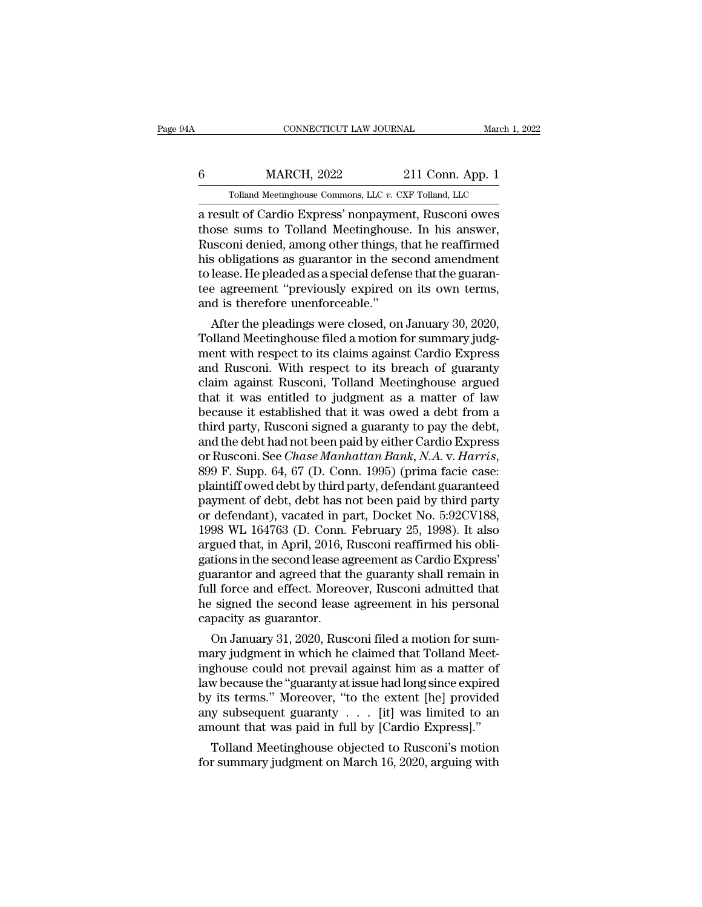## EXECUTE CONNECTICUT LAW JOURNAL March 1, 2022<br>
6 MARCH, 2022 211 Conn. App. 1<br>
Tolland Meetinghouse Commons, LLC v. CXF Tolland, LLC  $\begin{tabular}{ c c c} CONNECTICUT LAW JOURNAL & March 1, 2 \ \hline \textbf{MARCH, 2022} & 211 \ \textbf{Conn. App. 1} \ \hline \textbf{Tolland Meetinghouse Commons, LLC $v$. CXF Tolland, LLC} \end{tabular}$

CONNECTICUT LAW JOURNAL March 1, 2022<br> **a** result of Cardio Express' nonpayment, Rusconi owes<br>
those sums to Tolland Meetinghouse. In his answer,<br>
Pusconi dopied among other things that he reaffirmed  $\frac{6}{100}$  MARCH, 2022 211 Conn. App. 1<br>
Tolland Meetinghouse Commons, LLC v. CXF Tolland, LLC<br>
a result of Cardio Express' nonpayment, Rusconi owes<br>
those sums to Tolland Meetinghouse. In his answer,<br>
Rusconi denied, am  $\begin{tabular}{ c c c c} \multicolumn{1}{c}{{\small \textbf{MARCH, 2022}}} & \multicolumn{1}{c}{{\small \textbf{211 Conn. App. 1}}}\\ \hline \multicolumn{1}{c}{{\small \textbf{Tolland Meetinghouse Commons, LLC $v. CXF Tolland, LLC}}}\\ \multicolumn{1}{c}{{\small \textbf{a result of Cardio Express' nonpayment, Russian owes}}}\\ \multicolumn{1}{c}{{\small \textbf{those sums to Tolland Meetinghouse. In his answer, Russian denied, among other things, that he reaffirmed his obligations as guarantee in the second amendment} \\ \multicolumn{1}{c}{{\small \textbf{his obligations as guarantee in the second amendment}}}\\ \multicolumn{$  $\begin{tabular}{ c c c c} \multicolumn{1}{c}{{\small \textbf{MARCH, 2022}}} & \multicolumn{1}{c}{{\small \textbf{211 Conn. App. 1}}}\\ \hline \multicolumn{1}{c}{{\small \textbf{Tolland Meetinghouse Commons, LLC $v. CXF Tolland, LLC}} }\\ \hline \multicolumn{1}{c}{{\small \textbf{a result of Cardio Express' nonpayment, Rusconi owes}} }\\ \hline \multicolumn{1}{c}{{\small \textbf{those sums to Tolland Metinghouse. In his answer, Rusconi denied, among other things, that he reaffirmed his obligations as guarantee in the second amendment to lease. He pleased as a special defense that the guarantee of the data, and the data are generated by the model.} \$ Tolland Meetinghouse Commons, LLC  $v$ . CXF Tolland, LLC<br>a result of Cardio Express' nonpayment, Rusconi owes<br>those sums to Tolland Meetinghouse. In his answer,<br>Rusconi denied, among other things, that he reaffirmed<br>his ob Tolland Meetinghouse Commons, LLC  $v$ . CXF Tolland, LLC<br>a result of Cardio Express' nonpayment, Rusconi owes<br>those sums to Tolland Meetinghouse. In his answer,<br>Rusconi denied, among other things, that he reaffirmed<br>his ob a result of Cardio Express' nonpayme<br>those sums to Tolland Meetinghous<br>Rusconi denied, among other things, t<br>his obligations as guarantor in the se<br>to lease. He pleaded as a special defens<br>tee agreement "previously expired ose sums to Tonand Meetinghouse. In his answer,<br>isconi denied, among other things, that he reaffirmed<br>is obligations as guarantor in the second amendment<br>lease. He pleaded as a special defense that the guaran-<br>e agreement Rusconi denied, among other things, that he realifyinds<br>his obligations as guarantor in the second amendment<br>to lease. He pleaded as a special defense that the guaran-<br>tee agreement "previously expired on its own terms,<br>an

ms obigations as guarantor in the second amendment<br>to lease. He pleaded as a special defense that the guaran-<br>tee agreement "previously expired on its own terms,<br>and is therefore unenforceable."<br>After the pleadings were cl to lease. He pleaded as a special defense that the guarantee<br>agreement "previously expired on its own terms,<br>and is therefore unenforceable."<br>After the pleadings were closed, on January 30, 2020,<br>Tolland Meetinghouse filed tee agreement previously expired on its own terms,<br>and is therefore unenforceable."<br>After the pleadings were closed, on January 30, 2020,<br>Tolland Meetinghouse filed a motion for summary judg-<br>ment with respect to its claim and is therefore unenforceable.<br>
After the pleadings were closed, on January 30, 2020,<br>
Tolland Meetinghouse filed a motion for summary judgment with respect to its claims against Cardio Express<br>
and Rusconi. With respect After the pleadings were closed, on January 30, 2020,<br>Tolland Meetinghouse filed a motion for summary judg-<br>ment with respect to its claims against Cardio Express<br>and Rusconi. With respect to its breach of guaranty<br>claim a Tolland Meetinghouse filed a motion for summary judgment with respect to its claims against Cardio Express<br>and Rusconi. With respect to its breach of guaranty<br>claim against Rusconi, Tolland Meetinghouse argued<br>that it was ment with respect to its claims against Cardio Express<br>and Rusconi. With respect to its breach of guaranty<br>claim against Rusconi, Tolland Meetinghouse argued<br>that it was entitled to judgment as a matter of law<br>because it e and Rusconi. With respect to its breach of guaranty<br>claim against Rusconi, Tolland Meetinghouse argued<br>that it was entitled to judgment as a matter of law<br>because it established that it was owed a debt from a<br>third party, that it was entitled to judgment as a matter of law<br>because it established that it was owed a debt from a<br>third party, Rusconi signed a guaranty to pay the debt,<br>and the debt had not been paid by either Cardio Express<br>or R because it established that it was owed a debt from a<br>third party, Rusconi signed a guaranty to pay the debt,<br>and the debt had not been paid by either Cardio Express<br>or Rusconi. See *Chase Manhattan Bank*, *N.A.* v. *Harri* third party, Rusconi signed a guaranty to pay the debt,<br>and the debt had not been paid by either Cardio Express<br>or Rusconi. See *Chase Manhattan Bank*, *N.A.* v. *Harris*,<br>899 F. Supp. 64, 67 (D. Conn. 1995) (prima facie c and the debt had not been paid by either Cardio Express<br>or Rusconi. See *Chase Manhattan Bank*, *N.A.* v. *Harris*,<br>899 F. Supp. 64, 67 (D. Conn. 1995) (prima facie case:<br>plaintiff owed debt by third party, defendant guara or Rusconi. See *Chase Manhattan Bank*, *N.A.* v. *Harris*, 899 F. Supp. 64, 67 (D. Conn. 1995) (prima facie case: plaintiff owed debt by third party, defendant guaranteed payment of debt, debt has not been paid by third p 899 F. Supp. 64, 67 (D. Conn. 1995) (prima facie case:<br>plaintiff owed debt by third party, defendant guaranteed<br>payment of debt, debt has not been paid by third party<br>or defendant), vacated in part, Docket No. 5:92CV188,<br>1 plaintiff owed debt by third party, defendant guaranteed<br>payment of debt, debt has not been paid by third party<br>or defendant), vacated in part, Docket No. 5:92CV188,<br>1998 WL 164763 (D. Conn. February 25, 1998). It also<br>arg payment of debt, debt has not been paid by third party<br>or defendant), vacated in part, Docket No. 5:92CV188,<br>1998 WL 164763 (D. Conn. February 25, 1998). It also<br>argued that, in April, 2016, Rusconi reaffirmed his obli-<br>ga or defendant), vacated in part, Docket No. 5:92CV188,<br>1998 WL 164763 (D. Conn. February 25, 1998). It also<br>argued that, in April, 2016, Rusconi reaffirmed his obli-<br>gations in the second lease agreement as Cardio Express'<br> 1998 WL 164763 (D. Conn.<br>argued that, in April, 2016, l<br>gations in the second lease a<sub>{</sub><br>guarantor and agreed that t<br>full force and effect. Morec<br>he signed the second lease<br>capacity as guarantor.<br>On January 31, 2020, Ruse gued that, in April, 2016, Rusconi reamrimed his obilitions in the second lease agreement as Cardio Express'<br>arantor and agreed that the guaranty shall remain in<br>Il force and effect. Moreover, Rusconi admitted that<br>signed gations in the second lease agreement as Cardio Express<br>guarantor and agreed that the guaranty shall remain in<br>full force and effect. Moreover, Rusconi admitted that<br>he signed the second lease agreement in his personal<br>cap

guarantor and agreed that the guaranty shall remain in<br>full force and effect. Moreover, Rusconi admitted that<br>he signed the second lease agreement in his personal<br>capacity as guarantor.<br>On January 31, 2020, Rusconi filed a run force and effect. Moreover, Kusconi admitted that<br>he signed the second lease agreement in his personal<br>capacity as guarantor.<br>On January 31, 2020, Rusconi filed a motion for sum-<br>mary judgment in which he claimed that he signed the second lease agreement in his personal<br>capacity as guarantor.<br>On January 31, 2020, Rusconi filed a motion for sum-<br>mary judgment in which he claimed that Tolland Meet-<br>inghouse could not prevail against him a capacity as guarantor.<br>
On January 31, 2020, Rusconi filed a motion for summary judgment in which he claimed that Tolland Meet-<br>
inghouse could not prevail against him as a matter of<br>
law because the "guaranty at issue ha On January 31, 2020, Rusconi filed a motion for summary judgment in which he claimed that Tolland Meetinghouse could not prevail against him as a matter of law because the "guaranty at issue had long since expired by its t ary judgment in which ne claimed that Tolland Meet-<br>ghouse could not prevail against him as a matter of<br>w because the "guaranty at issue had long since expired<br>its terms." Moreover, "to the extent [he] provided<br>y subsequen mgnouse could not prevall against nim as a matter of<br>law because the "guaranty at issue had long since expired<br>by its terms." Moreover, "to the extent [he] provided<br>any subsequent guaranty . . . [it] was limited to an<br>amou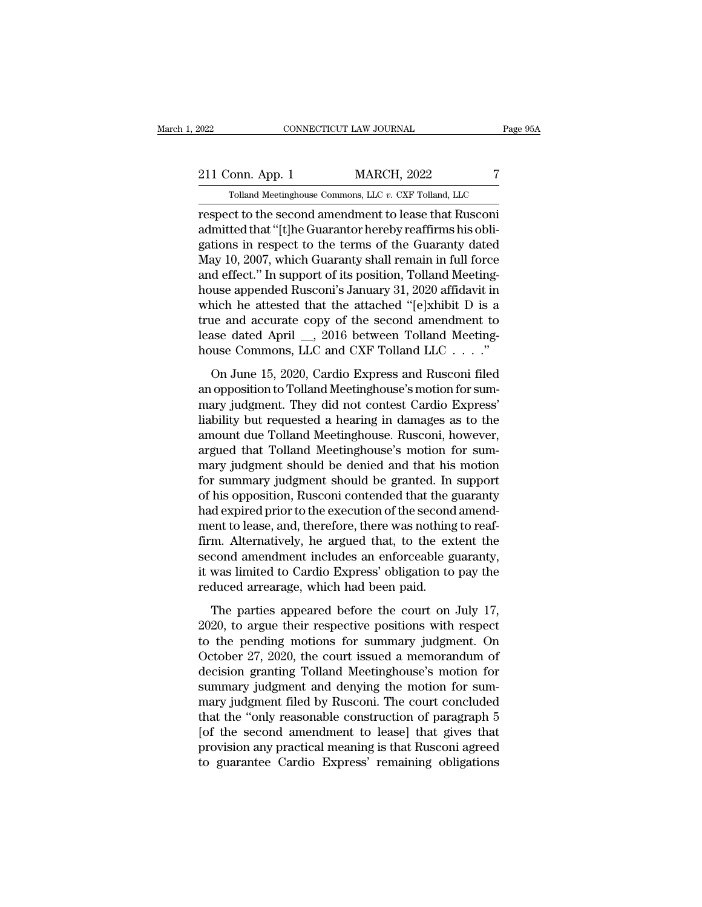2022 CONNECTICUT LAW JOURNAL Page 95A<br>211 Conn. App. 1 MARCH, 2022 7<br>211 Conn. App. 1 MARCH, 2022 7 CONNECTICUT LAW JOURNAL Page<br>
Folland Meetinghouse Commons, LLC *v.* CXF Tolland, LLC<br>
Tolland Meetinghouse Commons, LLC *v.* CXF Tolland, LLC<br>
Ct to the second amendment to lease that Rusconi

respect to the second amendment to lease that Rusconia<br>
respect to the second amendment to lease that Rusconia<br>
respect to the second amendment to lease that Rusconia<br>
respect to the second amendment to lease that Rusconia 211 Conn. App. 1 MARCH, 2022 7<br>
Tolland Meetinghouse Commons, LLC v. CXF Tolland, LLC<br>
respect to the second amendment to lease that Rusconi<br>
admitted that "[t]he Guarantor hereby reaffirms his obli-<br>
gations in respect to 211 Conn. App. 1 MARCH, 2022 7<br>
Tolland Meetinghouse Commons, LLC  $v$ . CXF Tolland, LLC<br>
respect to the second amendment to lease that Rusconi<br>
admitted that "[t]he Guarantor hereby reaffirms his obligations in respect to 211 Conn. App. 1 MARCH, 2022 7<br>
Tolland Meetinghouse Commons, LLC v. CXF Tolland, LLC<br>
respect to the second amendment to lease that Rusconi<br>
admitted that "[t]he Guarantor hereby reaffirms his obli-<br>
gations in respect to Tolland Meetinghouse Commons, LLC  $v$ . CXF Tolland, LLC<br>
respect to the second amendment to lease that Rusconi<br>
admitted that "[t]he Guarantor hereby reaffirms his obli-<br>
gations in respect to the terms of the Guaranty da Fouard Meetinghouse Commons, LEC v. CAF Fouard, LEC<br>respect to the second amendment to lease that Rusconi<br>admitted that "[t]he Guarantor hereby reaffirms his obli-<br>gations in respect to the terms of the Guaranty dated<br>May respect to the second amendment to lease that Rusconi<br>admitted that "[t]he Guarantor hereby reaffirms his obli-<br>gations in respect to the terms of the Guaranty dated<br>May 10, 2007, which Guaranty shall remain in full force<br> admitted that "[t]he Guarantor hereby reaffirms his obligations in respect to the terms of the Guaranty dated<br>May 10, 2007, which Guaranty shall remain in full force<br>and effect." In support of its position, Tolland Meeting gations in respect to the terms of the Guaranty dated May 10, 2007, which Guaranty shall remain in full force and effect." In support of its position, Tolland Meeting-house appended Rusconi's January 31, 2020 affidavit in May 10, 2007, which Guaranty shall remain in full force<br>and effect." In support of its position, Tolland Meeting-<br>house appended Rusconi's January 31, 2020 affidavit in<br>which he attested that the attached "[e]xhibit D is The Latter Constraints of the attached "[e]xhibit D is a<br>nich he attested that the attached "[e]xhibit D is a<br>ne and accurate copy of the second amendment to<br>ase dated April \_\_, 2016 between Tolland Meeting-<br>use Commons, L and a carrier and the attached "[e]xhibit D is a<br>true and accurate copy of the second amendment to<br>lease dated April \_, 2016 between Tolland Meeting-<br>house Commons, LLC and CXF Tolland LLC . . . ."<br>On June 15, 2020, Cardio

mark and accurate copy of the second amendment to<br>lease dated April \_\_, 2016 between Tolland Meeting-<br>house Commons, LLC and CXF Tolland LLC . . . ."<br>On June 15, 2020, Cardio Express and Rusconi filed<br>an opposition to Toll lease dated April  $\_\_$ , 2016 between Tolland Meeting-<br>house Commons, LLC and CXF Tolland LLC  $\.\_$ ..."<br>On June 15, 2020, Cardio Express and Rusconi filed<br>an opposition to Tolland Meetinghouse's motion for sum-<br>mary judgm house Commons, LLC and CXF Tolland LLC  $\ldots$ ."<br>
On June 15, 2020, Cardio Express and Rusconi filed<br>
an opposition to Tolland Meetinghouse's motion for sum-<br>
mary judgment. They did not contest Cardio Express'<br>
liability b On June 15, 2020, Cardio Express and Rusconi filed<br>an opposition to Tolland Meetinghouse's motion for sum-<br>mary judgment. They did not contest Cardio Express'<br>liability but requested a hearing in damages as to the<br>amount d On June 15, 2020, Cardio Express and Rusconi filed<br>an opposition to Tolland Meetinghouse's motion for sum-<br>mary judgment. They did not contest Cardio Express'<br>liability but requested a hearing in damages as to the<br>amount d an opposition to Tolland Meetinghouse's motion for sum-<br>mary judgment. They did not contest Cardio Express'<br>liability but requested a hearing in damages as to the<br>amount due Tolland Meetinghouse. Rusconi, however,<br>argued t mary judgment. They did not contest Cardio Express'<br>liability but requested a hearing in damages as to the<br>amount due Tolland Meetinghouse. Rusconi, however,<br>argued that Tolland Meetinghouse's motion for sum-<br>mary judgment liability but requested a hearing in damages as to the<br>amount due Tolland Meetinghouse. Rusconi, however,<br>argued that Tolland Meetinghouse's motion for sum-<br>mary judgment should be granted. In support<br>of his opposition, Ru amount due Tolland Meetinghouse. Rusconi, however,<br>argued that Tolland Meetinghouse's motion for sum-<br>mary judgment should be denied and that his motion<br>for summary judgment should be granted. In support<br>of his opposition, argued that Tolland Meetinghouse's motion for sum-<br>mary judgment should be denied and that his motion<br>for summary judgment should be granted. In support<br>of his opposition, Rusconi contended that the guaranty<br>had expired pr mary judgment should be denied and that his motion<br>for summary judgment should be granted. In support<br>of his opposition, Rusconi contended that the guaranty<br>had expired prior to the execution of the second amend-<br>ment to l for summary judgment should be granted. In support<br>of his opposition, Rusconi contended that the guaranty<br>had expired prior to the execution of the second amend-<br>ment to lease, and, therefore, there was nothing to reaf-<br>fi of his opposition, Rusconi contended that the g<br>had expired prior to the execution of the second<br>ment to lease, and, therefore, there was nothing<br>firm. Alternatively, he argued that, to the ex<br>second amendment includes an ent to lease, and, therefore, there was nothing to reaf-<br>m. Alternatively, he argued that, to the extent the<br>cond amendment includes an enforceable guaranty,<br>was limited to Cardio Express' obligation to pay the<br>duced arrea firm. Alternatively, he argued that, to the extent the second amendment includes an enforceable guaranty, it was limited to Cardio Express' obligation to pay the reduced arrearage, which had been paid.<br>The parties appeare

second amendment includes an enforceable guaranty,<br>it was limited to Cardio Express' obligation to pay the<br>reduced arrearage, which had been paid.<br>The parties appeared before the court on July 17,<br>2020, to argue their resp it was limited to Cardio Express' obligation to pay the<br>reduced arrearage, which had been paid.<br>The parties appeared before the court on July 17,<br>2020, to argue their respective positions with respect<br>to the pending motion reduced arrearage, which had been paid.<br>The parties appeared before the court on July 17,<br>2020, to argue their respective positions with respect<br>to the pending motions for summary judgment. On<br>October 27, 2020, the court i The parties appeared before the court on July 17,<br>2020, to argue their respective positions with respect<br>to the pending motions for summary judgment. On<br>October 27, 2020, the court issued a memorandum of<br>decision granting The parties appeared before the court on July 17,<br>2020, to argue their respective positions with respect<br>to the pending motions for summary judgment. On<br>October 27, 2020, the court issued a memorandum of<br>decision granting 2020, to argue their respective positions with respect<br>to the pending motions for summary judgment. On<br>October 27, 2020, the court issued a memorandum of<br>decision granting Tolland Meetinghouse's motion for<br>summary judgment to the pending motions for summary judgment. On<br>October 27, 2020, the court issued a memorandum of<br>decision granting Tolland Meetinghouse's motion for<br>summary judgment and denying the motion for sum-<br>mary judgment filed by October 27, 2020, the court issued a memorandum of<br>decision granting Tolland Meetinghouse's motion for<br>summary judgment and denying the motion for sum-<br>mary judgment filed by Rusconi. The court concluded<br>that the "only rea decision granting Tolland Meetinghouse's motion for<br>summary judgment and denying the motion for sum-<br>mary judgment filed by Rusconi. The court concluded<br>that the "only reasonable construction of paragraph 5<br>[of the second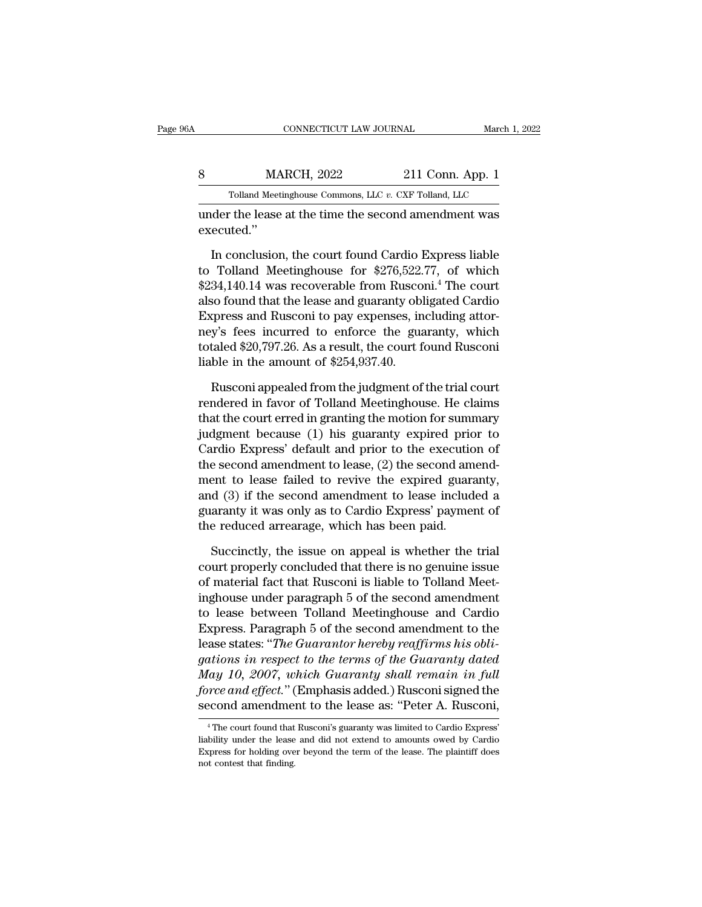|            | CONNECTICUT LAW JOURNAL                               |                  | March 1, 2022 |
|------------|-------------------------------------------------------|------------------|---------------|
| 8          | <b>MARCH, 2022</b>                                    | 211 Conn. App. 1 |               |
|            | Tolland Meetinghouse Commons, LLC v. CXF Tolland, LLC |                  |               |
| executed." | under the lease at the time the second amendment was  |                  |               |

MARCH, 2022 211 Conn. App. 1<br>
Tolland Meetinghouse Commons, LLC  $v$ . CXF Tolland, LLC<br>
Ider the lease at the time the second amendment was<br>
ecuted."<br>
In conclusion, the court found Cardio Express liable<br>
Tolland Meetingho Tolland Meetinghouse Commons, LLC  $v$ . CXF Tolland, LLC<br>
under the lease at the time the second amendment was<br>
executed."<br>
In conclusion, the court found Cardio Express liable<br>
to Tolland Meetinghouse for \$276,522.77, of Tolland Meetinghouse Commons, LLC  $v$ . CXF Tolland, LLC<br>
under the lease at the time the second amendment was<br>
executed."<br>
In conclusion, the court found Cardio Express liable<br>
to Tolland Meetinghouse for \$276,522.77, of under the lease at the time the second amendment was<br>executed."<br>In conclusion, the court found Cardio Express liable<br>to Tolland Meetinghouse for \$276,522.77, of which<br>\$234,140.14 was recoverable from Rusconi.<sup>4</sup> The court<br> executed."<br>In conclusion, the court found Cardio Express liable<br>to Tolland Meetinghouse for \$276,522.77, of which<br>\$234,140.14 was recoverable from Rusconi.<sup>4</sup> The court<br>also found that the lease and guaranty obligated Card In conclusion, the court found Cardio Express liable<br>to Tolland Meetinghouse for \$276,522.77, of which<br>\$234,140.14 was recoverable from Rusconi.<sup>4</sup> The court<br>also found that the lease and guaranty obligated Cardio<br>Express In conclusion, the court found Cardio Express liable<br>to Tolland Meetinghouse for \$276,522.77, of which<br>\$234,140.14 was recoverable from Rusconi.<sup>4</sup> The court<br>also found that the lease and guaranty obligated Cardio<br>Express to Tolland Meetinghouse for \$276,522.<br>\$234,140.14 was recoverable from Rusco<br>also found that the lease and guaranty obles<br>Express and Rusconi to pay expenses, in<br>ney's fees incurred to enforce the gua<br>totaled \$20,797.26. so found that the lease and guaranty obligated Cardio<br>spress and Rusconi to pay expenses, including attor-<br>y's fees incurred to enforce the guaranty, which<br>taled \$20,797.26. As a result, the court found Rusconi<br>ble in the Express and Rusconi to pay expenses, including attor-<br>ney's fees incurred to enforce the guaranty, which<br>totaled \$20,797.26. As a result, the court found Rusconi<br>liable in the amount of \$254,937.40.<br>Rusconi appealed from t

ney's fees incurred to enforce the guaranty, which<br>totaled \$20,797.26. As a result, the court found Rusconi<br>liable in the amount of \$254,937.40.<br>Rusconi appealed from the judgment of the trial court<br>rendered in favor of To totaled \$20,797.26. As a result, the court found Rusconi<br>liable in the amount of \$254,937.40.<br>Rusconi appealed from the judgment of the trial court<br>rendered in favor of Tolland Meetinghouse. He claims<br>that the court erred liable in the amount of \$254,937.40.<br>
Rusconi appealed from the judgment of the trial court<br>
rendered in favor of Tolland Meetinghouse. He claims<br>
that the court erred in granting the motion for summary<br>
judgment because ( Rusconi appealed from the judgment of the trial court<br>rendered in favor of Tolland Meetinghouse. He claims<br>that the court erred in granting the motion for summary<br>judgment because (1) his guaranty expired prior to<br>Cardio E Rusconi appealed from the judgment of the trial court<br>rendered in favor of Tolland Meetinghouse. He claims<br>that the court erred in granting the motion for summary<br>judgment because (1) his guaranty expired prior to<br>Cardio E rendered in favor of Tolland Meetinghouse. He claims<br>that the court erred in granting the motion for summary<br>judgment because (1) his guaranty expired prior to<br>Cardio Express' default and prior to the execution of<br>the seco that the court erred in granting the motion for summary<br>judgment because (1) his guaranty expired prior to<br>Cardio Express' default and prior to the execution of<br>the second amendment to lease, (2) the second amend-<br>ment to judgment because (1) his guaranty expired pric<br>Cardio Express' default and prior to the executio<br>the second amendment to lease, (2) the second am<br>ment to lease failed to revive the expired guara<br>and (3) if the second amend e second amendment to lease, (2) the second amend-<br>ent to lease failed to revive the expired guaranty,<br>d (3) if the second amendment to lease included a<br>aranty it was only as to Cardio Express' payment of<br>e reduced arreara ment to lease failed to revive the expired guaranty,<br>and (3) if the second amendment to lease included a<br>guaranty it was only as to Cardio Express' payment of<br>the reduced arrearage, which has been paid.<br>Succinctly, the iss

and (3) if the second amendment to lease included a<br>guaranty it was only as to Cardio Express' payment of<br>the reduced arrearage, which has been paid.<br>Succinctly, the issue on appeal is whether the trial<br>court properly conc guaranty it was only as to Cardio Express' payment of<br>the reduced arrearage, which has been paid.<br>Succinctly, the issue on appeal is whether the trial<br>court properly concluded that there is no genuine issue<br>of material fac the reduced arrearage, which has been paid.<br>
Succinctly, the issue on appeal is whether the trial<br>
court properly concluded that there is no genuine issue<br>
of material fact that Rusconi is liable to Tolland Meet-<br>
inghouse Succinctly, the issue on appeal is whether the trial<br>court properly concluded that there is no genuine issue<br>of material fact that Rusconi is liable to Tolland Meet-<br>inghouse under paragraph 5 of the second amendment<br>to le Succinctly, the issue on appeal is whether the trial<br>court properly concluded that there is no genuine issue<br>of material fact that Rusconi is liable to Tolland Meet-<br>inghouse under paragraph 5 of the second amendment<br>to le court properly concluded that there is no genuine issue<br>of material fact that Rusconi is liable to Tolland Meet-<br>inghouse under paragraph 5 of the second amendment<br>to lease between Tolland Meetinghouse and Cardio<br>Express. of material fact that Rusconi is liable to Tolland Meet-<br>inghouse under paragraph 5 of the second amendment<br>to lease between Tolland Meetinghouse and Cardio<br>Express. Paragraph 5 of the second amendment to the<br>lease states: inghouse under paragraph 5 of the second amendment<br>to lease between Tolland Meetinghouse and Cardio<br>Express. Paragraph 5 of the second amendment to the<br>lease states: "*The Guarantor hereby reaffirms his obli-*<br>gations in r to lease between Tolland Meetinghouse and Cardio<br>Express. Paragraph 5 of the second amendment to the<br>lease states: "*The Guarantor hereby reaffirms his obli-*<br>gations in respect to the terms of the Guaranty dated<br>May 10, 2 gations in respect to the terms of the Guaranty dated<br>May 10, 2007, which Guaranty shall remain in full<br>force and effect." (Emphasis added.) Rusconi signed the<br>second amendment to the lease as: "Peter A. Rusconi,<br> $\frac{1}{1}$ May 10, 2007, which Guaranty shall remain in full<br>force and effect." (Emphasis added.) Rusconi signed the<br>second amendment to the lease as: "Peter A. Rusconi,<br> $\frac{1}{1}$  The court found that Rusconi's guaranty was limited

force and effect." (Emphasis added.) Rusconi signed the second amendment to the lease as: "Peter A. Rusconi,<br><sup>4</sup>The court found that Rusconi's guaranty was limited to Cardio Express<sup>7</sup><br>liability under the lease and did not second amendme:<br>
<sup>4</sup> The court found that<br>
liability under the lease<br>
Express for holding ove<br>
not contest that finding.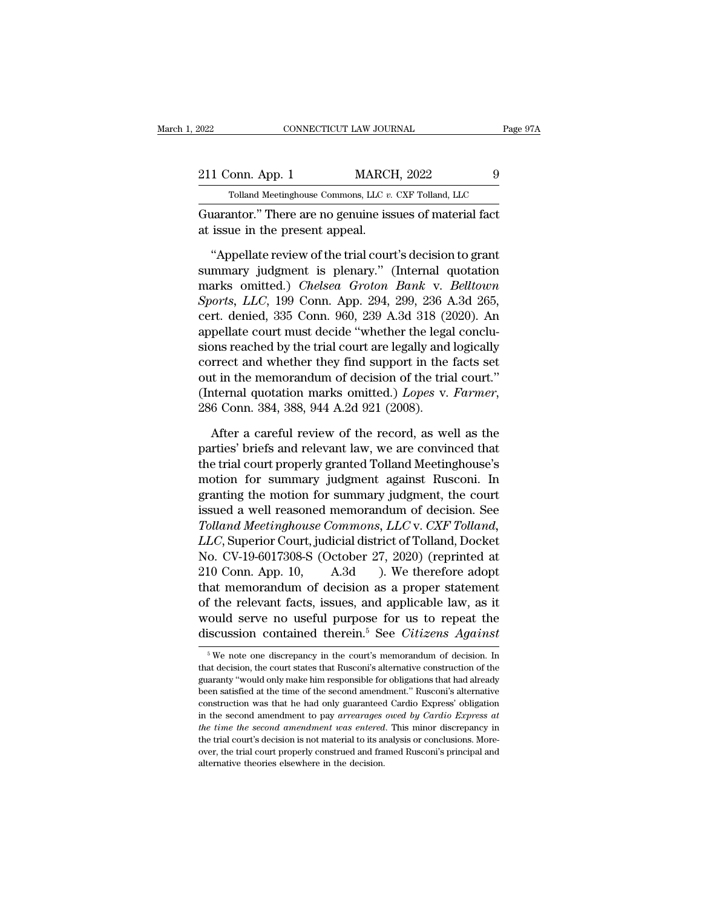| 2022             | CONNECTICUT LAW JOURNAL                                 | Page 97A |
|------------------|---------------------------------------------------------|----------|
| 211 Conn. App. 1 | <b>MARCH, 2022</b>                                      | 9        |
|                  | Tolland Meetinghouse Commons, LLC v. CXF Tolland, LLC   |          |
|                  | Guarantor "There are no genuine issues of material fact |          |

CONNECTICUT LAW JOURNAL Page 97/<br>211 Conn. App. 1 MARCH, 2022 9<br>Tolland Meetinghouse Commons, LLC v. CXF Tolland, LLC<br>Guarantor.'' There are no genuine issues of material fact<br>at issue in the present appeal. 211 Conn. App. 1 MARCI<br>
Tolland Meetinghouse Commons, LLC v.<br>
Guarantor.'' There are no genuine issue in the present appeal.<br>
"Appellate review of the trial cour

1 Conn. App. 1 MARCH, 2022 9<br>
Tolland Meetinghouse Commons, LLC  $v$ . CXF Tolland, LLC<br>
Larantor." There are no genuine issues of material fact<br>
issue in the present appeal.<br>
"Appellate review of the trial court's decision Folland Meetinghouse Commons, LLC v. CXF Tolland, LLC<br>
Guarantor.'' There are no genuine issues of material fact<br>
at issue in the present appeal.<br>
"Appellate review of the trial court's decision to grant<br>
summary judgment Tolland Meetinghouse Commons, LLC v. CXF Tolland, LLC<br>
Guarantor." There are no genuine issues of material fact<br>
at issue in the present appeal.<br>
"Appellate review of the trial court's decision to grant<br>
summary judgment i *Guarantor."* There are no genuine issues of material fact<br>at issue in the present appeal.<br>"Appellate review of the trial court's decision to grant<br>summary judgment is plenary." (Internal quotation<br>marks omitted.) *Chelsea* at issue in the present appeal.<br>
"Appellate review of the trial court's decision to grant<br>
summary judgment is plenary." (Internal quotation<br>
marks omitted.) *Chelsea Groton Bank* v. *Belltown*<br> *Sports*, *LLC*, 199 Conn. "Appellate review of the trial court's decision to grant summary judgment is plenary." (Internal quotation marks omitted.) *Chelsea Groton Bank* v. *Belltown Sports, LLC*, 199 Conn. App. 294, 299, 236 A.3d 265, cert. deni "Appellate review of the trial court's decision to grant<br>summary judgment is plenary." (Internal quotation<br>marks omitted.) *Chelsea Groton Bank v. Belltown*<br>*Sports, LLC*, 199 Conn. App. 294, 299, 236 A.3d 265,<br>cert. deni summary judgment is plenary." (Internal quotation<br>marks omitted.) *Chelsea Groton Bank* v. *Belltown*<br>*Sports, LLC,* 199 Conn. App. 294, 299, 236 A.3d 265,<br>cert. denied, 335 Conn. 960, 239 A.3d 318 (2020). An<br>appellate co marks omitted.) *Chelsea Groton Bank* v. *Belltown*<br>*Sports, LLC,* 199 Conn. App. 294, 299, 236 A.3d 265,<br>cert. denied, 335 Conn. 960, 239 A.3d 318 (2020). An<br>appellate court must decide "whether the legal conclu-<br>sions re Sports, *LLC*, 199 Conn. App. 294, 299, 236 A.3d 265,<br>cert. denied, 335 Conn. 960, 239 A.3d 318 (2020). An<br>appellate court must decide "whether the legal conclu-<br>sions reached by the trial court are legally and logically<br>c ons reached by the trial court are legally and logically<br>rrect and whether they find support in the facts set<br>t in the memorandum of decision of the trial court."<br>nternal quotation marks omitted.) *Lopes* v. Farmer,<br>6 Conn correct and whether they find support in the facts set<br>out in the memorandum of decision of the trial court."<br>(Internal quotation marks omitted.) *Lopes* v. Farmer,<br>286 Conn. 384, 388, 944 A.2d 921 (2008).<br>After a careful

out in the memorandum of decision of the trial court."<br>(Internal quotation marks omitted.) *Lopes v. Farmer*,<br>286 Conn. 384, 388, 944 A.2d 921 (2008).<br>After a careful review of the record, as well as the<br>parties' briefs an (Internal quotation marks omitted.) *Lopes v. Farmer*,  $286$  Conn.  $384$ ,  $388$ ,  $944$  A.2d  $921$  ( $2008$ ).<br>After a careful review of the record, as well as the parties' briefs and relevant law, we are convinced that the 286 Conn. 384, 388, 944 A.2d 921 (2008).<br>
After a careful review of the record, as well as the<br>
parties' briefs and relevant law, we are convinced that<br>
the trial court properly granted Tolland Meetinghouse's<br>
motion for After a careful review of the record, as well as the parties' briefs and relevant law, we are convinced that the trial court properly granted Tolland Meetinghouse's motion for summary judgment against Rusconi. In granting After a careful review of the record, as well as the<br>parties' briefs and relevant law, we are convinced that<br>the trial court properly granted Tolland Meetinghouse's<br>motion for summary judgment against Rusconi. In<br>granting parties' briefs and relevant law, we are convinced that<br>the trial court properly granted Tolland Meetinghouse's<br>motion for summary judgment against Rusconi. In<br>granting the motion for summary judgment, the court<br>issued a w the trial court properly granted Tolland Meetinghouse's<br>motion for summary judgment against Rusconi. In<br>granting the motion for summary judgment, the court<br>issued a well reasoned memorandum of decision. See<br>Tolland Meeting motion for summary judgment against Rusconi. In<br>granting the motion for summary judgment, the court<br>issued a well reasoned memorandum of decision. See<br>Tolland Meetinghouse Commons, LLC v. CXF Tolland,<br>LLC, Superior Court, granting the motion for summary judgment, the court<br>issued a well reasoned memorandum of decision. See<br>Tolland Meetinghouse Commons, LLC v. CXF Tolland,<br>LLC, Superior Court, judicial district of Tolland, Docket<br>No. CV-19-6 issued a well reasoned memorandum of decision. See<br>
Tolland Meetinghouse Commons, LLC v. CXF Tolland,<br>
LLC, Superior Court, judicial district of Tolland, Docket<br>
No. CV-19-6017308-S (October 27, 2020) (reprinted at<br>
210 Co Tolland Meetinghouse Commons, LLC v. CXF Tolland,<br>LLC, Superior Court, judicial district of Tolland, Docket<br>No. CV-19-6017308-S (October 27, 2020) (reprinted at<br>210 Conn. App. 10, A.3d ). We therefore adopt<br>that memorandu LLC, Superior Court, judicial district of Tolland, Docket<br>No. CV-19-6017308-S (October 27, 2020) (reprinted at<br>210 Conn. App. 10, A.3d ). We therefore adopt<br>that memorandum of decision as a proper statement<br>of the relevan For the relevant facts, issues, and applicable law, as it could serve no useful purpose for us to repeat the iscussion contained therein.<sup>5</sup> See *Citizens Against*  $\frac{1}{6}$  We note one discrepancy in the court's memorand of the relevant facts, issues, and applicable law, as it would serve no useful purpose for us to repeat the discussion contained therein.<sup>5</sup> See *Citizens Against*  $\frac{1}{100}$  we note one discrepancy in the court's memora

would serve no useful purpose for us to repeat the discussion contained therein.<sup>5</sup> See *Citizens Against*  $\frac{1}{\sqrt{2}}$  we note one discrepancy in the court's memorandum of decision. In that decision, the court states tha discussion contained therein.<sup>5</sup> See *Citizens Against*<br>
<sup>5</sup> We note one discrepancy in the court's memorandum of decision. In that decision, the court states that Rusconi's alternative construction of the guaranty "would Experience on the method. The court's memorandum of decision. In that decision, the court states that Rusconi's alternative construction of the guaranty "would only make him responsible for obligations that had already be  $^\circ$  We note one discrepancy in the court's memorandum of decision. In that decision, the court states that Rusconi's alternative construction of the guaranty "would only make him responsible for obligations that had alre *that decision, the court states that Rusconi's alternative construction of the guaranty "would only make him responsible for obligations that had already been satisfied at the time of the second amendment." Rusconi's alte* guaranty "would only make him responsible for obligations that had already been satisfied at the time of the second amendment." Rusconi's alternative construction was that he had only guaranteed Cardio Express' obligation been satisfied at the time of the second amendment." Rusconi's alternative construction was that he had only guaranteed Cardio Express' obligation in the second amendment to pay *arrearages owed by Cardio Express at* the t construction was that he had only guaranteed Cardio Express' obligation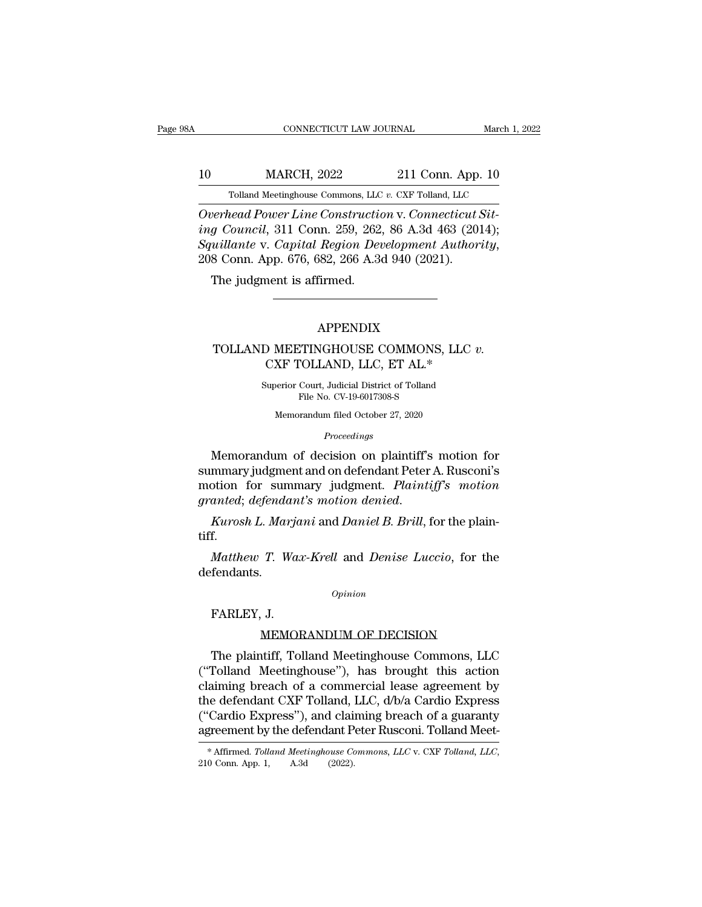# 10 CONNECTICUT LAW JOURNAL March 1, 2022<br>11 Conn. App. 10<br>10 MARCH, 2022 211 Conn. App. 10<br>211 Conn. App. 10 CONNECTICUT LAW JOURNAL March 1, 2022<br>10 MARCH, 2022 211 Conn. App. 10<br>Tolland Meetinghouse Commons, LLC *v.* CXF Tolland, LLC<br>Overhead Power Line Construction v. Connecticut Sit-

*CONNECTICUT LAW JOURNAL*<br> *Overhead Power Line Construction* v. *Connecticut Sit-*<br> *Overhead Power Line Construction* v. *Connecticut Sit-*<br> *Overhead Power Line Construction* v. *Connecticut Sit-*<br> *Scuillents v. Censit ing Council, 2022 inclus 2022 infinite to Council, 311 Conn. 259, 262, 86 A.3d 463 (2014);*<br>*Squillante v. Capital Region Development Authority,*<br>*Powerhead Power Line Construction v. Connecticut Siting Council, 311 C Squillanter Construction v. Conneticut Sit- Overhead Power Line Construction v. Connecticut Sit-*<br>*Overhead Power Line Construction v. Connecticut Sit-*<br>*Squillante v. Capital Region Development Authority*, 208 Conn. Ap Tolland Meetinghouse Commons, LLC<br>
Verhead Power Line Constructies<br>
16 Gouncil, 311 Conn. 259, 262,<br>
16 Gouncil, 311 Conn. 259, 262,<br>
16 Gounn. App. 676, 682, 266 A.36<br>
17 The judgment is affirmed.

### APPENDIX

### 8 Conn. App. 676, 682, 266 A.3d 940 (2021).<br>
The judgment is affirmed.<br> **APPENDIX**<br>
TOLLAND MEETINGHOUSE COMMONS, LLC *v.*<br>
CXF TOLLAND, LLC, ET AL.\* Net is affirmed.<br>
APPENDIX<br>
D MEETINGHOUSE COMMONS, LLC v.<br>
CXF TOLLAND, LLC, ET AL.\*<br>
Superior Court, Judicial District of Tolland  $\begin{minipage}{0.9\linewidth} \textbf{APPENDIX} \\ \textbf{O} \textbf{MEETINGHOUSE COMMONS, LLC } v \\ \textbf{CXF TOLLAND, LLC, ET AL.*} \\ \textbf{Superior Court, Judicial District of Tolland} \\ \textbf{File No. CV-19-6017308-S} \end{minipage}$ APPENDIX<br>TINGHOUSE COMMONS,<br>FOLLAND, LLC, ET AL.\*<br>Court, Judicial District of Tolland<br>File No. CV-19-6017308-S<br>prandum filed October 27, 2020

CXF TOLLAND, LLC, ET AL.\*<br>Superior Court, Judicial District of Tolland<br>File No. CV-19-6017308-S<br>Memorandum filed October 27, 2020

*Proceedings*

 $\begin{array}{lll} \text{CXF TOLLAND, LLC, ET AL.*} \end{array}$ <br>
Superior Court, Judicial District of Tolland<br>
File No. CV-19-6017308-S<br>
Memorandum of decision on plaintiff's motion for<br>
mmary judgment and on defendant Peter A. Rusconi's<br>
potion for sum Superior Court, Judicial District of Tolland<br>File No. CV-19-6017308-S<br>Memorandum filed October 27, 2020<br>Proceedings<br>Memorandum of decision on plaintiff's motion for<br>summary judgment and on defendant Peter A. Rusconi's<br>moti File No. CV-19-6017308-S<br>Memorandum filed October 27, 2020<br>*Proceedings*<br>Memorandum of decision on plaintiff's motion for<br>summary judgment and on defendant Peter A. Rusconi's<br>motion for summary judgment. *Plaintiff's motio Froceedings*<br>*Proceedings*<br>*Proceedings*<br>*Remorandum of decision on plaintiff's motion for<br>summary judgment. <i>Plaintiff's motion*<br>*granted*; *defendant's motion denied.*<br>*Kurosh L. Marjani* and *Daniel B. Brill*, for the mmary judgment and on defendant Peter A. Rusconi's<br>votion for summary judgment. *Plaintiff's motion*<br>anted; defendant's motion denied.<br>*Kurosh L. Marjani* and *Daniel B. Brill*, for the plain-<br>f.<br>*Matthew T. Wax-Krell* and

tiff.

defendants. Kurosh L. Marja<br>f.<br>Matthew T. Was<br>fendants.<br>FARLEY, J.<br>MEMOF T. Wax-Krell and *Denise Luccio*, for the<br>
opinion<br>
J.<br>
MEMORANDUM OF DECISION<br>
ttiff, Tolland Meetinghouse Commons, LLC

*Opinion*

Fendants.<br>
FARLEY, J.<br>
MEMORANDUM OF DECISION<br>
The plaintiff, Tolland Meetinghouse Commons, LLC<br>
Tolland Meetinghouse''), has brought this action<br>
niming broach of a commonial logo agrooment by  $\begin{array}{ll} \text{Option} \ \text{FARLEY, J.} \ \text{MEMORANDUM OF DECISION} \ \end{array}$ <br>
The plaintiff, Tolland Meetinghouse Commons, LLC ("Tolland Meetinghouse"), has brought this action<br>
claiming breach of a commercial lease agreement by<br>
the defendant CXE Tollan commonly commonly of the plaintiff, J.<br>
MEMORANDUM OF DECISION<br>
The plaintiff, Tolland Meetinghouse Commons, LLC<br>
("Tolland Meetinghouse"), has brought this action<br>
claiming breach of a commercial lease agreement by<br>
the FARLEY, J.<br>
MEMORANDUM OF DECISION<br>
The plaintiff, Tolland Meetinghouse Commons, LLC<br>
("Tolland Meetinghouse"), has brought this action<br>
claiming breach of a commercial lease agreement by<br>
the defendant CXF Tolland, LLC, d MEMORANDUM OF DECISION<br>The plaintiff, Tolland Meetinghouse Commons, LLC<br>("Tolland Meetinghouse"), has brought this action<br>claiming breach of a commercial lease agreement by<br>the defendant CXF Tolland, LLC, d/b/a Cardio Expr are prices and Meetinghouse Commons, LLC<br>
("Tolland Meetinghouse"), has brought this action<br>
claiming breach of a commercial lease agreement by<br>
the defendant CXF Tolland, LLC,  $d/b/a$  Cardio Express<br>
("Cardio Express"), and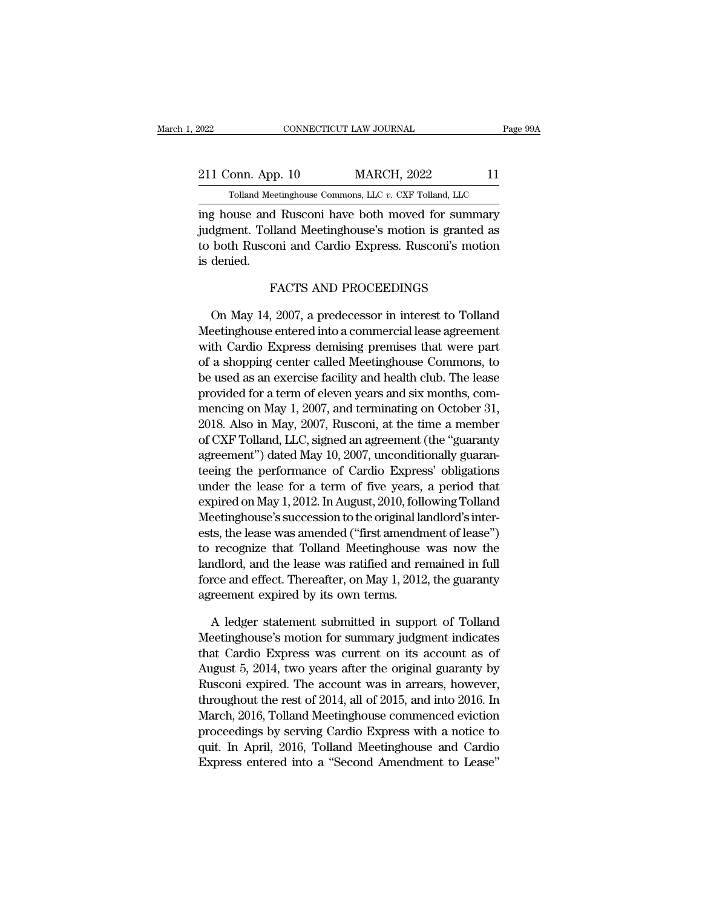| 2022              | CONNECTICUT LAW JOURNAL                               | Page 99A |
|-------------------|-------------------------------------------------------|----------|
|                   |                                                       |          |
| 211 Conn. App. 10 | <b>MARCH, 2022</b>                                    | 11       |
|                   | Tolland Meetinghouse Commons, LLC v. CXF Tolland, LLC |          |
|                   | ing house and Rusconi have both moved for summary     |          |

EXECT 2022 CONNECTICUT LAW JOURNAL Page 99A<br>
211 Conn. App. 10 MARCH, 2022 11<br>
Tolland Meetinghouse Commons, LLC v. CXF Tolland, LLC<br>
ing house and Rusconi have both moved for summary<br>
judgment. Tolland Meetinghouse's moti 211 Conn. App. 10 MARCH, 2022 11<br>
Tolland Meetinghouse Commons, LLC v. CXF Tolland, LLC<br>
ing house and Rusconi have both moved for summary<br>
judgment. Tolland Meetinghouse's motion is granted as<br>
to both Rusconi and Cardio 211 Conn. App. 10 MARCH, 2022 11<br>
Tolland Meetinghouse Commons, LLC v. CXF Tolland, LLC<br>
ing house and Rusconi have both moved for summary<br>
judgment. Tolland Meetinghouse's motion is granted as<br>
to both Rusconi and Cardio 211 Conn. App<br>
Tolland Mee<br>
ing house and<br>
judgment. Toll:<br>
to both Ruscon<br>
is denied. eetinghouse Commons, LLC v. CXF Tolland, LLC<br>d Rusconi have both moved for summan<br>lland Meetinghouse's motion is granted a<br>oni and Cardio Express. Rusconi's motio<br>FACTS AND PROCEEDINGS<br>2007. a predecessor in interest to To May 14, 2007, a predecessor in interest to Tolland<br>territory and Cardio Express. Rusconi's motion<br>denied.<br>FACTS AND PROCEEDINGS<br>On May 14, 2007, a predecessor in interest to Tolland<br>eetinghouse entered into a commercial le

to both Rusconi and Cardio Express. Rusconi's motion<br>is denied.<br>FACTS AND PROCEEDINGS<br>On May 14, 2007, a predecessor in interest to Tolland<br>Meetinghouse entered into a commercial lease agreement<br>with Cardio Express demisin is denied.<br>
FACTS AND PROCEEDINGS<br>
On May 14, 2007, a predecessor in interest to Tolland<br>
Meetinghouse entered into a commercial lease agreement<br>
with Cardio Express demising premises that were part<br>
of a shopping center c FACTS AND PROCEEDINGS<br>On May 14, 2007, a predecessor in interest to Tolland<br>Meetinghouse entered into a commercial lease agreement<br>with Cardio Express demising premises that were part<br>of a shopping center called Meetinghou FACTS AND PROCEEDINGS<br>
On May 14, 2007, a predecessor in interest to Tolland<br>
Meetinghouse entered into a commercial lease agreement<br>
with Cardio Express demising premises that were part<br>
of a shopping center called Meetin On May 14, 2007, a predecessor in interest to Tolland<br>Meetinghouse entered into a commercial lease agreement<br>with Cardio Express demising premises that were part<br>of a shopping center called Meetinghouse Commons, to<br>be used On May 14, 2007, a predecessor in interest to Tolland<br>Meetinghouse entered into a commercial lease agreement<br>with Cardio Express demising premises that were part<br>of a shopping center called Meetinghouse Commons, to<br>be used Meetinghouse entered into a commercial lease agreement<br>with Cardio Express demising premises that were part<br>of a shopping center called Meetinghouse Commons, to<br>be used as an exercise facility and health club. The lease<br>pr with Cardio Express demising premises that were part<br>of a shopping center called Meetinghouse Commons, to<br>be used as an exercise facility and health club. The lease<br>provided for a term of eleven years and six months, com-<br> of a shopping center called Meetinghouse Commons, to<br>be used as an exercise facility and health club. The lease<br>provided for a term of eleven years and six months, com-<br>mencing on May 1, 2007, and terminating on October 31 be used as an exercise facility and health club. The lease<br>provided for a term of eleven years and six months, com-<br>mencing on May 1, 2007, and terminating on October 31,<br>2018. Also in May, 2007, Rusconi, at the time a mem provided for a term of eleven years and six months, com-<br>mencing on May 1, 2007, and terminating on October 31,<br>2018. Also in May, 2007, Rusconi, at the time a member<br>of CXF Tolland, LLC, signed an agreement (the "guaranty mencing on May 1, 2007, and terminating on October 31,<br>2018. Also in May, 2007, Rusconi, at the time a member<br>of CXF Tolland, LLC, signed an agreement (the "guaranty<br>agreement") dated May 10, 2007, unconditionally guaran-<br> 2018. Also in May, 2007, Rusconi, at the time a member<br>of CXF Tolland, LLC, signed an agreement (the "guaranty<br>agreement") dated May 10, 2007, unconditionally guaran-<br>teeing the performance of Cardio Express' obligations<br>u of CXF Tolland, LLC, signed an agreement (the "guaranty<br>agreement") dated May 10, 2007, unconditionally guaran-<br>teeing the performance of Cardio Express' obligations<br>under the lease for a term of five years, a period that<br> agreement") dated May 10, 2007, unconditionally guaranteeing the performance of Cardio Express' obligations<br>under the lease for a term of five years, a period that<br>expired on May 1, 2012. In August, 2010, following Tolland teeing the performance of Cardio Express' obligations<br>under the lease for a term of five years, a period that<br>expired on May 1, 2012. In August, 2010, following Tolland<br>Meetinghouse's succession to the original landlord's under the lease for a term of five years, a period that<br>expired on May 1, 2012. In August, 2010, following Tolland<br>Meetinghouse's succession to the original landlord's inter-<br>ests, the lease was amended ("first amendment o expired on May 1, 2012. In August, 2010, 1010<br>Meetinghouse's succession to the original la<br>ests, the lease was amended ("first amendn<br>to recognize that Tolland Meetinghouse<br>landlord, and the lease was ratified and re<br>force ts, the lease was amended ("first amendment of lease")<br>recognize that Tolland Meetinghouse was now the<br>indlord, and the lease was ratified and remained in full<br>rce and effect. Thereafter, on May 1, 2012, the guaranty<br>reeme to recognize that Tolland Meetinghouse was now the<br>landlord, and the lease was ratified and remained in full<br>force and effect. Thereafter, on May 1, 2012, the guaranty<br>agreement expired by its own terms.<br>A ledger statemen

landlord, and the lease was ratified and remained in full<br>force and effect. Thereafter, on May 1, 2012, the guaranty<br>agreement expired by its own terms.<br>A ledger statement submitted in support of Tolland<br>Meetinghouse's mot force and effect. Thereafter, on May 1, 2012, the guaranty<br>agreement expired by its own terms.<br>A ledger statement submitted in support of Tolland<br>Meetinghouse's motion for summary judgment indicates<br>that Cardio Express wa agreement expired by its own terms.<br>A ledger statement submitted in support of Tolland<br>Meetinghouse's motion for summary judgment indicates<br>that Cardio Express was current on its account as of<br>August 5, 2014, two years aft A ledger statement submitted in support of Tolland<br>Meetinghouse's motion for summary judgment indicates<br>that Cardio Express was current on its account as of<br>August 5, 2014, two years after the original guaranty by<br>Rusconi A ledger statement submitted in support of Tolland<br>Meetinghouse's motion for summary judgment indicates<br>that Cardio Express was current on its account as of<br>August 5, 2014, two years after the original guaranty by<br>Rusconi meetinghouse's motion for summary judgment indicates<br>that Cardio Express was current on its account as of<br>August 5, 2014, two years after the original guaranty by<br>Rusconi expired. The account was in arrears, however,<br>throu that Cardio Express was current on its account as of<br>August 5, 2014, two years after the original guaranty by<br>Rusconi expired. The account was in arrears, however,<br>throughout the rest of 2014, all of 2015, and into 2016. I August 5, 2014, two years after the original guaranty by<br>Rusconi expired. The account was in arrears, however,<br>throughout the rest of 2014, all of 2015, and into 2016. In<br>March, 2016, Tolland Meetinghouse commenced evictio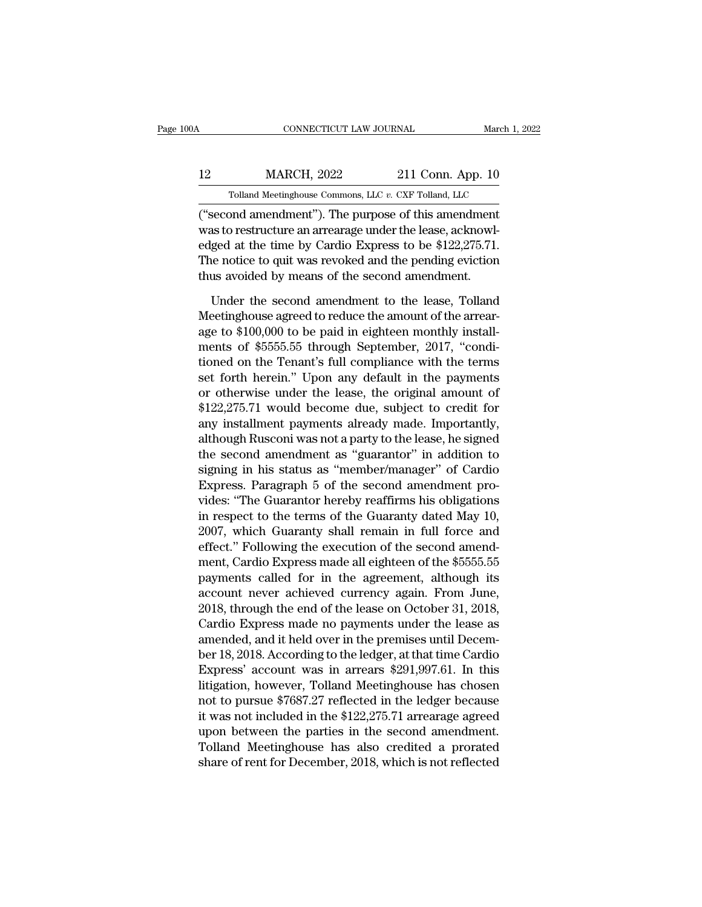## CONNECTICUT LAW JOURNAL March 1, 2022<br>12 MARCH, 2022 211 Conn. App. 10<br>10 Tolland Meetinghouse Commons, LLC v. CXF Tolland, LLC CONNECTICUT LAW JOURNAL March 1, 3<br>MARCH, 2022 211 Conn. App. 10<br>Tolland Meetinghouse Commons, LLC *v.* CXF Tolland, LLC<br>and amendment"). The nurnose of this amendment

 $\begin{array}{|l|l|} \hline \text{COMRECTICUT LAW JOURNAL} \qquad \text{March 1, 202:} \ \hline \end{array}$ <br>
Tolland Meetinghouse Commons, LLC  $v$ . CXF Tolland, LLC ("second amendment"). The purpose of this amendment was to restructure an arrearage under the lease, acknowl MARCH, 2022 211 Conn. App. 10<br>
Tolland Meetinghouse Commons, LLC v. CXF Tolland, LLC<br>
("second amendment"). The purpose of this amendment<br>
was to restructure an arrearage under the lease, acknowl-<br>
edged at the time by Car 12 MARCH, 2022 211 Conn. App. 10<br>
Tolland Meetinghouse Commons, LLC v. CXF Tolland, LLC<br>
("second amendment"). The purpose of this amendment<br>
was to restructure an arrearage under the lease, acknowl-<br>
edged at the time by  $\begin{tabular}{ c c c c} \multicolumn{1}{c}{{\bf{MARCH, 2022}}} & {\bf{211 Conn. App. 10}}\\ \hline \multicolumn{1}{c}{{\bf{Tolland Meetinghouse Commons, LLC $v. CXF Tolland, LLC}}\\ \hline {\bf{("second amendment"). The purpose of this amendment was to restructure an arrange under the lease, acknowledgment.} \end{tabular}$  was to restructure an arrearage under the lease, acknowledged at the time by Cardio Express to be Tolland Meetinghouse Commons, LLC  $v$ . CXF Tolland, LLC ("second amendment"). The purpose of this amendment was to restructure an arrearage under the lease, acknowledged at the time by Cardio Express to be \$122,275.71. Th second amendment"). The purpose of this amendment<br>as to restructure an arrearage under the lease, acknowl-<br>ged at the time by Cardio Express to be \$122,275.71.<br>ne notice to quit was revoked and the pending eviction<br>us avoi was to restructure an arrearage under the lease, acknowledged at the time by Cardio Express to be \$122,275.71.<br>The notice to quit was revoked and the pending eviction<br>thus avoided by means of the second amendment.<br>Under t

edged at the time by Cardio Express to be \$122,275.71.<br>The notice to quit was revoked and the pending eviction<br>thus avoided by means of the second amendment.<br>Under the second amendment to the lease, Tolland<br>Meetinghouse ag The notice to quit was revoked and the pending eviction<br>thus avoided by means of the second amendment.<br>Under the second amendment to the lease, Tolland<br>Meetinghouse agreed to reduce the amount of the arrear-<br>age to \$100,00 thus avoided by means of the second amendment.<br>
Under the second amendment to the lease, Tolland<br>
Meetinghouse agreed to reduce the amount of the arrear-<br>
age to \$100,000 to be paid in eighteen monthly install-<br>
ments of \$ Under the second amendment to the lease, Tolland<br>Meetinghouse agreed to reduce the amount of the arrear-<br>age to \$100,000 to be paid in eighteen monthly install-<br>ments of \$5555.55 through September, 2017, "condi-<br>tioned on Under the second amendment to the lease, Tolland<br>Meetinghouse agreed to reduce the amount of the arrear-<br>age to \$100,000 to be paid in eighteen monthly install-<br>ments of \$5555.55 through September, 2017, "condi-<br>tioned on Meetinghouse agreed to reduce the amount of the arrear-<br>age to \$100,000 to be paid in eighteen monthly install-<br>ments of \$5555.55 through September, 2017, "condi-<br>tioned on the Tenant's full compliance with the terms<br>set f age to \$100,000 to be paid in eighteen monthly install-<br>ments of \$5555.55 through September, 2017, "condi-<br>tioned on the Tenant's full compliance with the terms<br>set forth herein." Upon any default in the payments<br>or otherw ments of \$5555.55 through September, 2017, "condi-<br>tioned on the Tenant's full compliance with the terms<br>set forth herein." Upon any default in the payments<br>or otherwise under the lease, the original amount of<br>\$122,275.71 tioned on the Tenant's full compliance with the terms<br>set forth herein." Upon any default in the payments<br>or otherwise under the lease, the original amount of<br>\$122,275.71 would become due, subject to credit for<br>any install set forth herein." Upon any default in the payments<br>or otherwise under the lease, the original amount of<br>\$122,275.71 would become due, subject to credit for<br>any installment payments already made. Importantly,<br>although Rusc or otherwise under the lease, the original amount of \$122,275.71 would become due, subject to credit for any installment payments already made. Importantly, although Rusconi was not a party to the lease, he signed the seco \$122,275.71 would become due, subject to credit for<br>any installment payments already made. Importantly,<br>although Rusconi was not a party to the lease, he signed<br>the second amendment as "guarantor" in addition to<br>signing in any installment payments already made. Importantly,<br>although Rusconi was not a party to the lease, he signed<br>the second amendment as "guarantor" in addition to<br>signing in his status as "member/manager" of Cardio<br>Express. P although Rusconi was not a party to the lease, he signed<br>the second amendment as "guarantor" in addition to<br>signing in his status as "member/manager" of Cardio<br>Express. Paragraph 5 of the second amendment pro-<br>vides: "The the second amendment as "guarantor" in addition to<br>
signing in his status as "member/manager" of Cardio<br>
Express. Paragraph 5 of the second amendment pro-<br>
vides: "The Guarantor hereby reaffirms his obligations<br>
in respect signing in his status as "member/manager" of Cardio<br>Express. Paragraph 5 of the second amendment pro-<br>vides: "The Guarantor hereby reaffirms his obligations<br>in respect to the terms of the Guaranty dated May 10,<br>2007, which Express. Paragraph 5 of the second amendment provides: "The Guarantor hereby reaffirms his obligations<br>in respect to the terms of the Guaranty dated May 10,<br>2007, which Guaranty shall remain in full force and<br>effect." Fol vides: "The Guarantor hereby reaffirms his obligations<br>in respect to the terms of the Guaranty dated May 10,<br>2007, which Guaranty shall remain in full force and<br>effect." Following the execution of the second amend-<br>ment, C in respect to the terms of the Guaranty dated May 10,<br>2007, which Guaranty shall remain in full force and<br>effect." Following the execution of the second amend-<br>ment, Cardio Express made all eighteen of the \$5555.55<br>payment 2007, which Guaranty shall remain in full force and<br>effect." Following the execution of the second amend-<br>ment, Cardio Express made all eighteen of the \$5555.55<br>payments called for in the agreement, although its<br>account ne effect." Following the execution of the second amendment, Cardio Express made all eighteen of the \$5555.55<br>payments called for in the agreement, although its<br>account never achieved currency again. From June,<br>2018, through ment, Cardio Express made all eighteen of the \$5555.55<br>payments called for in the agreement, although its<br>account never achieved currency again. From June,<br>2018, through the end of the lease on October 31, 2018,<br>Cardio Exp payments called for in the agreement, although its<br>account never achieved currency again. From June,<br>2018, through the end of the lease on October 31, 2018,<br>Cardio Express made no payments under the lease as<br>amended, and i account never achieved currency again. From June,<br>2018, through the end of the lease on October 31, 2018,<br>Cardio Express made no payments under the lease as<br>amended, and it held over in the premises until Decem-<br>ber 18, 20 2018, through the end of the lease on October 31, 2018,<br>Cardio Express made no payments under the lease as<br>amended, and it held over in the premises until Decem-<br>ber 18, 2018. According to the ledger, at that time Cardio<br>E Cardio Express made no payments under the lease as<br>amended, and it held over in the premises until Decem-<br>ber 18, 2018. According to the ledger, at that time Cardio<br>Express' account was in arrears \$291,997.61. In this<br>liti amended, and it held over in the premises until December 18, 2018. According to the ledger, at that time Cardio Express' account was in arrears \$291,997.61. In this litigation, however, Tolland Meetinghouse has chosen not ber 18, 2018. According to the ledger, at that time Cardio<br>Express' account was in arrears \$291,997.61. In this<br>litigation, however, Tolland Meetinghouse has chosen<br>not to pursue \$7687.27 reflected in the ledger because<br>it Express' account was in arrears \$291,997.61. In this<br>litigation, however, Tolland Meetinghouse has chosen<br>not to pursue \$7687.27 reflected in the ledger because<br>it was not included in the \$122,275.71 arrearage agreed<br>upon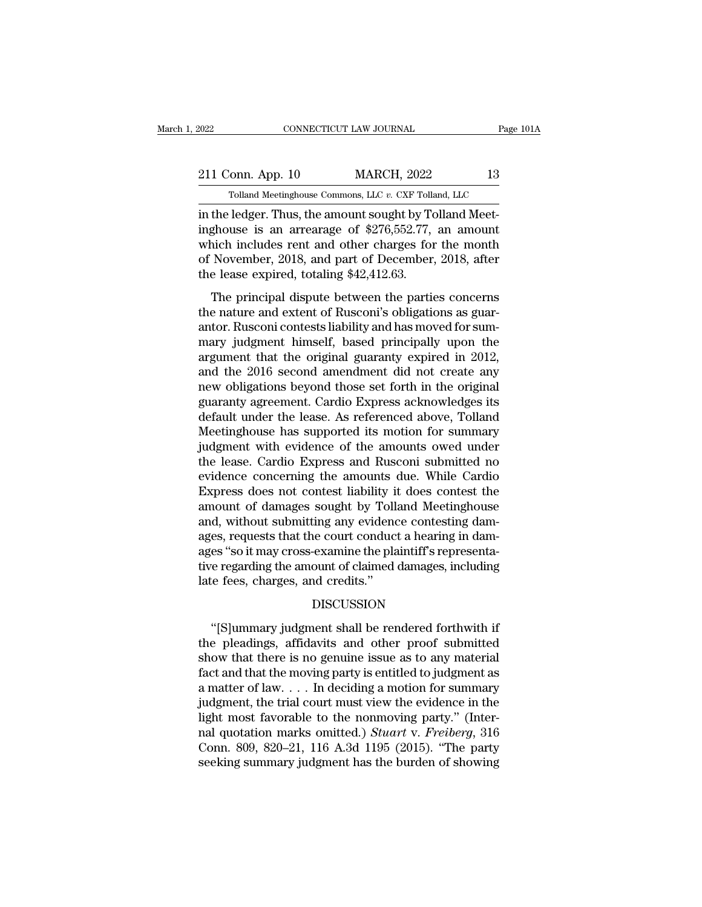## EXECUTE CONNECTICUT LAW JOURNAL Page 101A<br>211 Conn. App. 10 MARCH, 2022 13<br>211 Conn. App. 10 MARCH, 2022 13 CONNECTICUT LAW JOURNAL Page 1<br>Tolland Meetinghouse Commons, LLC *v.* CXF Tolland, LLC<br>Tolland Meetinghouse Commons, LLC *v.* CXF Tolland, LLC<br>Ledger Thus the amount sought by Tolland Meet-

EXECUTE 2022<br>
211 Conn. App. 10 MARCH, 2022<br>
211 Conn. App. 10 MARCH, 2022<br>
213<br>
211 Conn. App. 10 MARCH, 2022<br>
213<br>
22 Tolland Meet-<br>
22 Tolland Meet-<br>
22 Tolland Meet-<br>
22 Tolland Meet-<br>
22 Tolland Meet-<br>
22 Tolland Meet 211 Conn. App. 10 MARCH, 2022 13<br>
Tolland Meetinghouse Commons, LLC v. CXF Tolland, LLC<br>
in the ledger. Thus, the amount sought by Tolland Meet-<br>
inghouse is an arrearage of \$276,552.77, an amount<br>
which includes rent and 211 Conn. App. 10 MARCH, 2022 13<br>
Tolland Meetinghouse Commons, LLC v. CXF Tolland, LLC<br>
in the ledger. Thus, the amount sought by Tolland Meet-<br>
inghouse is an arrearage of \$276,552.77, an amount<br>
which includes rent and 211 Conn. App. 10 MARCH, 2022 13<br>
Tolland Meetinghouse Commons, LLC v. CXF Tolland, LLC<br>
in the ledger. Thus, the amount sought by Tolland Meet-<br>
inghouse is an arrearage of \$276,552.77, an amount<br>
which includes rent and Tolland Meetinghouse Commons, LLC v. CXF Tolland Meetinghouse Commons, LLC v. CXF Tolland Meetinghouse is an arrearage of \$276,552.77, which includes rent and other charges for of November, 2018, and part of December, the the ledger. Thus, the amount sought by Tolland Meet-<br>ghouse is an arrearage of \$276,552.77, an amount<br>nich includes rent and other charges for the month<br>November, 2018, and part of December, 2018, after<br>e lease expired, to In the retuger. Thus, the amount sought by Tomand Meet<br>inghouse is an arrearage of \$276,552.77, an amount<br>which includes rent and other charges for the month<br>of November, 2018, and part of December, 2018, after<br>the lease e

mghouse is an aricanage or  $\psi$ 210,002.111, an amount<br>which includes rent and other charges for the month<br>of November, 2018, and part of December, 2018, after<br>the lease expired, totaling \$42,412.63.<br>The principal dispute mary judgment himself, based principally upon the argument that the original dispute between the parties concerns<br>the nature and extent of Rusconi's obligations as guarantor. Rusconi contests liability and has moved for su argument that the original guaranty expired in 2012,<br>and the lease expired, totaling \$42,412.63.<br>The principal dispute between the parties concerns<br>the nature and extent of Rusconi's obligations as guar-<br>antor. Rusconi con The principal dispute between the parties concerns<br>the nature and extent of Rusconi's obligations as guar-<br>antor. Rusconi contests liability and has moved for sum-<br>mary judgment himself, based principally upon the<br>argumen The principal dispute between the parties concerns<br>the nature and extent of Rusconi's obligations as guar-<br>antor. Rusconi contests liability and has moved for sum-<br>mary judgment himself, based principally upon the<br>argument the nature and extent of Rusconi's obligations as guarantor. Rusconi contests liability and has moved for summary judgment himself, based principally upon the argument that the original guaranty expired in 2012, and the 20 antor. Rusconi contests liability and has moved for summary judgment himself, based principally upon the argument that the original guaranty expired in 2012, and the 2016 second amendment did not create any new obligations mary judgment himself, based principally upon the<br>argument that the original guaranty expired in 2012,<br>and the 2016 second amendment did not create any<br>new obligations beyond those set forth in the original<br>guaranty agreem argument that the original guaranty expired in 2012,<br>and the 2016 second amendment did not create any<br>new obligations beyond those set forth in the original<br>guaranty agreement. Cardio Express acknowledges its<br>default under and the 2016 second amendment did not create any<br>new obligations beyond those set forth in the original<br>guaranty agreement. Cardio Express acknowledges its<br>default under the lease. As referenced above, Tolland<br>Meetinghouse new obligations beyond those set forth in the original<br>guaranty agreement. Cardio Express acknowledges its<br>default under the lease. As referenced above, Tolland<br>Meetinghouse has supported its motion for summary<br>judgment wi guaranty agreement. Cardio Express acknowledges its<br>default under the lease. As referenced above, Tolland<br>Meetinghouse has supported its motion for summary<br>judgment with evidence of the amounts owed under<br>the lease. Cardio default under the lease. As referenced above, Tolland<br>Meetinghouse has supported its motion for summary<br>judgment with evidence of the amounts owed under<br>the lease. Cardio Express and Rusconi submitted no<br>evidence concernin Meetinghouse has supported its motion for summary<br>judgment with evidence of the amounts owed under<br>the lease. Cardio Express and Rusconi submitted no<br>evidence concerning the amounts due. While Cardio<br>Express does not conte judgment with evidence of the amounts owed under<br>the lease. Cardio Express and Rusconi submitted no<br>evidence concerning the amounts due. While Cardio<br>Express does not contest liability it does contest the<br>amount of damages the lease. Cardio Express and Rusconi submitted no<br>evidence concerning the amounts due. While Cardio<br>Express does not contest liability it does contest the<br>amount of damages sought by Tolland Meetinghouse<br>and, without subm evidence concerning the amounts due. While Cardio<br>Express does not contest liability it does contest the<br>amount of damages sought by Tolland Meetinghouse<br>and, without submitting any evidence contesting dam-<br>ages, requests Express does not contest liability is<br>amount of damages sought by Toll.<br>and, without submitting any evidence<br>ages, requests that the court conduc<br>ages "so it may cross-examine the pla<br>tive regarding the amount of claimed<br>l es, requests that the court conduct a hearing in dam-<br>
es "so it may cross-examine the plaintiff's representa-<br>
e regarding the amount of claimed damages, including<br>
integral be rendered forthwith if<br>
if pleadings, affidav

### DISCUSSION

ages "so it may cross-examine the plaintiff's representa-<br>tive regarding the amount of claimed damages, including<br>late fees, charges, and credits."<br>DISCUSSION<br>"[S]ummary judgment shall be rendered forthwith if<br>the pleading tive regarding the amount of claimed damages, including<br>late fees, charges, and credits."<br>DISCUSSION<br>"[S]ummary judgment shall be rendered forthwith if<br>the pleadings, affidavits and other proof submitted<br>show that there is Iate fees, charges, and credits."<br>DISCUSSION<br>"[S]ummary judgment shall be rendered forthwith if<br>the pleadings, affidavits and other proof submitted<br>show that there is no genuine issue as to any material<br>fact and that the m DISCUSSION<br>
"[S]ummary judgment shall be rendered forthwith if<br>
the pleadings, affidavits and other proof submitted<br>
show that there is no genuine issue as to any material<br>
fact and that the moving party is entitled to ju "[S]ummary judgment shall be rendered forthwith if<br>the pleadings, affidavits and other proof submitted<br>show that there is no genuine issue as to any material<br>fact and that the moving party is entitled to judgment as<br>a mat "[S]ummary judgment shall be rendered forthwith if<br>the pleadings, affidavits and other proof submitted<br>show that there is no genuine issue as to any material<br>fact and that the moving party is entitled to judgment as<br>a mat the pleadings, affidavits and other proof submitted<br>show that there is no genuine issue as to any material<br>fact and that the moving party is entitled to judgment as<br>a matter of law.... In deciding a motion for summary<br>judg show that there is no genuine issue as to any material<br>fact and that the moving party is entitled to judgment as<br>a matter of law.... In deciding a motion for summary<br>judgment, the trial court must view the evidence in the fact and that the moving party is entitled to judgment as<br>a matter of law.... In deciding a motion for summary<br>judgment, the trial court must view the evidence in the<br>light most favorable to the nonmoving party." (Inter-<br>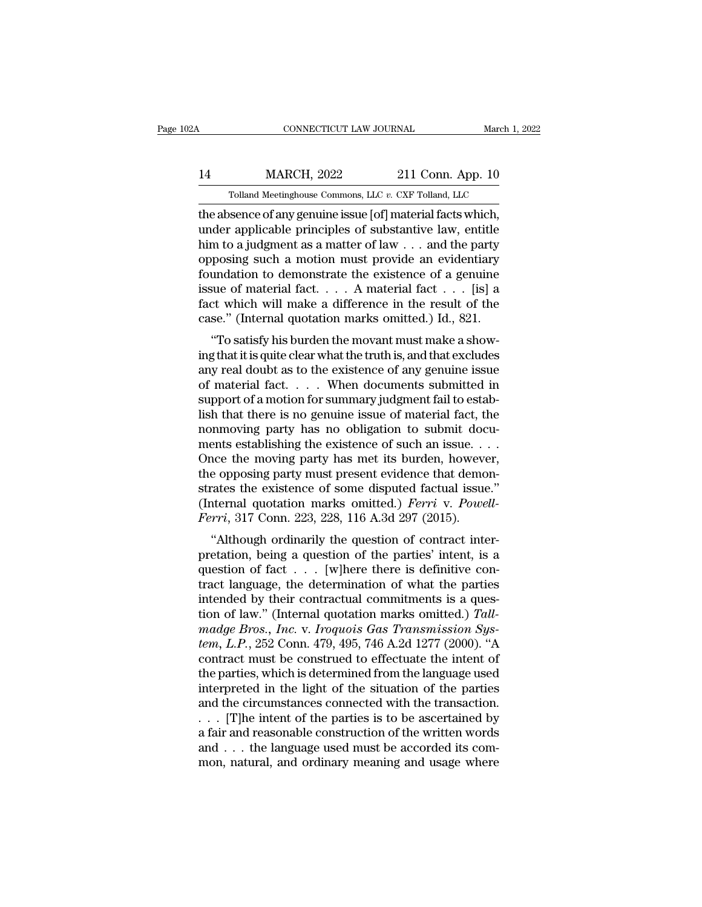## CONNECTICUT LAW JOURNAL March 1, 2022<br>14 MARCH, 2022 211 Conn. App. 10<br>19 Tolland Meetinghouse Commons, LLC v. CXF Tolland, LLC CONNECTICUT LAW JOURNAL March 1, 2<br>MARCH, 2022 211 Conn. App. 10<br>Tolland Meetinghouse Commons, LLC *v.* CXF Tolland, LLC<br>Sence of any genuine issue [of] material facts which

CONNECTICUT LAW JOURNAL March 1, 20<br>
14 MARCH, 2022 211 Conn. App. 10<br>
19 Tolland Meetinghouse Commons, LLC v. CXF Tolland, LLC<br>
19 Tolland Meetinghouse Commons, LLC v. CXF Tolland, LLC<br>
19 Tolland Meetinghouse issue [of] MARCH, 2022 211 Conn. App. 10<br>
Tolland Meetinghouse Commons, LLC v. CXF Tolland, LLC<br>
the absence of any genuine issue [of] material facts which,<br>
under applicable principles of substantive law, entitle<br>
him to a judgment  $\frac{\text{MARCH, 2022}}{\text{Tolland Metinghouse Commons, LLC } v. \text{ CXF Tolland, LLC}}$ <br>
the absence of any genuine issue [of] material facts which,<br>
under applicable principles of substantive law, entitle<br>
him to a judgment as a matter of law . . . and the party<br>
opp 14 MARCH, 2022 211 Conn. App. 10<br>
Tolland Meetinghouse Commons, LLC  $v$ . CXF Tolland, LLC<br>
the absence of any genuine issue [of] material facts which,<br>
under applicable principles of substantive law, entitle<br>
him to a jud Tolland Meetinghouse Commons, LLC v. CXF Tolland, LLC<br>the absence of any genuine issue [of] material facts which,<br>under applicable principles of substantive law, entitle<br>him to a judgment as a matter of law . . . and the Tolland Meetinghouse Commons, LLC v. CXF Tolland, LLC<br>the absence of any genuine issue [of] material facts which,<br>under applicable principles of substantive law, entitle<br>him to a judgment as a matter of law . . . and the the absence of any genuine issue [of] material facts which,<br>under applicable principles of substantive law, entitle<br>him to a judgment as a matter of law  $\dots$  and the party<br>opposing such a motion must provide an evidentiar under applicable principles of substantive law, entitle<br>him to a judgment as a matter of law . . . and the party<br>opposing such a motion must provide an evidentiary<br>foundation to demonstrate the existence of a genuine<br>issu In to a judgment as a matter of raw  $\ldots$  and the party<br>posing such a motion must provide an evidentiary<br>undation to demonstrate the existence of a genuine<br>sue of material fact  $\ldots$ . A material fact  $\ldots$  [is] a<br>ct which by foundation to demonstrate the existence of a genuine<br>issue of material fact.... A material fact ... [is] a<br>fact which will make a difference in the result of the<br>case." (Internal quotation marks omitted.) Id., 821.<br>"To

France of material fact.... A material fact  $\dots$  [is] a<br>fact which will make a difference in the result of the<br>case." (Internal quotation marks omitted.) Id., 821.<br>"To satisfy his burden the movant must make a show-<br>ing t siste of material fact. . . . . A material fact  $\ldots$  [is] a<br>fact which will make a difference in the result of the<br>case." (Internal quotation marks omitted.) Id., 821.<br>"To satisfy his burden the movant must make a show-<br> Fact which will have a unference in the result of the<br>case." (Internal quotation marks omitted.) Id., 821.<br>"To satisfy his burden the movant must make a show-<br>ing that it is quite clear what the truth is, and that exclude Case. (Internal quotation marks on<br>the i.e.,  $\alpha$ 21.<br>"To satisfy his burden the movant must make a show-<br>ing that it is quite clear what the truth is, and that excludes<br>any real doubt as to the existence of any genuine is "To satisfy his burden the movant must make a show-<br>ing that it is quite clear what the truth is, and that excludes<br>any real doubt as to the existence of any genuine issue<br>of material fact.... When documents submitted in<br> ing that it is quite clear what the truth is, and that excludes<br>any real doubt as to the existence of any genuine issue<br>of material fact. . . . . When documents submitted in<br>support of a motion for summary judgment fail to any real doubt as to the existence of any genuine issue<br>of material fact. . . . . When documents submitted in<br>support of a motion for summary judgment fail to estab-<br>lish that there is no genuine issue of material fact, t of material fact. . . . When documents submitted in<br>support of a motion for summary judgment fail to estab-<br>lish that there is no genuine issue of material fact, the<br>nonmoving party has no obligation to submit docu-<br>ments support of a motion for summary judgment fail to establish that there is no genuine issue of material fact, the nonmoving party has no obligation to submit documents establishing the existence of such an issue.... Once th lish that there is no genuine issue of material fact, the<br>nonmoving party has no obligation to submit docu-<br>ments establishing the existence of such an issue....<br>Once the moving party has met its burden, however,<br>the oppos monmoving party has no obligation to submit doc<br>ments establishing the existence of such an issue. .<br>Once the moving party has met its burden, howeve<br>the opposing party must present evidence that demo<br>strates the existence Thus establishing the existence of such an issue.  $\ldots$ <br>
are the moving party has met its burden, however,<br>
e opposing party must present evidence that demon-<br>
rates the existence of some disputed factual issue."<br>
iternal Figure the moving party has lifet its burden, however,<br>the opposing party must present evidence that demon-<br>strates the existence of some disputed factual issue."<br>(Internal quotation marks omitted.) *Ferri* v. *Powell-*<br>

the opposing party must present evidence that demonstrates the existence of some disputed factual issue."<br>(Internal quotation marks omitted.) *Ferri* v. *Powell-<br>Ferri*, 317 Conn. 223, 228, 116 A.3d 297 (2015).<br>"Although Strates the existence of some disputed factual issue.<br>(Internal quotation marks omitted.) *Ferri* v. Powell-<br>*Ferri*, 317 Conn. 223, 228, 116 A.3d 297 (2015).<br>"Although ordinarily the question of contract inter-<br>pretation Ferri, 317 Conn. 223, 228, 116 A.3d 297 (2015).<br>
"Although ordinarily the question of contract inter-<br>
pretation, being a question of the parties' intent, is a<br>
question of fact . . . [w]here there is definitive con-<br>
tra Ferri, 517 Colui. 225, 226, 110 A.5d 257 (2015).<br>
"Although ordinarily the question of contract inter-<br>
pretation, being a question of the parties' intent, is a<br>
question of fact . . . [w]here there is definitive con-<br>
tr "Although ordinarily the question of contract inter-<br>pretation, being a question of the parties' intent, is a<br>question of fact . . . [w]here there is definitive con-<br>tract language, the determination of what the parties<br>in pretation, being a question of the parties' intent, is a<br>question of fact . . . [w]here there is definitive con-<br>tract language, the determination of what the parties<br>intended by their contractual commitments is a ques-<br>ti question of fact  $\ldots$  [w]here there is definitive contract language, the determination of what the parties<br>intended by their contractual commitments is a ques-<br>tion of law." (Internal quotation marks omitted.) Tall-<br>*mad* tract language, the determination of what the parties<br>intended by their contractual commitments is a ques-<br>tion of law." (Internal quotation marks omitted.) Tall-<br>madge Bros., Inc. v. Iroquois Gas Transmission Sys-<br>tem, L. intended by their contractual commitments is a question of law." (Internal quotation marks omitted.) Tall-<br>madge Bros., Inc. v. Iroquois Gas Transmission System, L.P., 252 Conn. 479, 495, 746 A.2d 1277 (2000). "A<br>contract tion of law." (Internal quotation marks omitted.) Tall-<br>madge Bros., Inc. v. Iroquois Gas Transmission System, L.P., 252 Conn. 479, 495, 746 A.2d 1277 (2000). "A<br>contract must be construed to effectuate the intent of<br>the madge Bros., Inc. v. Iroquois Gas Transmission System, L.P., 252 Conn. 479, 495, 746 A.2d 1277 (2000). "A contract must be construed to effectuate the intent of the parties, which is determined from the language used inte tem, L.P., 252 Conn. 479, 495, 746 A.2d 1277 (2000). "A<br>contract must be construed to effectuate the intent of<br>the parties, which is determined from the language used<br>interpreted in the light of the situation of the parti contract must be construed to effectuate the intent of<br>the parties, which is determined from the language used<br>interpreted in the light of the situation of the parties<br>and the circumstances connected with the transaction. the parties, which is determined from the language used<br>interpreted in the light of the situation of the parties<br>and the circumstances connected with the transaction.<br> $\ldots$  [T]he intent of the parties is to be ascertained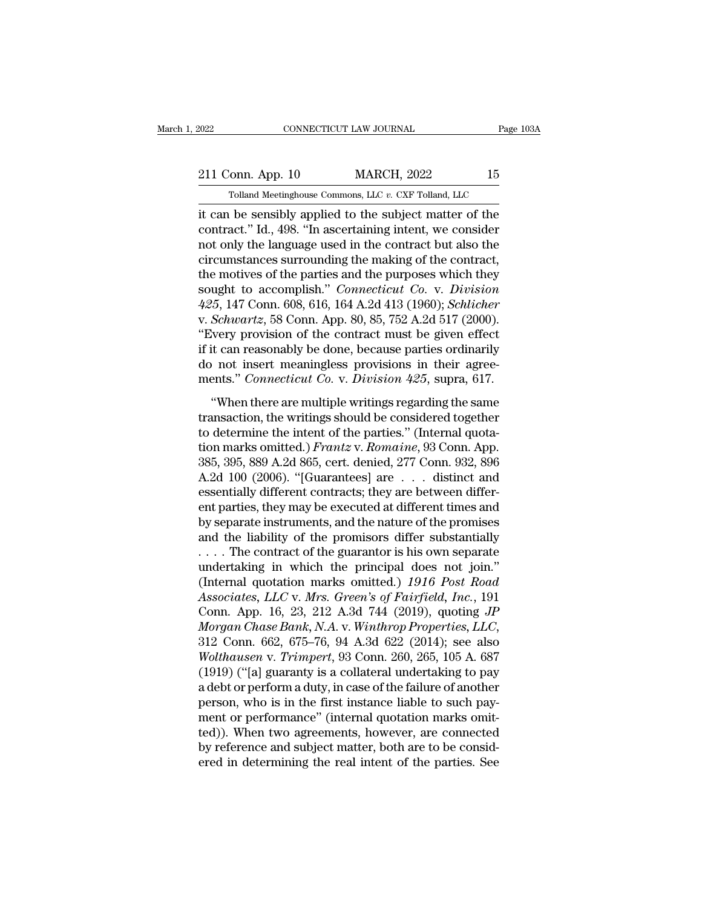EXECUTE CONNECTICUT LAW JOURNAL Page 103A<br>211 Conn. App. 10 MARCH, 2022 15<br>211 Conn. App. 10 MARCH, 2022 15 CONNECTICUT LAW JOURNAL Page 1<br>Tolland Meetinghouse Commons, LLC *v.* CXF Tolland, LLC<br>Tolland Meetinghouse Commons, LLC *v.* CXF Tolland, LLC<br>The sensibly applied to the subject matter of the

EXECUTE CONNECTICUT LAW JOURNAL Page 103A<br>
211 Conn. App. 10 MARCH, 2022 15<br>
Tolland Meetinghouse Commons, LLC v. CXF Tolland, LLC<br>
it can be sensibly applied to the subject matter of the<br>
contract.'' Id., 498. "In ascerta 211 Conn. App. 10 MARCH, 2022 15<br>
Tolland Meetinghouse Commons, LLC v. CXF Tolland, LLC<br>
it can be sensibly applied to the subject matter of the<br>
contract.'' Id., 498. "In ascertaining intent, we consider<br>
not only the lan 211 Conn. App. 10 MARCH, 2022 15<br>
Tolland Meetinghouse Commons, LLC  $v$ . CXF Tolland, LLC<br>
it can be sensibly applied to the subject matter of the<br>
contract." Id., 498. "In ascertaining intent, we consider<br>
not only the l 211 Conn. App. 10 MARCH, 2022 15<br>
Tolland Meetinghouse Commons, LLC  $v$ . CXF Tolland, LLC<br>
it can be sensibly applied to the subject matter of the<br>
contract." Id., 498. "In ascertaining intent, we consider<br>
not only the l Tolland Meetinghouse Commons, LLC v. CXF Tolland, LLC<br>it can be sensibly applied to the subject matter of the<br>contract." Id., 498. "In ascertaining intent, we consider<br>not only the language used in the contract but also th Tolland Meetinghouse Commons, LLC v. CXF Tolland, LLC<br>it can be sensibly applied to the subject matter of the<br>contract.'' Id., 498. "In ascertaining intent, we consider<br>not only the language used in the contract but also t it can be sensibly applied to the subject matter of the contract." Id., 498. "In ascertaining intent, we consider not only the language used in the contract but also the circumstances surrounding the making of the contract contract." Id., 498. "In ascertaining intent, we consider<br>not only the language used in the contract but also the<br>circumstances surrounding the making of the contract,<br>the motives of the parties and the purposes which they not only the language used in the contract but also the circumstances surrounding the making of the contract, the motives of the parties and the purposes which they sought to accomplish." *Connecticut Co.* v. *Division* 42 circumstances surrounding the making of the contract,<br>the motives of the parties and the purposes which they<br>sought to accomplish." *Connecticut Co.* v. *Division*<br>425, 147 Conn. 608, 616, 164 A.2d 413 (1960); *Schlicher*<br> the motives of the parties and the purposes which they<br>sought to accomplish." *Connecticut Co.* v. *Division*<br> $425$ , 147 Conn. 608, 616, 164 A.2d 413 (1960); *Schlicher*<br>v. *Schwartz*, 58 Conn. App. 80, 85, 752 A.2d 517 ( sought to accomplish." *Connecticut Co.* v. *Division*<br>425, 147 Conn. 608, 616, 164 A.2d 413 (1960); *Schlicher*<br>v. *Schwartz*, 58 Conn. App. 80, 85, 752 A.2d 517 (2000).<br>"Every provision of the contract must be given effe ''When there are multiple writings regarding the same "Every provision of the contract must be given effect<br>
if it can reasonably be done, because parties ordinarily<br>
do not insert meaningless provisions in their agree-<br>
ments." *Connecticut Co.* v. *Division 425*, supra, 61

Every provision of the contract mast se given ences<br>if it can reasonably be done, because parties ordinarily<br>do not insert meaningless provisions in their agree-<br>ments." *Connecticut Co.* v. *Division 425*, supra, 617.<br>"W the cast reasonality be done, because parties ordinary<br>do not insert meaningless provisions in their agree-<br>ments." *Connecticut Co.* v. *Division 425*, supra, 617.<br>"When there are multiple writings regarding the same<br>tran 385, 395, 889 A.2d 865, cert. denied, 277 Conn. 932, 896<br>A.2d 100 (2006). "Guarantees" (Internal quota-<br>tion marks omitted.) *Frantz* v. *Romaine*, 93 Conn. App.<br>385, 395, 889 A.2d 865, cert. denied, 277 Conn. 932, 896<br>A. "When there are multiple writings regarding the same<br>transaction, the writings should be considered together<br>to determine the intent of the parties." (Internal quota-<br>tion marks omitted.) *Frantz* v. *Romaine*, 93 Conn. A "When there are multiple writings regarding the same<br>transaction, the writings should be considered together<br>to determine the intent of the parties." (Internal quota-<br>tion marks omitted.) *Frantz* v. *Romaine*, 93 Conn. A transaction, the writings should be considered together<br>to determine the intent of the parties." (Internal quota-<br>tion marks omitted.) *Frantz* v. *Romaine*, 93 Conn. App.<br>385, 395, 889 A.2d 865, cert. denied, 277 Conn. 9 to determine the intent of the parties." (Internal quotation marks omitted.) *Frantz v. Romaine*, 93 Conn. App. 385, 395, 889 A.2d 865, cert. denied, 277 Conn. 932, 896 A.2d 100 (2006). "[Guarantees] are  $\ldots$  distinct an tion marks omitted.) *Frantz* v. *Romaine*, 93 Conn. App.<br>385, 395, 889 A.2d 865, cert. denied, 277 Conn. 932, 896<br>A.2d 100 (2006). "[Guarantees] are . . . distinct and<br>essentially different contracts; they are between di 385, 395, 889 A.2d 865, cert. denied, 277 Conn. 932, 896<br>A.2d 100 (2006). "[Guarantees] are . . . distinct and<br>essentially different contracts; they are between differ-<br>ent parties, they may be executed at different times A.2d 100 (2006). "[Guarantees] are . . . distinct and<br>essentially different contracts; they are between differ-<br>ent parties, they may be executed at different times and<br>by separate instruments, and the nature of the promi essentially different contracts; they are between different parties, they may be executed at different times and<br>by separate instruments, and the nature of the promises<br>and the liability of the promisors differ substantial ent parties, they may be executed at different times and<br>by separate instruments, and the nature of the promises<br>and the liability of the promisors differ substantially<br>.... The contract of the guarantor is his own separat by separate instruments, and the nature of the promises<br>and the liability of the promisors differ substantially<br>.... The contract of the guarantor is his own separate<br>undertaking in which the principal does not join."<br>(Int and the liability of the promisors differ substantially<br>
.... The contract of the guarantor is his own separate<br>
undertaking in which the principal does not join."<br>
(Internal quotation marks omitted.) 1916 Post Road<br>
Assoc undertaking in which the principal does not join."<br>
(Internal quotation marks omitted.) 1916 Post Road<br>
Associates, LLC v. Mrs. Green's of Fairfield, Inc., 191<br>
Conn. App. 16, 23, 212 A.3d 744 (2019), quoting JP<br> *Morgan C* (Internal quotation marks omitted.)  $1916$  *Post Road*<br>Associates, LLC v. Mrs. Green's of Fairfield, Inc., 191<br>Conn. App. 16, 23, 212 A.3d 744 (2019), quoting JP<br>Morgan Chase Bank, N.A. v. Winthrop Properties, LLC,<br>312 Co Associates, LLC v. Mrs. Green's of Fairfield, Inc., 191<br>Conn. App. 16, 23, 212 A.3d 744 (2019), quoting JP<br>Morgan Chase Bank, N.A. v. Winthrop Properties, LLC,<br>312 Conn. 662, 675–76, 94 A.3d 622 (2014); see also<br>Wolthausen Conn. App. 16, 23, 212 A.3d 744 (2019), quoting *JP*<br>Morgan Chase Bank, N.A. v. Winthrop Properties, LLC,<br>312 Conn. 662, 675–76, 94 A.3d 622 (2014); see also<br>Wolthausen v. Trimpert, 93 Conn. 260, 265, 105 A. 687<br>(1919) ("[ Morgan Chase Bank, N.A. v. Winthrop Properties, LLC,<br>312 Conn. 662, 675–76, 94 A.3d 622 (2014); see also<br>Wolthausen v. Trimpert, 93 Conn. 260, 265, 105 A. 687<br>(1919) ("[a] guaranty is a collateral undertaking to pay<br>a debt 312 Conn. 662, 675–76, 94 A.3d 622 (2014); see also<br> *Wolthausen* v. *Trimpert*, 93 Conn. 260, 265, 105 A. 687<br>
(1919) ("[a] guaranty is a collateral undertaking to pay<br>
a debt or perform a duty, in case of the failure of Wolthausen v. Trimpert, 93 Conn. 260, 265, 105 A. 687 (1919) ("[a] guaranty is a collateral undertaking to pay a debt or perform a duty, in case of the failure of another person, who is in the first instance liable to such (1919) ("[a] guaranty is a collateral undertaking to pay<br>a debt or perform a duty, in case of the failure of another<br>person, who is in the first instance liable to such pay-<br>ment or performance" (internal quotation marks o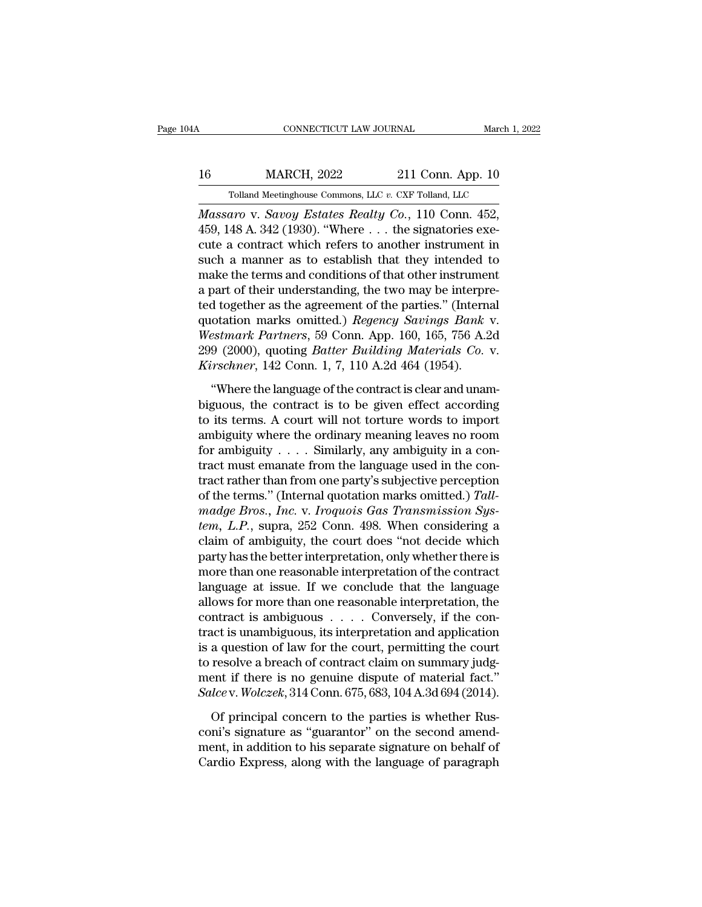## CONNECTICUT LAW JOURNAL March 1, 2022<br>16 MARCH, 2022 211 Conn. App. 10<br>Tolland Meetinghouse Commons, LLC v. CXF Tolland, LLC  $\begin{tabular}{ c c c} CONNECTICUT LAW JOURNAL & March 1, 2 \ \hline \end{tabular} \begin{tabular}{ c c c} \multicolumn{2}{c}{MARCH, 2022} & 211 Conn. App. 10 \ \hline \end{tabular} \begin{tabular}{ c c c} \multicolumn{2}{c}{\text{\textcolor{blue}Tolland Meeting house Commons, LLC $v. CXF Tolland, LLC} \ \hline \end{tabular} \end{tabular} \end{tabular}$

*CONNECTICUT LAW JOURNAL* March 1, 2<br> *MARCH*, 2022 211 Conn. App. 10<br> *Tolland Meetinghouse Commons, LLC v. CXF Tolland, LLC*<br> *Massaro* v. *Savoy Estates Realty Co.*, 110 Conn. 452,<br>
459, 148 A. 342 (1930). "Where ... th 16 MARCH, 2022 211 Conn. App. 10<br>
Tolland Meetinghouse Commons, LLC v. CXF Tolland, LLC<br>
Massaro v. Savoy Estates Realty Co., 110 Conn. 452,<br>
459, 148 A. 342 (1930). "Where . . . the signatories exe-<br>
cute a contract which 16 MARCH, 2022 211 Conn. App. 10<br>
Tolland Meetinghouse Commons, LLC v. CXF Tolland, LLC<br>
Massaro v. Savoy Estates Realty Co., 110 Conn. 452,<br>
459, 148 A. 342 (1930). "Where ... the signatories execute a contract which ref 16 MARCH, 2022 211 Conn. App. 10<br>
Tolland Meetinghouse Commons, LLC v. CXF Tolland, LLC<br>
Massaro v. Savoy Estates Realty Co., 110 Conn. 452,<br>
459, 148 A. 342 (1930). "Where ... the signatories execute a contract which ref Tolland Meetinghouse Commons, LLC v. CXF Tolland, LLC<br>
Massaro v. Savoy Estates Realty Co., 110 Conn. 452,<br>
459, 148 A. 342 (1930). "Where ... the signatories execute a contract which refers to another instrument in<br>
such Fouand Meetinghouse Commons, LLC v. CAF Touand, LLC<br>Massaro v. Savoy Estates Realty Co., 110 Conn. 452,<br>459, 148 A. 342 (1930). "Where  $\dots$  the signatories exe-<br>cute a contract which refers to another instrument in<br>such a *Massaro v. Savoy Estates Realty Co.*, 110 Conn. 452, 459, 148 A. 342 (1930). "Where . . . the signatories execute a contract which refers to another instrument in such a manner as to establish that they intended to make 459, 148 A. 342 (1930). "Where . . . the signatories execute a contract which refers to another instrument in such a manner as to establish that they intended to make the terms and conditions of that other instrument a par cute a contract which refers to another instrument in<br>such a manner as to establish that they intended to<br>make the terms and conditions of that other instrument<br>a part of their understanding, the two may be interpre-<br>ted t such a manner as to establish that they intended to<br>make the terms and conditions of that other instrument<br>a part of their understanding, the two may be interpre-<br>ted together as the agreement of the parties." (Internal<br>qu make the terms and conditions of that other instrumer<br>a part of their understanding, the two may be interprecent to together as the agreement of the parties." (Interna<br>quotation marks omitted.) *Regency Savings Bank*<br>*West* a part of their understanding, the two may be interpreted together as the agreement of the parties." (Internal quotation marks omitted.) *Regency Savings Bank v. Westmark Partners*, 59 Conn. App. 160, 165, 756 A.2d 299 (2 quotation marks omitted.) Regency Savings Bank v.<br>Westmark Partners, 59 Conn. App. 160, 165, 756 A.2d<br>299 (2000), quoting Batter Building Materials Co. v.<br>Kirschner, 142 Conn. 1, 7, 110 A.2d 464 (1954).<br>"Where the languag

Westmark Partners, 59 Conn. App. 160, 165, 756 A.2d<br>299 (2000), quoting *Batter Building Materials Co. v.*<br>*Kirschner*, 142 Conn. 1, 7, 110 A.2d 464 (1954).<br>
"Where the language of the contract is clear and unam-<br>biguous, 299 (2000), quoting *Batter Building Materials Co.* v.<br> *Kirschner*, 142 Conn. 1, 7, 110 A.2d 464 (1954).<br>
"Where the language of the contract is clear and unam-<br>
biguous, the contract is to be given effect according<br>
to *Kirschner*, 142 Conn. 1, 7, 110 A.2d 464 (1954).<br>
"Where the language of the contract is clear and unam-<br>
biguous, the contract is to be given effect according<br>
to its terms. A court will not torture words to import<br>
amb "Where the language of the contract is clear and unam-<br>biguous, the contract is to be given effect according<br>to its terms. A court will not torture words to import<br>ambiguity where the ordinary meaning leaves no room<br>for a "Where the language of the contract is clear and unam-<br>biguous, the contract is to be given effect according<br>to its terms. A court will not torture words to import<br>ambiguity where the ordinary meaning leaves no room<br>for a biguous, the contract is to be given effect according<br>to its terms. A court will not torture words to import<br>ambiguity where the ordinary meaning leaves no room<br>for ambiguity . . . . Similarly, any ambiguity in a con-<br>trac to its terms. A court will not torture words to import<br>ambiguity where the ordinary meaning leaves no room<br>for ambiguity . . . . Similarly, any ambiguity in a con-<br>tract must emanate from the language used in the con-<br>trac ambiguity where the ordinary meaning leaves no room<br>for ambiguity . . . . Similarly, any ambiguity in a con-<br>tract must emanate from the language used in the con-<br>tract rather than from one party's subjective perception<br>of for ambiguity . . . . Similarly, any ambiguity in a contract must emanate from the language used in the contract rather than from one party's subjective perception of the terms." (Internal quotation marks omitted.) Tall-<br> tract must emanate from the language used in the con-<br>tract rather than from one party's subjective perception<br>of the terms." (Internal quotation marks omitted.) Tall-<br>madge Bros., Inc. v. Iroquois Gas Transmission Sys-<br>te tract rather than from one party's subjective perception<br>of the terms." (Internal quotation marks omitted.) Tall-<br>madge Bros., Inc. v. Iroquois Gas Transmission Sys-<br>tem, L.P., supra, 252 Conn. 498. When considering a<br>clai of the terms." (Internal quotation marks omitted.) Tall-<br>madge Bros., Inc. v. Iroquois Gas Transmission Sys-<br>tem, L.P., supra, 252 Conn. 498. When considering a<br>claim of ambiguity, the court does "not decide which<br>party ha madge Bros., Inc. v. Iroquois Gas Transmission System, L.P., supra, 252 Conn. 498. When considering a claim of ambiguity, the court does "not decide which party has the better interpretation, only whether there is more th *tem, L.P.*, supra, 252 Conn. 498. When considering a claim of ambiguity, the court does "not decide which party has the better interpretation, only whether there is more than one reasonable interpretation of the contract claim of ambiguity, the court does "not decide which<br>party has the better interpretation, only whether there is<br>more than one reasonable interpretation of the contract<br>language at issue. If we conclude that the language<br>al party has the better interpretation, only whether there is<br>more than one reasonable interpretation of the contract<br>language at issue. If we conclude that the language<br>allows for more than one reasonable interpretation, the more than one reasonable interpretation of the contract language at issue. If we conclude that the language allows for more than one reasonable interpretation, the contract is ambiguous, its interpretation and application language at issue. If we conclude that the language allows for more than one reasonable interpretation, the contract is ambiguous  $\dots$  Conversely, if the contract is unambiguous, its interpretation and application is a qu allows for more than one reasonable interpretation, the contract is ambiguous . . . . . Conversely, if the contract is unambiguous, its interpretation and application is a question of law for the court, permitting the cour tract is unambiguous, its interpretation and application<br>is a question of law for the court, permitting the court<br>to resolve a breach of contract claim on summary judg-<br>ment if there is no genuine dispute of material fact is a question of law for the court, permitting the court<br>to resolve a breach of contract claim on summary judg-<br>ment if there is no genuine dispute of material fact."<br>Salce v. Wolczek, 314 Conn. 675, 683, 104 A.3d 694 (201

to resolve a breach of contract claim on summary judgment if there is no genuine dispute of material fact."<br>Salce v. Wolczek, 314 Conn. 675, 683, 104 A.3d 694 (2014).<br>Of principal concern to the parties is whether Rus-<br>con ment if there is no genuine dispute of material fact."<br>Salce v. Wolczek, 314 Conn. 675, 683, 104 A.3d 694 (2014).<br>Of principal concern to the parties is whether Rus-<br>coni's signature as "guarantor" on the second amend-<br>men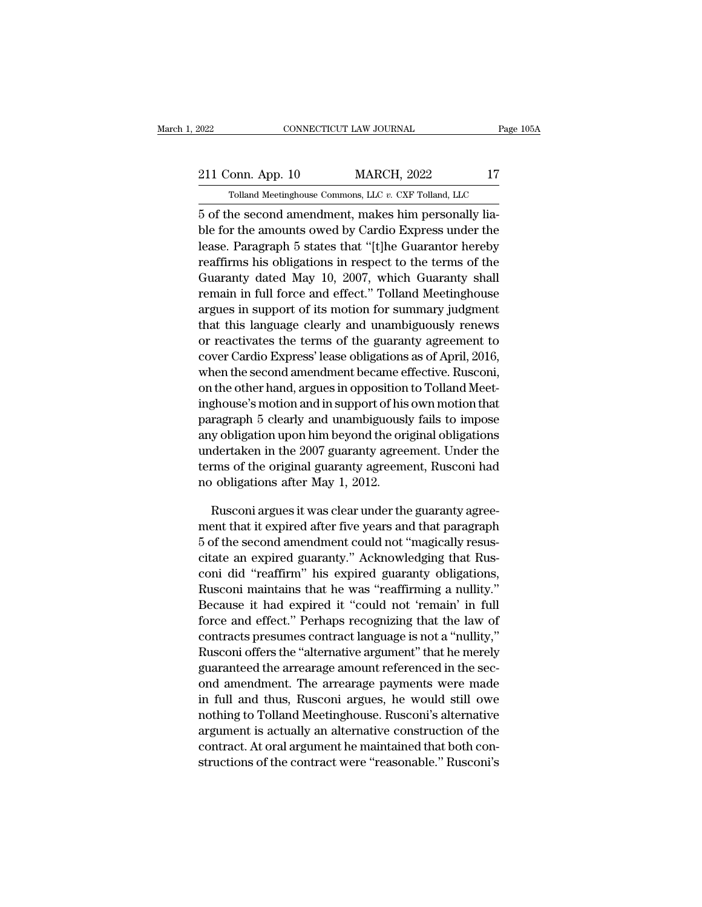# EXECUTE CONNECTICUT LAW JOURNAL Page 105A<br>211 Conn. App. 10 MARCH, 2022 17<br>211 Tolland Meetinghouse Commons, LLC v. CXF Tolland, LLC CONNECTICUT LAW JOURNAL Page 105A<br>211 Conn. App. 10 MARCH, 2022 17<br>7 Tolland Meetinghouse Commons, LLC *v.* CXF Tolland, LLC<br>5 of the second amendment, makes him personally lia-

FORD THE SET ON SOURNAL CONSECTICUT LAW JOURNAL<br>
5 of the second amendment, makes him personally lia-<br>
5 of the second amendment, makes him personally lia-<br>
ble for the amounts owed by Cardio Express under the 211 Conn. App. 10 MARCH, 2022 17<br>
Tolland Meetinghouse Commons, LLC  $v$ . CXF Tolland, LLC<br>
5 of the second amendment, makes him personally lia-<br>
ble for the amounts owed by Cardio Express under the<br>
lease. Paragraph 5 sta 211 Conn. App. 10 MARCH, 2022 17<br>
Tolland Meetinghouse Commons, LLC  $v$ . CXF Tolland, LLC<br>
5 of the second amendment, makes him personally lia-<br>
ble for the amounts owed by Cardio Express under the<br>
lease. Paragraph 5 sta 211 Conn. App. 10 MARCH, 2022 17<br>
Tolland Meetinghouse Commons, LLC v. CXF Tolland, LLC<br>
5 of the second amendment, makes him personally lia-<br>
ble for the amounts owed by Cardio Express under the<br>
lease. Paragraph 5 states Tolland Meetinghouse Commons, LLC  $v$ . CXF Tolland, LLC<br>5 of the second amendment, makes him personally lia-<br>ble for the amounts owed by Cardio Express under the<br>lease. Paragraph 5 states that "[t]he Guarantor hereby<br>reaf Frame and an endment, makes him personally liable for the amounts owed by Cardio Express under the lease. Paragraph 5 states that "[t]he Guarantor hereby reaffirms his obligations in respect to the terms of the Guaranty da ary of the second amendment, makes nim personally habitation for the amounts owed by Cardio Express under the lease. Paragraph 5 states that "[t]he Guarantor hereby reaffirms his obligations in respect to the terms of the ble for the amounts owed by Cardio Express under the<br>lease. Paragraph 5 states that "[t]he Guarantor hereby<br>reaffirms his obligations in respect to the terms of the<br>Guaranty dated May 10, 2007, which Guaranty shall<br>remain rease. Paragraph 5 states that [t]he Guarantor hereby<br>reaffirms his obligations in respect to the terms of the<br>Guaranty dated May 10, 2007, which Guaranty shall<br>remain in full force and effect." Tolland Meetinghouse<br>argues reammas his obligations in respect to the terms of the<br>Guaranty dated May 10, 2007, which Guaranty shall<br>remain in full force and effect." Tolland Meetinghouse<br>argues in support of its motion for summary judgment<br>that this Guaranty dated May 10, 2007, which Guaranty shall<br>remain in full force and effect." Tolland Meetinghouse<br>argues in support of its motion for summary judgment<br>that this language clearly and unambiguously renews<br>or reactivat remain in full force and effect. Tolland Meetinghouse<br>argues in support of its motion for summary judgment<br>that this language clearly and unambiguously renews<br>or reactivates the terms of the guaranty agreement to<br>cover Car argues in support of its motion for summary judgment<br>that this language clearly and unambiguously renews<br>or reactivates the terms of the guaranty agreement to<br>cover Cardio Express' lease obligations as of April, 2016,<br>when that this language clearly and unambiguously renews<br>or reactivates the terms of the guaranty agreement to<br>cover Cardio Express' lease obligations as of April, 2016,<br>when the second amendment became effective. Rusconi,<br>on t or reactivates the terms of the guaranty agreement to<br>cover Cardio Express' lease obligations as of April, 2016,<br>when the second amendment became effective. Rusconi,<br>on the other hand, argues in opposition to Tolland Meetcover Cardio Express Tease obigations as of April, 2016,<br>when the second amendment became effective. Rusconi,<br>on the other hand, argues in opposition to Tolland Meet-<br>inghouse's motion and in support of his own motion that when the second amendment became enective. Ruscom,<br>on the other hand, argues in opposition to Tolland Meet-<br>inghouse's motion and in support of his own motion that<br>paragraph 5 clearly and unambiguously fails to impose<br>any on the other nand, argues in opposition<br>inghouse's motion and in support of his<br>paragraph 5 clearly and unambiguousl<br>any obligation upon him beyond the ori<br>undertaken in the 2007 guaranty agreem<br>terms of the original guara ragraph 5 clearly and unambiguously fails to impose<br>y obligation upon him beyond the original obligations<br>dertaken in the 2007 guaranty agreement. Under the<br>rms of the original guaranty agreement, Rusconi had<br>obligations a any obligation upon him beyond the original obligations<br>undertaken in the 2007 guaranty agreement. Under the<br>terms of the original guaranty agreement, Rusconi had<br>no obligations after May 1, 2012.<br>Rusconi argues it was cle

undertaken in the 2007 guaranty agreement. Under the<br>terms of the original guaranty agreement, Rusconi had<br>no obligations after May 1, 2012.<br>Rusconi argues it was clear under the guaranty agreement<br>that it expired after fi terms of the original guaranty agreement, Rusconi had<br>no obligations after May 1, 2012.<br>Rusconi argues it was clear under the guaranty agreement that it expired after five years and that paragraph<br>5 of the second amendment no obligations after May 1, 2012.<br>
Rusconi argues it was clear under the guaranty agreement that it expired after five years and that paragraph<br>
5 of the second amendment could not "magically resus-<br>
citate an expired guar Rusconi argues it was clear under the guaranty agreement that it expired after five years and that paragraph<br>5 of the second amendment could not "magically resus-<br>citate an expired guaranty." Acknowledging that Rus-<br>coni d Rusconi argues it was crear under the guaranty agreement that it expired after five years and that paragraph<br>5 of the second amendment could not "magically resus-<br>citate an expired guaranty." Acknowledging that Rus-<br>coni d ment that it expired atter five years and that paragraph<br>
5 of the second amendment could not "magically resus-<br>
citate an expired guaranty." Acknowledging that Rus-<br>
coni did "reaffirm" his expired guaranty obligations,<br> s or the second amendment could not magically resus-<br>citate an expired guaranty." Acknowledging that Rus-<br>coni did "reaffirm" his expired guaranty obligations,<br>Rusconi maintains that he was "reaffirming a nullity."<br>Because Cruate an expired guaranty. Acknowledging that Rusconi did "reaffirm" his expired guaranty obligations,<br>Rusconi maintains that he was "reaffirming a nullity."<br>Because it had expired it "could not 'remain' in full<br>force and conf and "reaffirm" his expired guaranty obigations,<br>Rusconi maintains that he was "reaffirming a nullity."<br>Because it had expired it "could not 'remain' in full<br>force and effect." Perhaps recognizing that the law of<br>contr Rusconi maintains that he was "rearlifting a nullity.<br>Because it had expired it "could not 'remain' in full<br>force and effect." Perhaps recognizing that the law of<br>contracts presumes contract language is not a "nullity,"<br>Ru because it had expired it could not remain in full<br>force and effect." Perhaps recognizing that the law of<br>contracts presumes contract language is not a "nullity,"<br>Rusconi offers the "alternative argument" that he merely<br>gu norce and enect. Pernaps recognizing that the law of<br>contracts presumes contract language is not a "nullity,"<br>Rusconi offers the "alternative argument" that he merely<br>guaranteed the arrearage amount referenced in the sec-<br> contracts presumes contract language is not a nullity,<br>Rusconi offers the "alternative argument" that he merely<br>guaranteed the arrearage amount referenced in the sec-<br>ond amendment. The arrearage payments were made<br>in full ratiscont offers the "atternative argument" that he merety<br>guaranteed the arrearage amount referenced in the sec-<br>ond amendment. The arrearage payments were made<br>in full and thus, Rusconi argues, he would still owe<br>nothing guaranteed the arrearage amount referenced in the sec-<br>ond amendment. The arrearage payments were made<br>in full and thus, Rusconi argues, he would still owe<br>nothing to Tolland Meetinghouse. Rusconi's alternative<br>argument is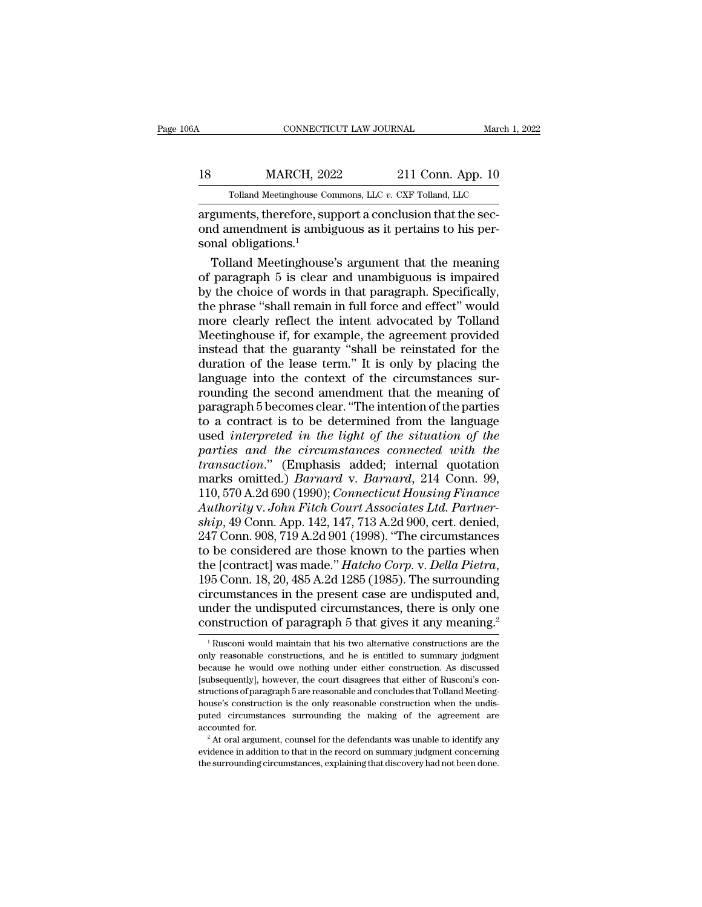## CONNECTICUT LAW JOURNAL March 1, 2022<br>18 MARCH, 2022 211 Conn. App. 10<br>Tolland Meetinghouse Commons, LLC v. CXF Tolland, LLC CONNECTICUT LAW JOURNAL March 1, 2<br>MARCH, 2022 211 Conn. App. 10<br>Tolland Meetinghouse Commons, LLC *v.* CXF Tolland, LLC<br>nents therefore support a conclusion that the sec-

CONNECTICUT LAW JOURNAL<br>
MARCH, 2022 211 Conn. App. 10<br>
Tolland Meetinghouse Commons, LLC v. CXF Tolland, LLC<br>
arguments, therefore, support a conclusion that the sec-<br>
cond amendment is ambiguous as it pertains to his per MARCH, 2022 211 Conn. App. 10<br>
Tolland Meetinghouse Commons, LLC v. CXF Tolland, LLC<br>
arguments, therefore, support a conclusion that the sec-<br>
ond amendment is ambiguous as it pertains to his per-<br>
sonal obligations.<sup>1</sup> 18 MARCH, 202<br>Tolland Meetinghouse Co<br>arguments, therefore, sup<br>ond amendment is ambig<br>sonal obligations.<sup>1</sup><br>Tolland Meetinghouse MARCH,  $2022$  211 Conn. App. 10<br>
Tolland Meetinghouse Commons, LLC  $v$ . CXF Tolland, LLC<br>
guments, therefore, support a conclusion that the sec-<br>
d amendment is ambiguous as it pertains to his per-<br>
ral obligations.<sup>1</sup><br>
T

Tolland Meetinghouse Commons, LLC  $v$ . CXF Tolland, LLC<br>arguments, therefore, support a conclusion that the sec-<br>ond amendment is ambiguous as it pertains to his per-<br>sonal obligations.<sup>1</sup><br>Tolland Meetinghouse's argument by the choice of words in that the section of paragraph.<br>
Tolland Meetinghouse's argument that the meaning of paragraph 5 is clear and unambiguous is impaired<br>
by the choice of words in that paragraph. Specifically,<br>
the p arguments, therefore, support a conclusion that the sec-<br>ond amendment is ambiguous as it pertains to his per-<br>sonal obligations.<sup>1</sup><br>Tolland Meetinghouse's argument that the meaning<br>of paragraph 5 is clear and unambiguous ond amendment is ambiguous as it pertains to his per-<br>sonal obligations.<sup>1</sup><br>Tolland Meetinghouse's argument that the meaning<br>of paragraph 5 is clear and unambiguous is impaired<br>by the choice of words in that paragraph. Spe sonal obligations.<sup>1</sup><br>Tolland Meetinghouse's argument that the meaning<br>of paragraph 5 is clear and unambiguous is impaired<br>by the choice of words in that paragraph. Specifically,<br>the phrase "shall remain in full force and Tolland Meetinghouse's argument that the meaning<br>of paragraph 5 is clear and unambiguous is impaired<br>by the choice of words in that paragraph. Specifically,<br>the phrase "shall remain in full force and effect" would<br>more cle of paragraph 5 is clear and unambiguous is impaired<br>by the choice of words in that paragraph. Specifically,<br>the phrase "shall remain in full force and effect" would<br>more clearly reflect the intent advocated by Tolland<br>Meet by the choice of words in that paragraph. Specifically, the phrase "shall remain in full force and effect" would more clearly reflect the intent advocated by Tolland Meetinghouse if, for example, the agreement provided ins the phrase "shall remain in full force and effect" would<br>more clearly reflect the intent advocated by Tolland<br>Meetinghouse if, for example, the agreement provided<br>instead that the guaranty "shall be reinstated for the<br>dura more clearly reflect the intent advocated by Tolland<br>Meetinghouse if, for example, the agreement provided<br>instead that the guaranty "shall be reinstated for the<br>duration of the lease term." It is only by placing the<br>langua Meetinghouse if, for example, the agreement provided<br>instead that the guaranty "shall be reinstated for the<br>duration of the lease term." It is only by placing the<br>language into the context of the circumstances sur-<br>roundin instead that the guaranty "shall be reinstated for the<br>duration of the lease term." It is only by placing the<br>language into the context of the circumstances sur-<br>rounding the second amendment that the meaning of<br>paragraph duration of the lease term." It is only by placing the<br>language into the context of the circumstances sur-<br>rounding the second amendment that the meaning of<br>paragraph 5 becomes clear. "The intention of the parties<br>to a con language into the context of the circumstances sur-<br>rounding the second amendment that the meaning of<br>paragraph 5 becomes clear. "The intention of the parties<br>to a contract is to be determined from the language<br>used *inter* rounding the second amendment that the meaning of<br>paragraph 5 becomes clear. "The intention of the parties<br>to a contract is to be determined from the language<br>used *interpreted in the light of the situation of the*<br>parties paragraph 5 becomes clear. "The intention of the parties<br>to a contract is to be determined from the language<br>used *interpreted in the light of the situation of the*<br>parties and the circumstances connected with the<br>transact <sup>1</sup> to a contract is to be determined from the language used *interpreted in the light of the situation of the parties and the circumstances connected with the transaction." (Emphasis added; internal quotation marks omitte* used *interpreted in the light of the situation of the*<br>parties and the circumstances connected with the<br>transaction." (Emphasis added; internal quotation<br>marks omitted.) *Barnard* v. *Barnard*, 214 Conn. 99,<br>110, 570 A.2d parties and the circumstances connected with the<br>transaction." (Emphasis added; internal quotation<br>marks omitted.) *Barnard* v. *Barnard*, 214 Conn. 99,<br>110, 570 A.2d 690 (1990); *Connecticut Housing Finance*<br>Authority v. transaction." (Emphasis added; internal quotation<br>marks omitted.) *Barnard* v. *Barnard*, 214 Conn. 99,<br>110, 570 A.2d 690 (1990); *Connecticut Housing Finance*<br>Authority v. John Fitch Court Associates Ltd. Partner-<br>ship, 4 marks omitted.) *Barnard v. Barnard*, 214 Conn. 99,<br>110, 570 A.2d 690 (1990); *Connecticut Housing Finance*<br>Authority v. John Fitch Court Associates Ltd. Partner-<br>ship, 49 Conn. App. 142, 147, 713 A.2d 900, cert. denied,<br>2 Authority v. John Fitch Court Associates Ltd. Partner-<br>ship, 49 Conn. App. 142, 147, 713 A.2d 900, cert. denied,<br>247 Conn. 908, 719 A.2d 901 (1998). "The circumstances<br>to be considered are those known to the parties when<br> ship, 49 Conn. App. 142, 147, 713 A.2d 900, cert. denied, 247 Conn. 908, 719 A.2d 901 (1998). "The circumstances to be considered are those known to the parties when the [contract] was made." *Hatcho Corp.* v. *Della Piet* 247 Conn. 908, 719 A.2d 901 (1998). "The circumstances<br>to be considered are those known to the parties when<br>the [contract] was made." *Hatcho Corp.* v. *Della Pietra*,<br>195 Conn. 18, 20, 485 A.2d 1285 (1985). The surroundi 95 Conn. 18, 20, 485 A.2d 1285 (1985). The surrounding<br>rcumstances in the present case are undisputed and,<br>nder the undisputed circumstances, there is only one<br>onstruction of paragraph 5 that gives it any meaning.<sup>2</sup><br><sup>1</sup> circumstances in the present case are undisputed and,<br>under the undisputed circumstances, there is only one<br>construction of paragraph 5 that gives it any meaning.<sup>2</sup><br><sup>1</sup>Rusconi would maintain that his two alternative const

under the undisputed circumstances, there is only one construction of paragraph 5 that gives it any meaning.<sup>2</sup><br> $\frac{1}{1}$ Rusconi would maintain that his two alternative constructions are the only reasonable constructions, **CONSTRUCTION OF PATAGEMPT 5 that gives it any meaning.**<sup>2</sup><br><sup>1</sup> Rusconi would maintain that his two alternative constructions are the only reasonable constructions, and he is entitled to summary judgment because he would CONSTRUCTION OF paragraph 5 that gives it any inteating.<br>
<sup>1</sup> Rusconi would maintain that his two alternative constructions are the only reasonable constructions, and he is entitled to summary judgment because he would ow  $^{-1}$  Rusconi would maintain that his two alternative constructions are the only reasonable constructions, and he is entitled to summary judgment because he would owe nothing under either construction. As discussed [subse puted constructions, and he is entitled to summary judgment<br>because he would owe nothing under either construction. As discussed<br>[subsequently], however, the court disagrees that either of Rusconi's con-<br>structions of para because he would owe nothing under either construction. As discussed [subsequently], however, the court disagrees that either of Rusconi's constructions of paragraph 5 are reasonable and concludes that Tolland Meeting-hou extructions of paragraph 5 are reasonable and concludes that Tolland Meeting-<br>house's construction is the only reasonable construction when the undis-<br>puted circumstances surrounding the making of the agreement are<br>account house's construction is the only reasonable construction when the undis-<br>puted circumstances surrounding the making of the agreement are<br>accounted for.<br><sup>2</sup> At oral argument, counsel for the defendants was unable to identif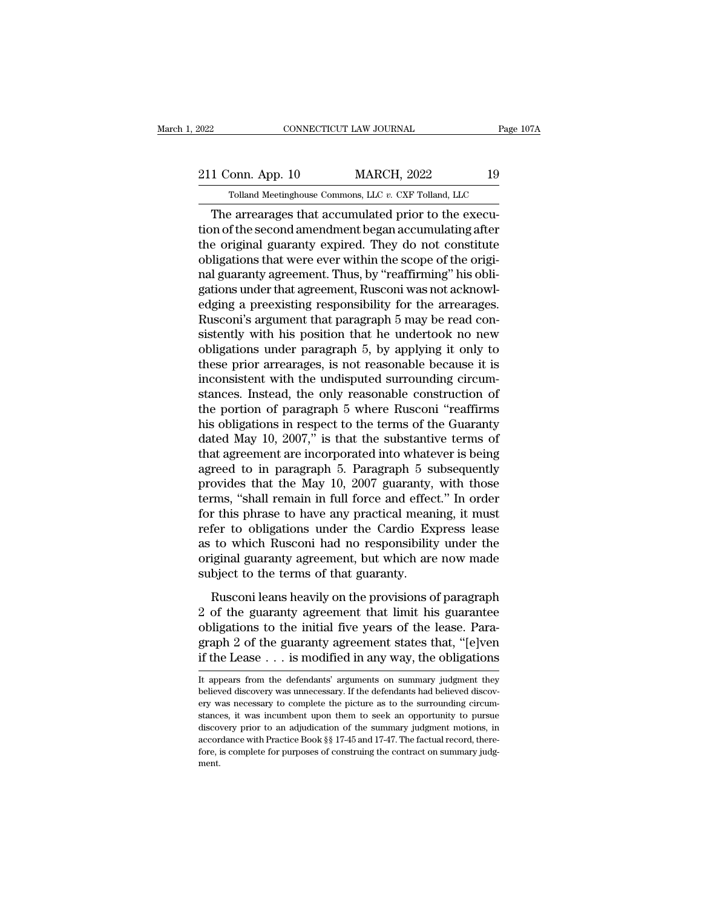## 2022 CONNECTICUT LAW JOURNAL Page 107A<br>211 Conn. App. 10 MARCH, 2022 19<br>211 Tolland Meetinghouse Commons, LLC v. CXF Tolland, LLC CONNECTICUT LAW JOURNAL Page 1<br>
Tolland Meetinghouse Commons, LLC *v.* CXF Tolland, LLC<br>
Parrearages that accumulated prior to the execu-

CONNECTICUT LAW JOURNAL<br>
1 Conn. App. 10 MARCH, 2022 19<br>
Tolland Meetinghouse Commons, LLC v. CXF Tolland, LLC<br>
The arrearages that accumulated prior to the execu-<br>
The second amendment began accumulating after<br>
a crisinal 211 Conn. App. 10 MARCH, 2022 19<br>
Tolland Meetinghouse Commons, LLC v. CXF Tolland, LLC<br>
The arrearages that accumulated prior to the execution of the second amendment began accumulating after<br>
the original guaranty expire 211 Conn. App. 10 MARCH, 2022 19<br>
Tolland Meetinghouse Commons, LLC  $v$ . CXF Tolland, LLC<br>
The arrearages that accumulated prior to the execution of the second amendment began accumulating after<br>
the original guaranty exp 211 Conn. App. 10 MARCH, 2022 19<br>
Tolland Meetinghouse Commons, LLC  $v$ . CXF Tolland, LLC<br>
The arrearages that accumulated prior to the execution of the second amendment began accumulating after<br>
the original guaranty exp Tolland Meetinghouse Commons, LLC v. CXF Tolland, LLC<br>
The arrearages that accumulated prior to the execution of the second amendment began accumulating after<br>
the original guaranty expired. They do not constitute<br>
obligat Tolland Meetinghouse Commons, LLC  $v$ . CXF Tolland, LLC<br>The arrearages that accumulated prior to the execution of the second amendment began accumulating after<br>the original guaranty expired. They do not constitute<br>obligat The arrearages that accumulated prior to the execution of the second amendment began accumulating after the original guaranty expired. They do not constitute obligations that were ever within the scope of the original guar tion of the second amendment began accumulating after<br>the original guaranty expired. They do not constitute<br>obligations that were ever within the scope of the origi-<br>nal guaranty agreement. Thus, by "reaffirming" his oblithe original guaranty expired. They do not constitute<br>obligations that were ever within the scope of the origi-<br>nal guaranty agreement. Thus, by "reaffirming" his obli-<br>gations under that agreement, Rusconi was not acknowl obligations that were ever within the scope of the original guaranty agreement. Thus, by "reaffirming" his obligations under that agreement, Rusconi was not acknowledging a preexisting responsibility for the arrearages.<br>Ru nal guaranty agreement. Thus, by "reaffirming" his obligations under that agreement, Rusconi was not acknowledging a preexisting responsibility for the arrearages.<br>Rusconi's argument that paragraph 5 may be read consistent gations under that agreement, Rusconi was not acknowledging a preexisting responsibility for the arrearages.<br>Rusconi's argument that paragraph 5 may be read consistently with his position that he undertook no new obligatio edging a preexisting responsibility for the arrearages.<br>Rusconi's argument that paragraph 5 may be read consistently with his position that he undertook no new<br>obligations under paragraph 5, by applying it only to<br>these pr Rusconi's argument that paragraph 5 may be read consistently with his position that he undertook no new<br>obligations under paragraph 5, by applying it only to<br>these prior arrearages, is not reasonable because it is<br>inconsi sistently with his position that he undertook no new<br>obligations under paragraph 5, by applying it only to<br>these prior arrearages, is not reasonable because it is<br>inconsistent with the undisputed surrounding circum-<br>stance obligations under paragraph 5, by applying it only to<br>these prior arrearages, is not reasonable because it is<br>inconsistent with the undisputed surrounding circum-<br>stances. Instead, the only reasonable construction of<br>the p these prior arrearages, is not reasonable because it is<br>inconsistent with the undisputed surrounding circum-<br>stances. Instead, the only reasonable construction of<br>the portion of paragraph 5 where Rusconi "reaffirms<br>his obl inconsistent with the undisputed surrounding circum-<br>stances. Instead, the only reasonable construction of<br>the portion of paragraph 5 where Rusconi "reaffirms<br>his obligations in respect to the terms of the Guaranty<br>dated M stances. Instead, the only reasonable construction of<br>the portion of paragraph 5 where Rusconi "reaffirms<br>his obligations in respect to the terms of the Guaranty<br>dated May 10, 2007," is that the substantive terms of<br>that a the portion of paragraph 5 where Rusconi "reaffirms<br>his obligations in respect to the terms of the Guaranty<br>dated May 10, 2007," is that the substantive terms of<br>that agreement are incorporated into whatever is being<br>agree his obligations in respect to the terms of the Guaranty<br>dated May 10, 2007," is that the substantive terms of<br>that agreement are incorporated into whatever is being<br>agreed to in paragraph 5. Paragraph 5 subsequently<br>provid dated May 10, 2007," is that the substantive terms of<br>that agreement are incorporated into whatever is being<br>agreed to in paragraph 5. Paragraph 5 subsequently<br>provides that the May 10, 2007 guaranty, with those<br>terms, "sh that agreement are incorporated into whatever is being<br>agreed to in paragraph 5. Paragraph 5 subsequently<br>provides that the May 10, 2007 guaranty, with those<br>terms, "shall remain in full force and effect." In order<br>for thi agreed to in paragraph 5. Paragraph 5 subsequently<br>provides that the May 10, 2007 guaranty, with those<br>terms, "shall remain in full force and effect." In order<br>for this phrase to have any practical meaning, it must<br>refer t provides that the May 10, 2007 guaranty,<br>terms, "shall remain in full force and effec<br>for this phrase to have any practical mean<br>refer to obligations under the Cardio Ex<br>as to which Rusconi had no responsibility<br>original g r this phrase to have any practical meaning, it must<br>fer to obligations under the Cardio Express lease<br>to which Rusconi had no responsibility under the<br>iginal guaranty agreement, but which are now made<br>bject to the terms o 2 of the guaranty agreement that limit his guaranteed obligations to the terms of that guaranty.<br>
Rusconi leans heavily on the provisions of paragraph<br>
2 of the guaranty agreement that limit his guarantee<br>
obligations to t

Force to obligations times in calculate interests in the original guaranty agreement, but which are now made<br>subject to the terms of that guaranty.<br>Rusconi leans heavily on the provisions of paragraph<br>2 of the guaranty agr graph 2 of the guaranty agreement, but which are now made<br>subject to the terms of that guaranty.<br>Rusconi leans heavily on the provisions of paragraph<br>2 of the guaranty agreement that limit his guarantee<br>obligations to the subject to the terms of that guaranty.<br>
Rusconi leans heavily on the provisions of paragraph<br>
2 of the guaranty agreement that limit his guarantee<br>
obligations to the initial five years of the lease. Para-<br>
graph 2 of the 2 of the guaranty agreement that limit his guarantee<br>obligations to the initial five years of the lease. Para-<br>graph 2 of the guaranty agreement states that, "[e]ven<br>if the Lease . . . is modified in any way, the obligatio obligations to the initial five years of the lease. Paragraph 2 of the guaranty agreement states that, "[e]ven if the Lease . . . is modified in any way, the obligations It appears from the defendants' arguments on summary

graph 2 of the guaranty agreement states that, "[e]ven<br>if the Lease  $\dots$  is modified in any way, the obligations<br>It appears from the defendants' arguments on summary judgment they<br>believed discovery was unnecessary. If th if the Lease  $\dots$  is modified in any way, the obligations<br>It appears from the defendants' arguments on summary judgment they<br>believed discovery was unnecessary. If the defendants had believed discov-<br>ery was necessary to It the Lease  $\ldots$  is infouried in any way, the obtigations<br>It appears from the defendants' arguments on summary judgment they<br>believed discovery was unnecessary. If the defendants had believed discov-<br>ery was necessary t It appears from the defendants' arguments on summary judgment they believed discovery was unnecessary. If the defendants had believed discovery was necessary to complete the picture as to the surrounding circumstances, it believed discovery was unnecessary. If the defendants had believed discovment.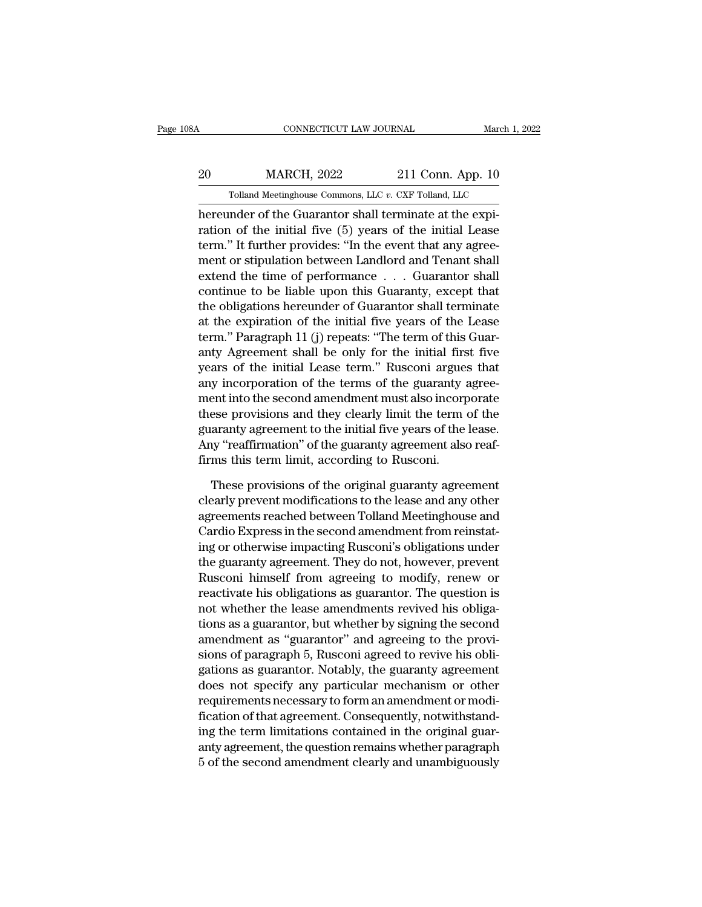## CONNECTICUT LAW JOURNAL March 1, 2022<br>20 MARCH, 2022 211 Conn. App. 10<br>20 Tolland Meetinghouse Commons, LLC v. CXF Tolland, LLC CONNECTICUT LAW JOURNAL March 1, 2<br>MARCH, 2022 211 Conn. App. 10<br>Tolland Meetinghouse Commons, LLC *v.* CXF Tolland, LLC<br>Inder of the Guarantor shall terminate at the expi-

CONNECTICUT LAW JOURNAL<br>
Martin Connection (MARCH, 2022<br>
Tolland Meetinghouse Commons, LLC v. CXF Tolland, LLC<br>
hereunder of the Guarantor shall terminate at the expi-<br>
ration of the initial five (5) years of the initial L MARCH, 2022 211 Conn. App. 10<br>
Tolland Meetinghouse Commons, LLC v. CXF Tolland, LLC<br>
hereunder of the Guarantor shall terminate at the expiration of the initial five (5) years of the initial Lease<br>
term." It further provi  $\frac{\text{MARCH}}{\text{Iolland Meeting}}$   $\frac{2022}{\text{I1 Com. App. 10}}$ <br>  $\frac{\text{Tolland Meeting}}{\text{Inerunder of the Guardian of the Guardian term}$ <br>  $\frac{1}{100}$  further provides: "In the event that any agree-<br>  $\frac{1}{100}$  and  $\frac{1}{100}$  further provides: "In the event that any agree-<br>  $\frac{1}{100}$  f 20 MARCH, 2022 211 Conn. App. 10<br>
Tolland Meetinghouse Commons, LLC  $v$ . CXF Tolland, LLC<br>
hereunder of the Guarantor shall terminate at the expiration of the initial five (5) years of the initial Lease<br>
term." It further Tolland Meetinghouse Commons, LLC  $v$ . CXF Tolland, LLC<br>hereunder of the Guarantor shall terminate at the expiration of the initial five (5) years of the initial Lease<br>term." It further provides: "In the event that any ag Follard Meetinghouse Columbits, EEC *t*. CAF Follard, EEC<br>hereunder of the Guarantor shall terminate at the expiration of the initial five (5) years of the initial Lease<br>term." It further provides: "In the event that any hereunder of the Guarantor shall terminate at the expiration of the initial five (5) years of the initial Lease<br>term." It further provides: "In the event that any agree-<br>ment or stipulation between Landlord and Tenant shal ration of the initial five (5) years of the initial Lease<br>term." It further provides: "In the event that any agree-<br>ment or stipulation between Landlord and Tenant shall<br>extend the time of performance . . . Guarantor shall term." It further provides: "In the event that any agreement or stipulation between Landlord and Tenant shall<br>extend the time of performance . . . Guarantor shall<br>continue to be liable upon this Guaranty, except that<br>the o ment or stipulation between Landlord and Tenant shall<br>extend the time of performance . . . Guarantor shall<br>continue to be liable upon this Guaranty, except that<br>the obligations hereunder of Guarantor shall terminate<br>at the extend the time of performance . . . Guarantor shall<br>continue to be liable upon this Guaranty, except that<br>the obligations hereunder of Guarantor shall terminate<br>at the expiration of the initial five years of the Lease<br>ter continue to be liable upon this Guaranty, except that<br>the obligations hereunder of Guarantor shall terminate<br>at the expiration of the initial five years of the Lease<br>term." Paragraph 11 (j) repeats: "The term of this Guarthe obligations hereunder of Guarantor shall terminate<br>at the expiration of the initial five years of the Lease<br>term." Paragraph 11 (j) repeats: "The term of this Guar-<br>anty Agreement shall be only for the initial first fi at the expiration of the initial five years of the Lease<br>term." Paragraph 11 (j) repeats: "The term of this Guar-<br>anty Agreement shall be only for the initial first five<br>years of the initial Lease term." Rusconi argues tha term." Paragraph 11 (j) repeats: "The term of this Guaranty Agreement shall be only for the initial first five<br>years of the initial Lease term." Rusconi argues that<br>any incorporation of the terms of the guaranty agree-<br>men anty Agreement shall be only for the initial first five<br>years of the initial Lease term." Rusconi argues that<br>any incorporation of the terms of the guaranty agree-<br>ment into the second amendment must also incorporate<br>these years of the initial Lease term." Rusconi argues<br>any incorporation of the terms of the guaranty a<br>ment into the second amendment must also incorp<br>these provisions and they clearly limit the term<br>guaranty agreement to the i ese provisions and they clearly limit the term of the<br>aranty agreement to the initial five years of the lease.<br>hy "reaffirmation" of the guaranty agreement also reaf-<br>ms this term limit, according to Rusconi.<br>These provisi these provisions and they clearly limit the term of the guaranty agreement to the initial five years of the lease.<br>Any "reaffirmation" of the guaranty agreement also reaffirms this term limit, according to Rusconi.<br>These p

guaranty agreement to the initial five years of the lease.<br>Any "reaffirmation" of the guaranty agreement also reaffirms this term limit, according to Rusconi.<br>These provisions of the original guaranty agreement<br>clearly pre Any "reaffirmation" of the guaranty agreement also reaffirms this term limit, according to Rusconi.<br>These provisions of the original guaranty agreement<br>clearly prevent modifications to the lease and any other<br>agreements re firms this term limit, according to Rusconi.<br>These provisions of the original guaranty agreement<br>clearly prevent modifications to the lease and any other<br>agreements reached between Tolland Meetinghouse and<br>Cardio Express i These provisions of the original guaranty agreement<br>clearly prevent modifications to the lease and any other<br>agreements reached between Tolland Meetinghouse and<br>Cardio Express in the second amendment from reinstat-<br>ing or These provisions of the original guaranty agreement<br>clearly prevent modifications to the lease and any other<br>agreements reached between Tolland Meetinghouse and<br>Cardio Express in the second amendment from reinstat-<br>ing or clearly prevent modifications to the lease and any other<br>agreements reached between Tolland Meetinghouse and<br>Cardio Express in the second amendment from reinstat-<br>ing or otherwise impacting Rusconi's obligations under<br>the agreements reached between Tolland Meetinghouse and<br>Cardio Express in the second amendment from reinstat-<br>ing or otherwise impacting Rusconi's obligations under<br>the guaranty agreement. They do not, however, prevent<br>Rusconi Cardio Express in the second amendment from reinstating or otherwise impacting Rusconi's obligations under<br>the guaranty agreement. They do not, however, prevent<br>Rusconi himself from agreeing to modify, renew or<br>reactivate ing or otherwise impacting Rusconi's obligations under<br>the guaranty agreement. They do not, however, prevent<br>Rusconi himself from agreeing to modify, renew or<br>reactivate his obligations as guarantor. The question is<br>not wh the guaranty agreement. They do not, however, prevent<br>Rusconi himself from agreeing to modify, renew or<br>reactivate his obligations as guarantor. The question is<br>not whether the lease amendments revived his obliga-<br>tions as Rusconi himself from agreeing to modify, renew or<br>reactivate his obligations as guarantor. The question is<br>not whether the lease amendments revived his obliga-<br>tions as a guarantor, but whether by signing the second<br>amendm reactivate his obligations as guarantor. The question is<br>not whether the lease amendments revived his obliga-<br>tions as a guarantor, but whether by signing the second<br>amendment as "guarantor" and agreeing to the provi-<br>sion not whether the lease amendments revived his obligations as a guarantor, but whether by signing the second amendment as "guarantor" and agreeing to the provisions of paragraph 5, Rusconi agreed to revive his obligations as tions as a guarantor, but whether by signing the second<br>amendment as "guarantor" and agreeing to the provi-<br>sions of paragraph 5, Rusconi agreed to revive his obli-<br>gations as guarantor. Notably, the guaranty agreement<br>doe amendment as "guarantor" and agreeing to the provisions of paragraph 5, Rusconi agreed to revive his obligations as guarantor. Notably, the guaranty agreement does not specify any particular mechanism or other requirements sions of paragraph 5, Rusconi agreed to revive his obligations as guarantor. Notably, the guaranty agreement<br>does not specify any particular mechanism or other<br>requirements necessary to form an amendment or modi-<br>fication gations as guarantor. Notably, the guaranty agreement<br>does not specify any particular mechanism or other<br>requirements necessary to form an amendment or modi-<br>fication of that agreement. Consequently, notwithstand-<br>ing the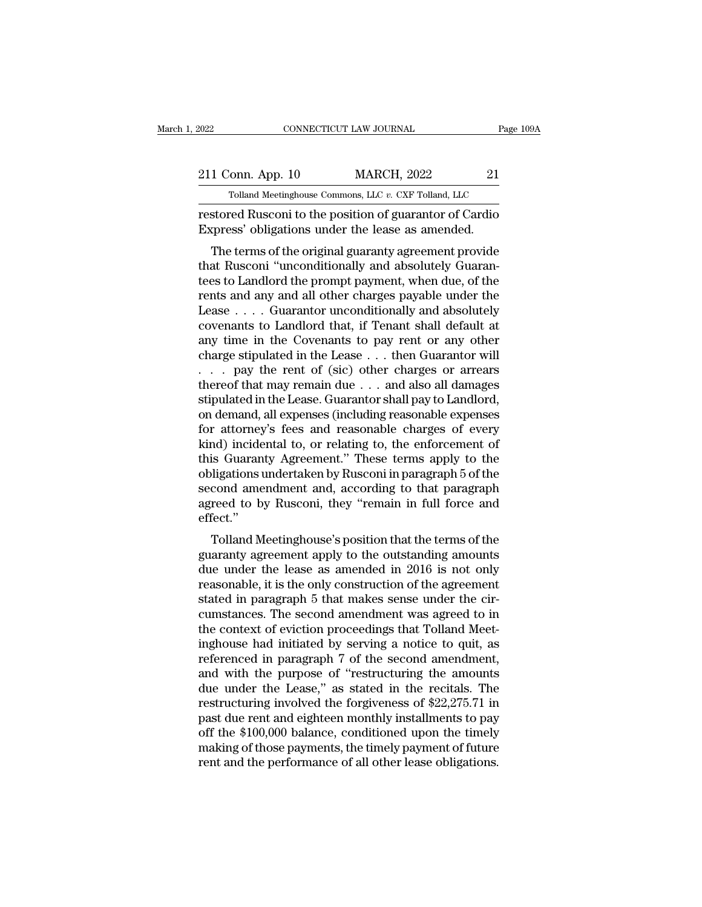| 2022              | CONNECTICUT LAW JOURNAL                                 | Page 109A |
|-------------------|---------------------------------------------------------|-----------|
| 211 Conn. App. 10 | <b>MARCH, 2022</b>                                      | 21        |
|                   | Tolland Meetinghouse Commons, LLC v. CXF Tolland, LLC   |           |
|                   | restored Rusconi to the position of guarantor of Cardio |           |

restored Rusconi to the position of guarantor of Cardio<br>Express' obligations under the lease as amended. 211 Conn. App. 10 MARCH, 2022 21<br>
Tolland Meetinghouse Commons, LLC v. CXF Tolland, LLC<br>
restored Rusconi to the position of guarantor of Cardio<br>
Express' obligations under the lease as amended.<br>
The terms of the original

1 Conn. App. 10 MARCH, 2022 21<br>
Tolland Meetinghouse Commons, LLC v. CXF Tolland, LLC<br>
stored Rusconi to the position of guarantor of Cardio<br>
stored Rusconi to the position of guarantor of Cardio<br>
press' obligations under 211 Conn. App. 10 MARCH, 2022 21<br>
Tolland Meetinghouse Commons, LLC  $v$ . CXF Tolland, LLC<br>
restored Rusconi to the position of guarantor of Cardio<br>
Express' obligations under the lease as amended.<br>
The terms of the origin Tolland Meetinghouse Commons, LLC  $v$ . CXF Tolland, LLC<br>
restored Rusconi to the position of guarantor of Cardio<br>
Express' obligations under the lease as amended.<br>
The terms of the original guaranty agreement provide<br>
tha restored Rusconi to the position of guarantor of Cardio<br>Express' obligations under the lease as amended.<br>The terms of the original guaranty agreement provide<br>that Rusconi "unconditionally and absolutely Guaran-<br>tees to Lan Express' obligations under the lease as amended.<br>The terms of the original guaranty agreement provide<br>that Rusconi "unconditionally and absolutely Guaran-<br>tees to Landlord the prompt payment, when due, of the<br>rents and any Express obtigations under the lease as alterned.<br>
The terms of the original guaranty agreement provide<br>
that, Rusconi "unconditionally and absolutely Guaran-<br>
tees to Landlord the prompt payment, when due, of the<br>
rents a The terms of the original guaranty agreement provide<br>that Rusconi "unconditionally and absolutely Guaran-<br>tees to Landlord the prompt payment, when due, of the<br>rents and any and all other charges payable under the<br>Lease that Rusconi "unconditionally and absolutely Guarantees to Landlord the prompt payment, when due, of the rents and any and all other charges payable under the Lease . . . . Guarantor unconditionally and absolutely covenan tees to Landlord the prompt payment, when due, of the<br>rents and any and all other charges payable under the<br>Lease . . . . Guarantor unconditionally and absolutely<br>covenants to Landlord that, if Tenant shall default at<br>any rents and any and all other charges payable under the Lease . . . . Guarantor unconditionally and absolutely covenants to Landlord that, if Tenant shall default at any time in the Covenants to pay rent or any other charge Lease . . . . Guarantor unconditionally and absolutely<br>covenants to Landlord that, if Tenant shall default at<br>any time in the Covenants to pay rent or any other<br>charge stipulated in the Lease . . . then Guarantor will<br>. . covenants to Landlord that, if Tenant shall default at<br>any time in the Covenants to pay rent or any other<br>charge stipulated in the Lease . . . then Guarantor will<br>. . . pay the rent of (sic) other charges or arrears<br>thereo any time in the Covenants to pay rent or any other<br>charge stipulated in the Lease . . . then Guarantor will<br>. . . . pay the rent of (sic) other charges or arrears<br>thereof that may remain due . . . and also all damages<br>sti charge stipulated in the Lease . . . then Guarantor will<br>
. . . pay the rent of (sic) other charges or arrears<br>
thereof that may remain due . . . and also all damages<br>
stipulated in the Lease. Guarantor shall pay to Landlo . . . pay the rent of (sic) other charges or arrears<br>thereof that may remain due . . . and also all damages<br>stipulated in the Lease. Guarantor shall pay to Landlord,<br>on demand, all expenses (including reasonable expenses<br>f thereof that may remain due . . . and also all damages<br>stipulated in the Lease. Guarantor shall pay to Landlord,<br>on demand, all expenses (including reasonable expenses<br>for attorney's fees and reasonable charges of every<br>ki stipulated in the Lease. Guarantor shall pay to Landlord,<br>on demand, all expenses (including reasonable expenses<br>for attorney's fees and reasonable charges of every<br>kind) incidental to, or relating to, the enforcement of<br>t on demand, all expenses (including reasonable expenses<br>for attorney's fees and reasonable charges of every<br>kind) incidental to, or relating to, the enforcement of<br>this Guaranty Agreement." These terms apply to the<br>obligati effect.'' It is Guaranty Agreement." These terms apply to the<br>ligations undertaken by Rusconi in paragraph 5 of the<br>cond amendment and, according to that paragraph<br>reed to by Rusconi, they "remain in full force and<br>fect."<br>Tolland Me duaranty Agreement. These terms apply to the<br>obligations undertaken by Rusconi in paragraph 5 of the<br>second amendment and, according to that paragraph<br>agreed to by Rusconi, they "remain in full force and<br>effect."<br>Tolland M

bongations undertaken by Ruscom in paragraph 5 of the<br>second amendment and, according to that paragraph<br>agreed to by Rusconi, they "remain in full force and<br>effect."<br>Tolland Meetinghouse's position that the terms of the<br>gu second amendment and, according to that paragraph<br>agreed to by Rusconi, they "remain in full force and<br>effect."<br>Tolland Meetinghouse's position that the terms of the<br>guaranty agreement apply to the outstanding amounts<br>due stated in paragraph 5 that makes sense under the context.<br>Tolland Meetinghouse's position that the terms of the<br>guaranty agreement apply to the outstanding amounts<br>due under the lease as amended in 2016 is not only<br>reasona Folland Meetinghouse's position that the terms of the<br>guaranty agreement apply to the outstanding amounts<br>due under the lease as amended in 2016 is not only<br>reasonable, it is the only construction of the agreement<br>stated i Tolland Meetinghouse's position that the terms of the<br>guaranty agreement apply to the outstanding amounts<br>due under the lease as amended in 2016 is not only<br>reasonable, it is the only construction of the agreement<br>stated i guaranty agreement apply to the outstanding amounts<br>due under the lease as amended in 2016 is not only<br>reasonable, it is the only construction of the agreement<br>stated in paragraph 5 that makes sense under the cir-<br>cumstanc due under the lease as amended in 2016 is not only<br>reasonable, it is the only construction of the agreement<br>stated in paragraph 5 that makes sense under the cir-<br>cumstances. The second amendment was agreed to in<br>the contex reasonable, it is the only construction of the agreement<br>stated in paragraph 5 that makes sense under the cir-<br>cumstances. The second amendment was agreed to in<br>the context of eviction proceedings that Tolland Meet-<br>inghou stated in paragraph 5 that makes sense under the circumstances. The second amendment was agreed to in<br>the context of eviction proceedings that Tolland Meet-<br>inghouse had initiated by serving a notice to quit, as<br>referenced cumstances. The second amendment was agreed to in<br>the context of eviction proceedings that Tolland Meet-<br>inghouse had initiated by serving a notice to quit, as<br>referenced in paragraph 7 of the second amendment,<br>and with th the context of eviction proceedings that Tolland Meet-<br>inghouse had initiated by serving a notice to quit, as<br>referenced in paragraph 7 of the second amendment,<br>and with the purpose of "restructuring the amounts<br>due under inghouse had initiated by serving a notice to quit, as<br>referenced in paragraph 7 of the second amendment,<br>and with the purpose of "restructuring the amounts<br>due under the Lease," as stated in the recitals. The<br>restructurin referenced in paragraph 7 of the second amendment,<br>and with the purpose of "restructuring the amounts<br>due under the Lease," as stated in the recitals. The<br>restructuring involved the forgiveness of \$22,275.71 in<br>past due re and with the purpose of "restructuring the amounts<br>due under the Lease," as stated in the recitals. The<br>restructuring involved the forgiveness of  $22,275.71$  in<br>past due rent and eighteen monthly installments to pay<br>off t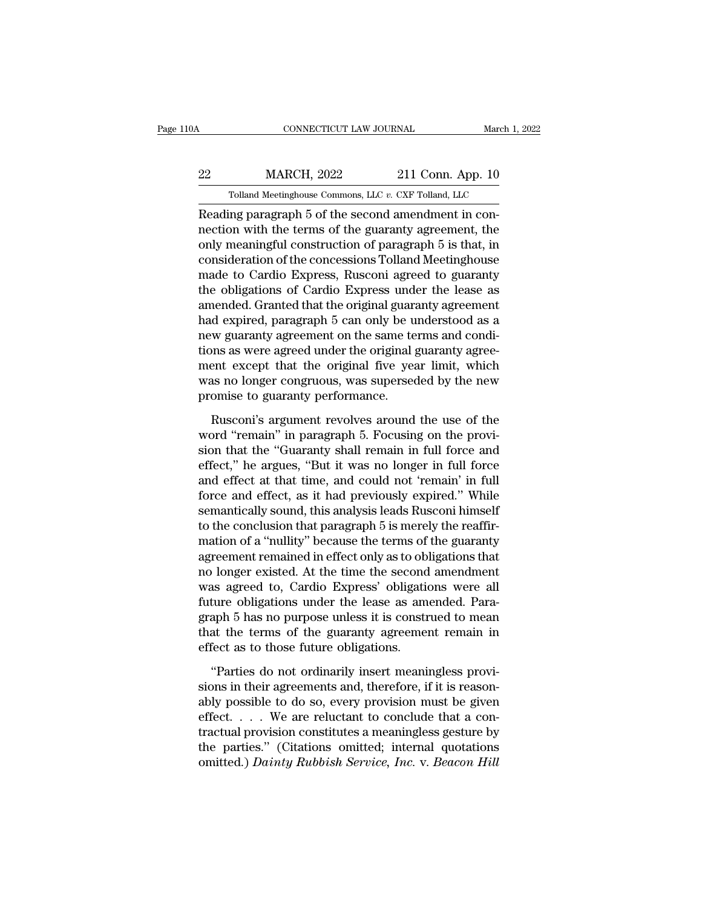## CONNECTICUT LAW JOURNAL March 1, 2022<br>22 MARCH, 2022 211 Conn. App. 10<br>211 Conn. App. 10 CONNECTICUT LAW JOURNAL March 1, 3<br>MARCH, 2022 211 Conn. App. 10<br>Tolland Meetinghouse Commons, LLC *v.* CXF Tolland, LLC<br>ing paragraph 5 of the second amendment in con-

CONNECTICUT LAW JOURNAL<br>
Reading Paragraph 5 of the second amendment in con-<br>
Reading paragraph 5 of the second amendment in con-<br>
Reading paragraph 5 of the second amendment in con-<br>
Reading paragraph 5 of the second amen  $\begin{array}{r} \text{MARCH, 2022} \ \text{Dil, 211} \text{Conn. App. 10} \ \text{Tolland Metinghouse Commons, LLC } v. \text{ CXF Tolland, LLC} \ \text{Reading paragraph 5 of the second amendment in connection with the terms of the guarantees agreement, the only meaningful construction of paragraph 5 is that, in consideration of the a non-coscions Tolland Metinghouse.} \end{array}$  $\frac{\text{222}}{\text{Tolland Meeting} \times \text{Commons, LLC } v. \text{ CXF Tolland, LLC}}$ <br>
Reading paragraph 5 of the second amendment in con-<br>
nection with the terms of the guaranty agreement, the<br>
only meaningful construction of paragraph 5 is that, in<br>
consideratio 22 MARCH, 2022 211 Conn. App. 10<br>
Tolland Meetinghouse Commons, LLC  $v$ . CXF Tolland, LLC<br>
Reading paragraph 5 of the second amendment in con-<br>
nection with the terms of the guaranty agreement, the<br>
only meaningful constr Tolland Meetinghouse Commons, LLC  $v$ . CXF Tolland, LLC<br>
Reading paragraph 5 of the second amendment in con-<br>
nection with the terms of the guaranty agreement, the<br>
only meaningful construction of paragraph 5 is that, in<br> Tolland Meetinghouse Columbis, LEC  $v$ . CAF Tolland, LEC<br>Reading paragraph 5 of the second amendment in con-<br>nection with the terms of the guaranty agreement, the<br>only meaningful construction of paragraph 5 is that, in<br>co Reading paragraph 5 of the second amendment in con-<br>nection with the terms of the guaranty agreement, the<br>only meaningful construction of paragraph 5 is that, in<br>consideration of the concessions Tolland Meetinghouse<br>made t nection with the terms of the guaranty agreement, the<br>only meaningful construction of paragraph 5 is that, in<br>consideration of the concessions Tolland Meetinghouse<br>made to Cardio Express, Rusconi agreed to guaranty<br>the obl only meaningful construction of paragraph 5 is that, in consideration of the concessions Tolland Meetinghouse made to Cardio Express, Rusconi agreed to guaranty the obligations of Cardio Express under the lease as amended. consideration of the concessions Tolland Meetinghouse<br>made to Cardio Express, Rusconi agreed to guaranty<br>the obligations of Cardio Express under the lease as<br>amended. Granted that the original guaranty agreement<br>had expire made to Cardio Express, Rusconi agreed to guaranty<br>the obligations of Cardio Express under the lease as<br>amended. Granted that the original guaranty agreement<br>had expired, paragraph 5 can only be understood as a<br>new guarant the obligations of Cardio Express under the lease as<br>amended. Granted that the original guaranty agreement<br>had expired, paragraph 5 can only be understood as a<br>new guaranty agreement on the same terms and condi-<br>tions as w amended. Granted that the original guaranty had expired, paragraph 5 can only be unew guaranty agreement on the same te tions as were agreed under the original  $\frac{1}{2}$  ment except that the original five years no longer c We guaranty agreement on the same terms and condi-<br>ons as were agreed under the original guaranty agreement except that the original five year limit, which<br>as no longer congruous, was superseded by the new<br>omise to guarant tions as were agreed under the original guaranty agreement except that the original five year limit, which was no longer congruous, was superseded by the new promise to guaranty performance.<br>Rusconi's argument revolves aro

ment except that the original five year limit, which<br>was no longer congruous, was superseded by the new<br>promise to guaranty performance.<br>Rusconi's argument revolves around the use of the<br>word "remain" in paragraph 5. Focus was no longer congruous, was superseded by the new<br>promise to guaranty performance.<br>Rusconi's argument revolves around the use of the<br>word "remain" in paragraph 5. Focusing on the provi-<br>sion that the "Guaranty shall remai promise to guaranty performance.<br>
Rusconi's argument revolves around the use of the<br>
word "remain" in paragraph 5. Focusing on the provi-<br>
sion that the "Guaranty shall remain in full force and<br>
effect," he argues, "But it Rusconi's argument revolves around the use of the<br>word "remain" in paragraph 5. Focusing on the provi-<br>sion that the "Guaranty shall remain in full force and<br>effect," he argues, "But it was no longer in full force<br>and effe Rusconi's argument revolves around the use of the<br>word "remain" in paragraph 5. Focusing on the provi-<br>sion that the "Guaranty shall remain in full force and<br>effect," he argues, "But it was no longer in full force<br>and effe word "remain" in paragraph 5. Focusing on the provision that the "Guaranty shall remain in full force and effect," he argues, "But it was no longer in full force and effect at that time, and could not 'remain' in full forc sion that the "Guaranty shall remain in full force and<br>effect," he argues, "But it was no longer in full force<br>and effect at that time, and could not 'remain' in full<br>force and effect, as it had previously expired." While<br> effect," he argues, "But it was no longer in full force<br>and effect at that time, and could not 'remain' in full<br>force and effect, as it had previously expired." While<br>semantically sound, this analysis leads Rusconi himself and effect at that time, and could not 'remain' in full<br>force and effect, as it had previously expired." While<br>semantically sound, this analysis leads Rusconi himself<br>to the conclusion that paragraph 5 is merely the reaffi force and effect, as it had previously expired." While<br>semantically sound, this analysis leads Rusconi himself<br>to the conclusion that paragraph 5 is merely the reaffir-<br>mation of a "nullity" because the terms of the guaran semantically sound, this analysis leads Rusconi himself<br>to the conclusion that paragraph 5 is merely the reaffir-<br>mation of a "nullity" because the terms of the guaranty<br>agreement remained in effect only as to obligations to the conclusion that paragraph 5 is merely the reaffirmation of a "nullity" because the terms of the guaranty agreement remained in effect only as to obligations that no longer existed. At the time the second amendment w mation of a "nullity" because the terms of the guaranty<br>agreement remained in effect only as to obligations that<br>no longer existed. At the time the second amendment<br>was agreed to, Cardio Express' obligations were all<br>futur agreement remained in effect only as to ob<br>no longer existed. At the time the second<br>was agreed to, Cardio Express' obligatio<br>future obligations under the lease as am<br>graph 5 has no purpose unless it is constr<br>that the ter as agreed to, Cardio Express' obligations were all<br>ture obligations under the lease as amended. Para-<br>aph 5 has no purpose unless it is construed to mean<br>at the terms of the guaranty agreement remain in<br>fect as to those fu future obligations under the lease as amended. Para-<br>graph 5 has no purpose unless it is construed to mean<br>that the terms of the guaranty agreement remain in<br>effect as to those future obligations.<br>"Parties do not ordinaril

graph 5 has no purpose unless it is construed to mean<br>that the terms of the guaranty agreement remain in<br>effect as to those future obligations.<br>"Parties do not ordinarily insert meaningless provi-<br>sions in their agreement that the terms of the guaranty agreement remain in<br>effect as to those future obligations.<br>"Parties do not ordinarily insert meaningless provi-<br>sions in their agreements and, therefore, if it is reason-<br>ably possible to do effect as to those future obligations.<br>
"Parties do not ordinarily insert meaningless provisions in their agreements and, therefore, if it is reasonably possible to do so, every provision must be given effect. . . . . We "Parties do not ordinarily insert meaningless provisions in their agreements and, therefore, if it is reasonably possible to do so, every provision must be given effect. . . . We are reluctant to conclude that a contractu "Parties do not ordinarily insert meaningless provisions in their agreements and, therefore, if it is reasonably possible to do so, every provision must be given effect. . . . We are reluctant to conclude that a contractua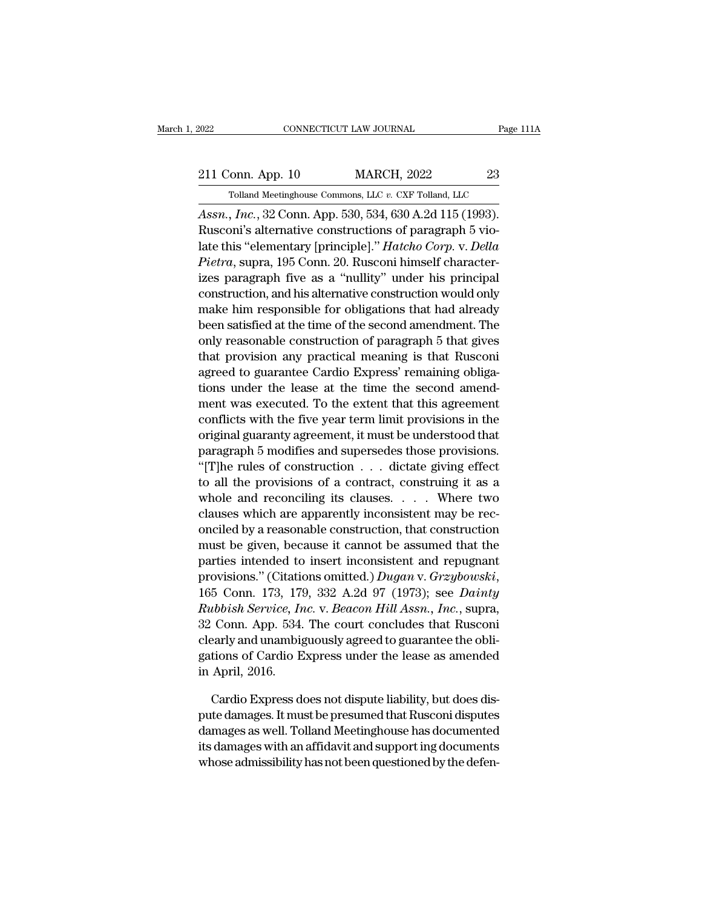<sup>2022</sup> CONNECTICUT LAW JOURNAL Page 11<br>
<sup>211</sup> Conn. App. 10 MARCH, 2022 23<br>
<sup>7</sup> Tolland Meetinghouse Commons, LLC v. CXF Tolland, LLC<br> *Assn., Inc.*, 32 Conn. App. 530, 534, 630 A.2d 115 (1993).<br>
Rusconi's alternative cons 211 Conn. App. 10 MARCH, 2022 23<br>
Tolland Meetinghouse Commons, LLC v. CXF Tolland, LLC<br>
Assn., Inc., 32 Conn. App. 530, 534, 630 A.2d 115 (1993).<br>
Rusconi's alternative constructions of paragraph 5 vio-<br>
late this "elemen 211 Conn. App. 10 MARCH, 2022 23<br>
Tolland Meetinghouse Commons, LLC v. CXF Tolland, LLC<br>
Assn., *Inc.*, 32 Conn. App. 530, 534, 630 A.2d 115 (1993).<br>
Rusconi's alternative constructions of paragraph 5 vio-<br>
late this "elem 211 Conn. App. 10 MARCH, 2022 23<br> *Polland Meetinghouse Commons, LLC v. CXF Tolland, LLC*<br> *Assn., Inc.*, 32 Conn. App. 530, 534, 630 A.2d 115 (1993).<br>
Rusconi's alternative constructions of paragraph 5 violate this "eleme Tolland Meetinghouse Commons, LLC  $v$ . CXF Tolland, LLC<br>
Assn., Inc., 32 Conn. App. 530, 534, 630 A.2d 115 (1993).<br>
Rusconi's alternative constructions of paragraph 5 vio-<br>
late this "elementary [principle]." *Hatcho Corp* Assn., *Inc.*, 32 Conn. App. 530, 534, 630 A.2d 115 (1993).<br>Rusconi's alternative constructions of paragraph 5 vio-<br>late this "elementary [principle]." *Hatcho Corp.* v. *Della*<br>*Pietra*, supra, 195 Conn. 20. Rusconi himse Assn., *mc.*, 32 Conn. App. 530, 534, 630 A.2d 115 (1993).<br>Rusconi's alternative constructions of paragraph 5 vio-<br>late this "elementary [principle]." *Hatcho Corp.* v. *Della*<br>*Pietra*, supra, 195 Conn. 20. Rusconi himsel Ruscom s anemative constructions of paragraph 5 violate this "elementary [principle]." *Hatcho Corp.* v. *Della*<br>*Pietra*, supra, 195 Conn. 20. Rusconi himself characterizes paragraph five as a "nullity" under his principa rate this elementary [principle]. *Hatcho Corp. v. Detta*<br>*Pietra*, supra, 195 Conn. 20. Rusconi himself character-<br>izes paragraph five as a "nullity" under his principal<br>construction, and his alternative construction woul *Fietra*, supra, 195 Conn. 20. Rusconi nimself characterizes paragraph five as a "nullity" under his principal construction, and his alternative construction would only make him responsible for obligations that had already reas paragraph five as a "numty" under his principal<br>construction, and his alternative construction would only<br>make him responsible for obligations that had already<br>been satisfied at the time of the second amendment. The<br>o construction, and his atternative construction would only<br>make him responsible for obligations that had already<br>been satisfied at the time of the second amendment. The<br>only reasonable construction of paragraph 5 that gives make nim responsible for obigations that had already<br>been satisfied at the time of the second amendment. The<br>only reasonable construction of paragraph 5 that gives<br>that provision any practical meaning is that Rusconi<br>agree been saustied at the time of the second amendment. The<br>only reasonable construction of paragraph 5 that gives<br>that provision any practical meaning is that Rusconi<br>agreed to guarantee Cardio Express' remaining obliga-<br>tions only reasonable construction of paragraph 5 that gives<br>that provision any practical meaning is that Rusconi<br>agreed to guarantee Cardio Express' remaining obliga-<br>tions under the lease at the time the second amend-<br>ment was mat provision any practical meaning is that kusconi<br>agreed to guarantee Cardio Express' remaining obliga-<br>tions under the lease at the time the second amend-<br>ment was executed. To the extent that this agreement<br>conflicts w agreed to guarantee Cardio Express remaining obigations under the lease at the time the second amendment was executed. To the extent that this agreement conflicts with the five year term limit provisions in the original gu to all the provisions of a contract, constrained and the provisions of a conflicts with the five year term limit provisions in the original guaranty agreement, it must be understood that paragraph 5 modifies and supersede ment was executed. 10 the extent that this agreement<br>conflicts with the five year term limit provisions in the<br>original guaranty agreement, it must be understood that<br>paragraph 5 modifies and supersedes those provisions.<br>" conflicts with the five year term limit provisions in the<br>original guaranty agreement, it must be understood that<br>paragraph 5 modifies and supersedes those provisions.<br>"[T]he rules of construction  $\ldots$  dictate giving eff original guaranty agreement, it must be understood that<br>paragraph 5 modifies and supersedes those provisions.<br>"[T]he rules of construction . . . dictate giving effect<br>to all the provisions of a contract, construing it as a paragraph 5 modifies and supersedes those provisions.<br>
"[T]he rules of construction  $\ldots$  dictate giving effect<br>
to all the provisions of a contract, construing it as a<br>
whole and reconciling its clauses.  $\ldots$  Where two<br> particular the provisions of a contract, construing it as a<br>whole and reconciling its clauses. . . . Where two<br>clauses which are apparently inconsistent may be rec-<br>onciled by a reasonable construction, that construction<br> provisions of a contract, construing it as a<br>whole and reconciling its clauses.... Where two<br>clauses which are apparently inconsistent may be rec-<br>onciled by a reasonable construction, that construction<br>must be given, beca *Rubbish Service, Inc. R. Beacon Hill Assn., Inc.* suppose the service of the parties intended to insert inconsistent and repugnant provisions." (Citations omitted.) *Dugan v. Grzybowski*, 165 Conn. 173, 179, 332 A.2d 97 onched by a reasonable construction, that construction<br>must be given, because it cannot be assumed that the<br>parties intended to insert inconsistent and repugnant<br>provisions." (Citations omitted.) Dugan v. Grzybowski,<br>165 C must be given, because it cannot be assumed that the<br>parties intended to insert inconsistent and repugnant<br>provisions." (Citations omitted.) Dugan v. Grzybowski,<br>165 Conn. 173, 179, 332 A.2d 97 (1973); see Dainty<br>Rubbish S parties intended to insert inconsistent and repugnant<br>provisions." (Citations omitted.) Dugan v. Grzybowski,<br>165 Conn. 173, 179, 332 A.2d 97 (1973); see Dainty<br>Rubbish Service, Inc. v. Beacon Hill Assn., Inc., supra,<br>32 Co provisions. (Citation<br>165 Conn. 173, 173<br>*Rubbish Service, In*<br>32 Conn. App. 534.<br>clearly and unambig<br>gations of Cardio E<br>in April, 2016.<br>Cardio Express d *ubbish Service, Inc.* v. *Beacon Hill Assn., Inc.*, supra,<br>Conn. App. 534. The court concludes that Rusconi<br>early and unambiguously agreed to guarantee the obli-<br>tions of Cardio Express under the lease as amended<br>April, 32 Conn. App. 534. The court concludes that Rusconi<br>clearly and unambiguously agreed to guarantee the obli-<br>gations of Cardio Express under the lease as amended<br>in April, 2016.<br>Cardio Express does not dispute liability, bu

clearly and unambiguously agreed to guarantee the obligations of Cardio Express under the lease as amended<br>in April, 2016.<br>Cardio Express does not dispute liability, but does dis-<br>pute damages. It must be presumed that Rus gations of Cardio Express under the lease as amended<br>in April, 2016.<br>Cardio Express does not dispute liability, but does dis-<br>pute damages. It must be presumed that Rusconi disputes<br>damages as well. Tolland Meetinghouse ha in April, 2016.<br>Cardio Express does not dispute liability, but does dis-<br>pute damages. It must be presumed that Rusconi disputes<br>damages as well. Tolland Meetinghouse has documented<br>its damages with an affidavit and suppor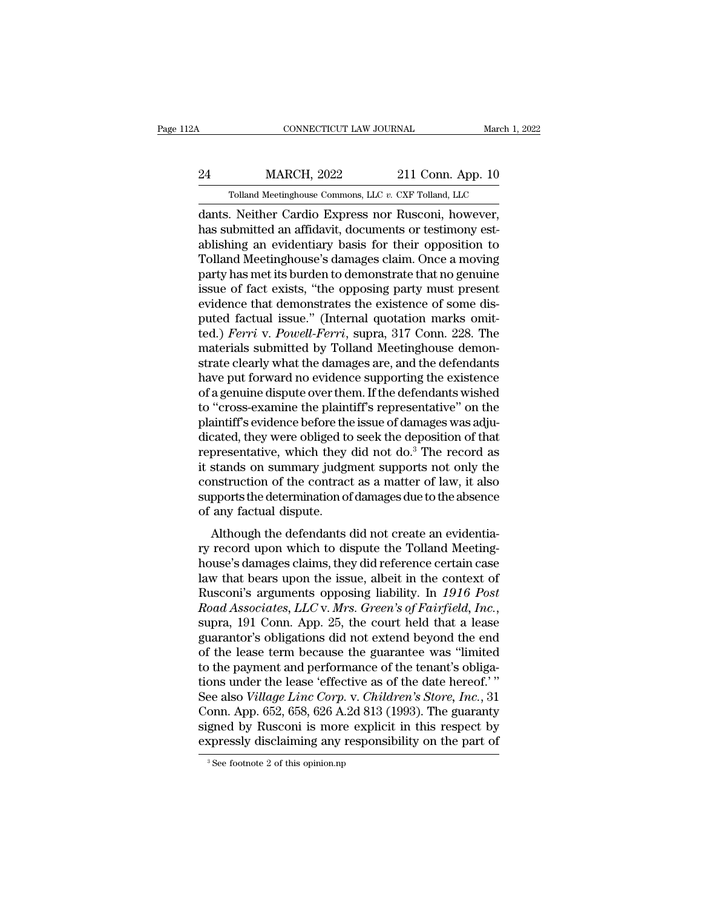## CONNECTICUT LAW JOURNAL March 1, 2022<br>24 MARCH, 2022 211 Conn. App. 10<br>211 Conn. App. 10  $\begin{tabular}{ c c c} CONNECTICUT LAW JOURNAL & March 1, 2 \ \hline \end{tabular} \begin{tabular}{ c c c} \multicolumn{2}{c} {\bf MARCH, 2022} & 211 Conn. App. 10 \ \hline \end{tabular} \begin{tabular}{ c c c} \multicolumn{2}{c} {\bf Tolland Meeting} \end{tabular} \begin{tabular}{ c c c} \multicolumn{2}{c} {\bf Neither Cardio Express nor Russian however} \end{tabular} \end{tabular}$

CONNECTICUT LAW JOURNAL March 1, 20<br>
24 MARCH, 2022 211 Conn. App. 10<br>
211 Conn. App. 10<br>
211 Conn. App. 10<br>
211 Conn. App. 10<br>
211 Conn. App. 10<br>
211 Conn. App. 10<br>
211 Conn. App. 10<br>
211 Conn. App. 10<br>
211 Conn. App. 10<br> MARCH, 2022 211 Conn. App. 10<br>
Tolland Meetinghouse Commons, LLC v. CXF Tolland, LLC<br>
dants. Neither Cardio Express nor Rusconi, however,<br>
has submitted an affidavit, documents or testimony est-<br>
ablishing an evidentiary b ablishing an evidentiary basis for their opposition to 24 MARCH, 2022 211 Conn. App. 10<br>
Tolland Meetinghouse Commons, LLC v. CXF Tolland, LLC<br>
dants. Neither Cardio Express nor Rusconi, however,<br>
has submitted an affidavit, documents or testimony est-<br>
ablishing an evidentiar Tolland Meetinghouse Commons, LLC v. CXF Tolland, LLC<br>dants. Neither Cardio Express nor Rusconi, however,<br>has submitted an affidavit, documents or testimony est-<br>ablishing an evidentiary basis for their opposition to<br>Tolla Tolland Meetinghouse Commons, LLC v. CXF Tolland, LLC<br>dants. Neither Cardio Express nor Rusconi, however,<br>has submitted an affidavit, documents or testimony est-<br>ablishing an evidentiary basis for their opposition to<br>Tolla dants. Neither Cardio Express nor Rusconi, however,<br>has submitted an affidavit, documents or testimony est-<br>ablishing an evidentiary basis for their opposition to<br>Tolland Meetinghouse's damages claim. Once a moving<br>party h has submitted an affidavit, documents or testimony est-<br>ablishing an evidentiary basis for their opposition to<br>Tolland Meetinghouse's damages claim. Once a moving<br>party has met its burden to demonstrate that no genuine<br>iss ablishing an evidentiary basis for their opposition to<br>Tolland Meetinghouse's damages claim. Once a moving<br>party has met its burden to demonstrate that no genuine<br>issue of fact exists, "the opposing party must present<br>evid Tolland Meetinghouse's damages claim. Once a moving<br>party has met its burden to demonstrate that no genuine<br>issue of fact exists, "the opposing party must present<br>evidence that demonstrates the existence of some dis-<br>puted party has met its burden to demonstrate that no genuine<br>issue of fact exists, "the opposing party must present<br>evidence that demonstrates the existence of some dis-<br>puted factual issue." (Internal quotation marks omit-<br>ted issue of fact exists, "the opposing party must present<br>evidence that demonstrates the existence of some dis-<br>puted factual issue." (Internal quotation marks omit-<br>ted.) *Ferri* v. *Powell-Ferri*, supra, 317 Conn. 228. The<br> evidence that demonstrates the existence of some dis-<br>puted factual issue." (Internal quotation marks omit-<br>ted.) *Ferri* v. *Powell-Ferri*, supra, 317 Conn. 228. The<br>materials submitted by Tolland Meetinghouse demon-<br>stra puted factual issue." (Internal quotation marks omit-<br>ted.) *Ferri* v. *Powell-Ferri*, supra, 317 Conn. 228. The<br>materials submitted by Tolland Meetinghouse demon-<br>strate clearly what the damages are, and the defendants<br>ha ted.) *Ferri* v. *Powell-Ferri*, supra, 317 Conn. 228. The materials submitted by Tolland Meetinghouse demonstrate clearly what the damages are, and the defendants have put forward no evidence supporting the existence of materials submitted by Tolland Meetinghouse demonstrate clearly what the damages are, and the defendants<br>have put forward no evidence supporting the existence<br>of a genuine dispute over them. If the defendants wished<br>to "cr strate clearly what the damages are, and the defendants<br>have put forward no evidence supporting the existence<br>of a genuine dispute over them. If the defendants wished<br>to "cross-examine the plaintiff's representative" on th have put forward no evidence supporting the existence<br>of a genuine dispute over them. If the defendants wished<br>to "cross-examine the plaintiff's representative" on the<br>plaintiff's evidence before the issue of damages was a of a genuine dispute over them. If the defendants wished<br>to "cross-examine the plaintiff's representative" on the<br>plaintiff's evidence before the issue of damages was adju-<br>dicated, they were obliged to seek the deposition to "cross-examine the plaintiff's representative" on the plaintiff's evidence before the issue of damages was adjudicated, they were obliged to seek the deposition of that representative, which they did not do.<sup>3</sup> The reco plaintiff's evidence before the<br>dicated, they were obliged to<br>representative, which they<br>it stands on summary judgr<br>construction of the contract<br>supports the determination of<br>of any factual dispute.<br>Although the defendants cated, they were obliged to seek the deposition of that<br>presentative, which they did not do.<sup>3</sup> The record as<br>stands on summary judgment supports not only the<br>nstruction of the contract as a matter of law, it also<br>pports t representative, which they did not do. The record as<br>it stands on summary judgment supports not only the<br>construction of the contract as a matter of law, it also<br>supports the determination of damages due to the absence<br>of

house's damages claims, they did reference certain case<br>always the determination of damages due to the absence<br>of any factual dispute.<br>Although the defendants did not create an evidentia-<br>ry record upon which to dispute th supports the determination of damages due to the absence<br>of any factual dispute.<br>Although the defendants did not create an evidentia-<br>ry record upon which to dispute the Tolland Meeting-<br>house's damages claims, they did r supports the determination of dantages due to the absence<br>of any factual dispute.<br>Although the defendants did not create an evidentia-<br>ry record upon which to dispute the Tolland Meeting-<br>house's damages claims, they did r *Road Associates, LLC* v. *Mrs. Greente an evidentia-*<br>*Road approximates* of *Ruscains*, they did reference certain case<br>law that bears upon the issue, albeit in the context of<br>*Rusconi's arguments opposing liability. In* ry record upon which to dispute the Tolland Meeting-<br>house's damages claims, they did reference certain case<br>law that bears upon the issue, albeit in the context of<br>Rusconi's arguments opposing liability. In 1916 Post<br>Road house's damages claims, they did reference certain case<br>law that bears upon the issue, albeit in the context of<br>Rusconi's arguments opposing liability. In 1916 Post<br>Road Associates, LLC v. Mrs. Green's of Fairfield, Inc.,<br> law that bears upon the issue, albeit in the context of<br>Rusconi's arguments opposing liability. In 1916 Post<br>Road Associates, LLC v. Mrs. Green's of Fairfield, Inc.,<br>supra, 191 Conn. App. 25, the court held that a lease<br>gu Rusconi's arguments opposing liability. In 1916 Post<br>Road Associates, LLC v. Mrs. Green's of Fairfield, Inc.,<br>supra, 191 Conn. App. 25, the court held that a lease<br>guarantor's obligations did not extend beyond the end<br>of t Road Associates, LLC v. Mrs. Green's of Fairfield, Inc.,<br>supra, 191 Conn. App. 25, the court held that a lease<br>guarantor's obligations did not extend beyond the end<br>of the lease term because the guarantee was "limited<br>to t supra, 191 Conn. App. 25, the court held that a lease<br>guarantor's obligations did not extend beyond the end<br>of the lease term because the guarantee was "limited<br>to the payment and performance of the tenant's obliga-<br>tions guarantor's obligations did not extend beyond the end<br>of the lease term because the guarantee was "limited<br>to the payment and performance of the tenant's obliga-<br>tions under the lease 'effective as of the date hereof.' "<br>S of the lease term because the guarantee was "limited<br>to the payment and performance of the tenant's obliga-<br>tions under the lease 'effective as of the date hereof.'"<br>See also *Village Linc Corp.* v. *Children's Store, Inc* See also *Village Linc Corp.* v. *Children's Store, Inc.*, 31 Conn. App. 652, 658, 626 A.2d 813 (1993). The guaranty signed by Rusconi is more explicit in this respect by expressly disclaiming any responsibility on the pa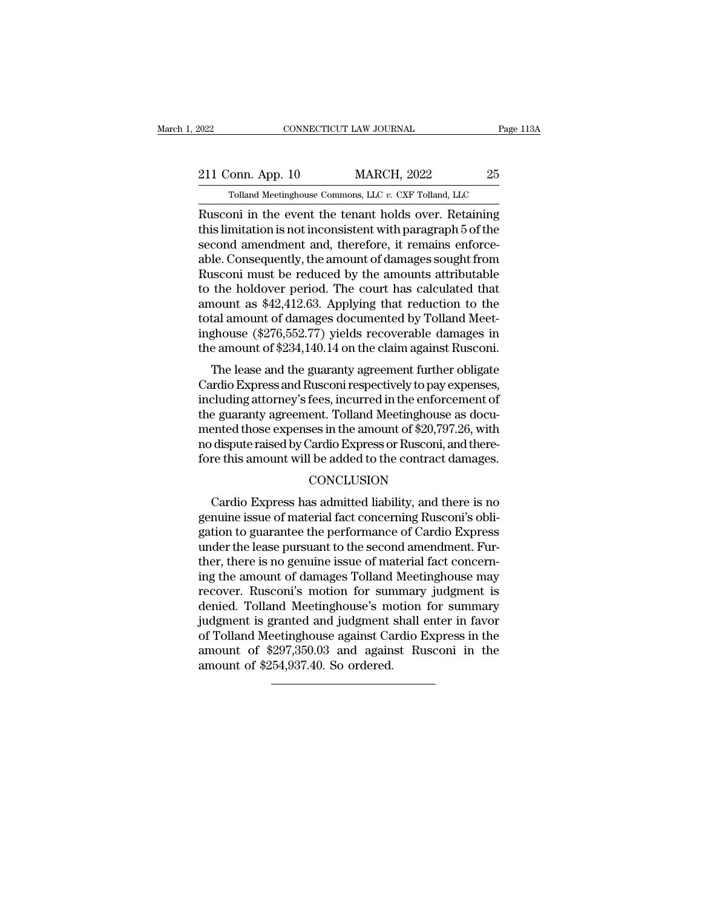## 2022 CONNECTICUT LAW JOURNAL Page 113A<br>211 Conn. App. 10 MARCH, 2022 25<br>25 Tolland Meetinghouse Commons, LLC v. CXF Tolland, LLC CONNECTICUT LAW JOURNAL Page 1<br>Tolland Meetinghouse Commons, LLC *v.* CXF Tolland, LLC<br>Tolland Meetinghouse Commons, LLC *v.* CXF Tolland, LLC<br>Tolland Meetinghouse Commons, LLC *v.* CXF Tolland, LLC

EXECUTE 2022 ENRICITY CONNECTICUT LAW JOURNAL Page 113A<br>
211 Conn. App. 10 MARCH, 2022 25<br>
Tolland Meetinghouse Commons, LLC v. CXF Tolland, LLC<br>
Rusconi in the event the tenant holds over. Retaining<br>
this limitation is no 211 Conn. App. 10 MARCH, 2022 25<br>
Tolland Meetinghouse Commons, LLC v. CXF Tolland, LLC<br>
Rusconi in the event the tenant holds over. Retaining<br>
this limitation is not inconsistent with paragraph 5 of the<br>
second amendment 211 Conn. App. 10 MARCH, 2022 25<br>
Tolland Meetinghouse Commons, LLC  $v$ . CXF Tolland, LLC<br>
Rusconi in the event the tenant holds over. Retaining<br>
this limitation is not inconsistent with paragraph 5 of the<br>
second amendme 211 Conn. App. 10 MARCH, 2022 25<br>
Tolland Meetinghouse Commons, LLC  $v$ . CXF Tolland, LLC<br>
Rusconi in the event the tenant holds over. Retaining<br>
this limitation is not inconsistent with paragraph 5 of the<br>
second amendme Tolland Meetinghouse Commons, LLC v. CXF Tolland, LLC<br>Rusconi in the event the tenant holds over. Retaining<br>this limitation is not inconsistent with paragraph 5 of the<br>second amendment and, therefore, it remains enforce-<br> Tolland Meetinghouse Commons, LLC  $v$ . CXF Tolland, LLC<br>Rusconi in the event the tenant holds over. Retaining<br>this limitation is not inconsistent with paragraph 5 of the<br>second amendment and, therefore, it remains enforce Rusconi in the event the tenant holds over. Retaining<br>this limitation is not inconsistent with paragraph 5 of the<br>second amendment and, therefore, it remains enforce-<br>able. Consequently, the amount of damages sought from<br>R this limitation is not inconsistent with paragraph 5 of the<br>second amendment and, therefore, it remains enforce-<br>able. Consequently, the amount of damages sought from<br>Rusconi must be reduced by the amounts attributable<br>to second amendment and, therefore, it remains enforce-<br>able. Consequently, the amount of damages sought from<br>Rusconi must be reduced by the amounts attributable<br>to the holdover period. The court has calculated that<br>amount as able. Consequently, the amount of damages sought from<br>Rusconi must be reduced by the amounts attributable<br>to the holdover period. The court has calculated that<br>amount as \$42,412.63. Applying that reduction to the<br>total amo second must be reduced by the amounts attributable<br>the holdover period. The court has calculated that<br>nount as \$42,412.63. Applying that reduction to the<br>tal amount of damages documented by Tolland Meet-<br>ghouse (\$276,552.7 to the holdover period. The court has calculated that<br>amount as \$42,412.63. Applying that reduction to the<br>total amount of damages documented by Tolland Meet-<br>inghouse (\$276,552.77) yields recoverable damages in<br>the amount

amount as  $\frac{1}{2}$   $\frac{1}{2}$ .0.0. Applying that reduction to the total amount of damages documented by Tolland Meet-<br>inghouse (\$276,552.77) yields recoverable damages in<br>the amount of \$234,140.14 on the claim against Rus total amount of damages documented by Tohand Meet-<br>inghouse (\$276,552.77) yields recoverable damages in<br>the amount of \$234,140.14 on the claim against Rusconi.<br>The lease and the guaranty agreement further obligate<br>Cardio E mgnouse  $(\psi_2, \psi_3, \psi_2, \psi_1)$  yields recoverable damages in<br>the amount of \$234,140.14 on the claim against Rusconi.<br>The lease and the guaranty agreement further obligate<br>Cardio Express and Rusconi respectively to pay exp The lease and the guaranty agreement further obligate<br>Cardio Express and Rusconi respectively to pay expenses,<br>including attorney's fees, incurred in the enforcement of<br>the guaranty agreement. Tolland Meetinghouse as docu-The lease and the guaranty agreement further obligate<br>Cardio Express and Rusconi respectively to pay expenses,<br>including attorney's fees, incurred in the enforcement of<br>the guaranty agreement. Tolland Meetinghouse as docue guaranty agreement. Tolland Meetinghouse as docu-<br>ented those expenses in the amount of \$20,797.26, with<br>dispute raised by Cardio Express or Rusconi, and there-<br>re this amount will be added to the contract damages.<br>CONCL

### **CONCLUSION**

mented those expenses in the amount of \$20,797.26, with<br>no dispute raised by Cardio Express or Rusconi, and there-<br>fore this amount will be added to the contract damages.<br>CONCLUSION<br>Cardio Express has admitted liability, a no dispute raised by Cardio Express or Rusconi, and therefore this amount will be added to the contract damages.<br>CONCLUSION<br>Cardio Express has admitted liability, and there is no<br>genuine issue of material fact concerning R fore this amount will be added to the contract damages.<br>CONCLUSION<br>Cardio Express has admitted liability, and there is no<br>genuine issue of material fact concerning Rusconi's obli-<br>gation to guarantee the performance of Car CONCLUSION<br>Cardio Express has admitted liability, and there is no<br>genuine issue of material fact concerning Rusconi's obli-<br>gation to guarantee the performance of Cardio Express<br>under the lease pursuant to the second amend CONCLUSION<br>
CONCLUSION<br>
genuine issue of material fact concerning Rusconi's obligation<br>
to guarantee the performance of Cardio Express<br>
under the lease pursuant to the second amendment. Fur-<br>
ther, there is no genuine issu Cardio Express has admitted liability, and there is no<br>genuine issue of material fact concerning Rusconi's obli-<br>gation to guarantee the performance of Cardio Express<br>under the lease pursuant to the second amendment. Fur-<br> genuine issue of material fact concerning Rusconi's obligation to guarantee the performance of Cardio Express<br>under the lease pursuant to the second amendment. Further, there is no genuine issue of material fact concerning gation to guarantee the performance of Cardio Express<br>under the lease pursuant to the second amendment. Fur-<br>ther, there is no genuine issue of material fact concern-<br>ing the amount of damages Tolland Meetinghouse may<br>reco under the lease pursuant to the second amendment. Fur-<br>ther, there is no genuine issue of material fact concern-<br>ing the amount of damages Tolland Meetinghouse may<br>recover. Rusconi's motion for summary judgment is<br>denied. ther, there is no genuine issue of material fact concerning the amount of damages Tolland Meetinghouse may recover. Rusconi's motion for summary judgment is denied. Tolland Meetinghouse's motion for summary judgment is gra ing the amount of damages Tolland<br>recover. Rusconi's motion for sun<br>denied. Tolland Meetinghouse's mo<br>judgment is granted and judgment<br>of Tolland Meetinghouse against Ca<br>amount of \$297,350.03 and again<br>amount of \$254,937.4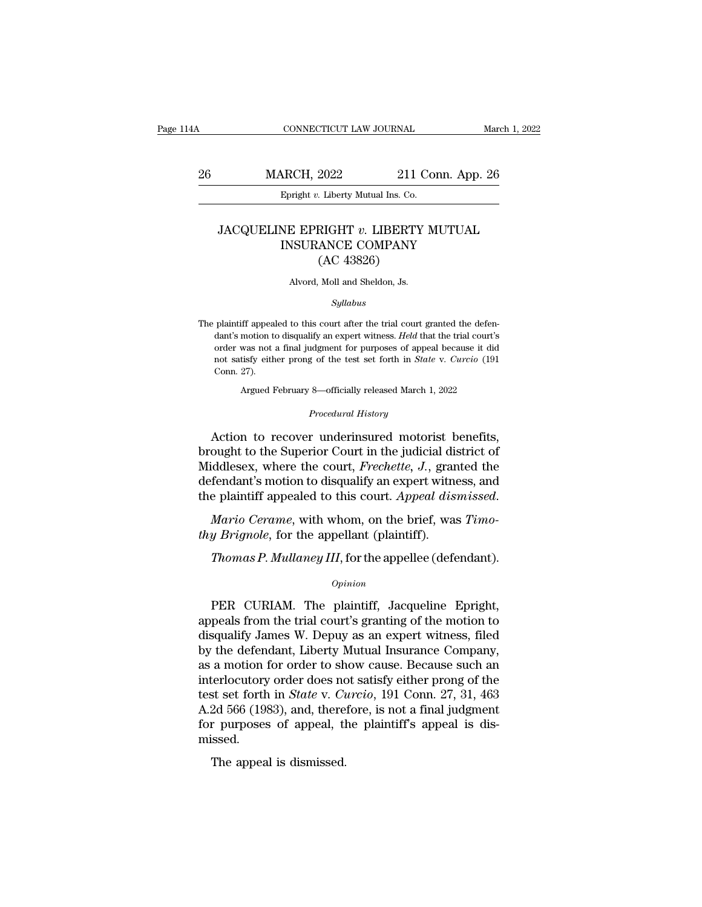## CONNECTICUT LAW JOURNAL March 1, 2022<br>26 MARCH, 2022 211 Conn. App. 26<br>Epright v. Liberty Mutual Ins. Co. EPRIGHT CONNECTICUT LAW JOURNAL<br> **EPRIGHT 12022** 211 Connection 211 Connection 211 Connection 211 Connection 211 Connection 21 Connection 21 Connection 21 Connection 21 Connection 21 Connection 21 Connection 21 Connection

### MARCH, 2022 211 Conn. App. 26<br>Epright *v.* Liberty Mutual Ins. Co.<br>JACQUELINE EPRIGHT *v.* LIBERTY MUTUAL<br>INSURANCE COMPANY ARCH, 2022 211 Conn. App.<br>
Epright v. Liberty Mutual Ins. Co.<br>
NE EPRIGHT v. LIBERTY MUTUAL<br>
INSURANCE COMPANY (AC 43826) 2022 211 C<br>
Musical Liberty Mutual Ins. Co.<br>
RIGHT v. LIBERTY<br>
ANCE COMPANY<br>
(AC 43826)<br>
Moll and Sheldon, Js.  $\begin{aligned} \text{JACQUELINE EPRIGHT}\ v.\ \text{LIBERTY MUTUAL} \\ \text{INSURANCE COMPANY} \\ \text{(AC 43826)} \\ \text{Alvord, Moll and Sheldon, Js.} \end{aligned}$

### *Syllabus*

 $(AC 43826)$ <br>Alvord, Moll and Sheldon, Js.<br>Syllabus<br>The plaintiff appealed to this court after the trial court granted the defen-<br>dant's motion to disqualify an expert witness. Held that the trial court's Alvord, Moll and Sheldon, Js.<br>
Syllabus<br>
plaintiff appealed to this court after the trial court granted the defen-<br>
dant's motion to disqualify an expert witness. *Held* that the trial court's<br>
order was not a final judgme Alvord, Moll and Sheldon, Js.<br>
Syllabus<br>
plaintiff appealed to this court after the trial court granted the defen-<br>
dant's motion to disqualify an expert witness. *Held* that the trial court's<br>
order was not a final judgme *Syllabus*<br>plaintiff appealed to this court after the trial court granted the defen-<br>dant's motion to disqualify an expert witness. *Held* that the trial court's<br>order was not a final judgment for purposes of appeal becaus plaintiff appeal<br>dant's motion to<br>order was not :<br>not satisfy eith<br>Conn. 27).<br>Argued F fif appealed to this court after the trial court granted the defenmotion to disqualify an expert witness. *Held* that the trial court's was not a final judgment for purposes of appeal because it did<br>tisfy either prong of t order was not a final judgment for purposes of appeal because it did<br> *Procedural History*<br> *Procedural History*<br> *Procedural History*<br> **Action to recover underinsured motorist benefits,** order was not a final judgment for purposes of appeal because it did<br>not satisfy either prong of the test set forth in *State* v. *Curcio* (191<br>Conn. 27).<br>Argued February 8—officially released March 1, 2022<br>*Procedural His* 

not satisfy either prong of the test set forth in *State v. Curcio* (191<br>Conn. 27).<br>Argued February 8—officially released March 1, 2022<br>*Procedural History*<br>Action to recover underinsured motorist benefits,<br>brought to the Conn. 27).<br>
Argued February 8—officially released March 1, 2022<br>
Procedural History<br>
Action to recover underinsured motorist benefits,<br>
brought to the Superior Court in the judicial district of<br>
Middlesex, where the court, Argued February 8—officially released March 1, 2022<br>
Procedural History<br>
Action to recover underinsured motorist benefits,<br>
brought to the Superior Court in the judicial district of<br>
Middlesex, where the court, Frechette, Frocedural History<br>Action to recover underinsured motorist benefits,<br>brought to the Superior Court in the judicial district of<br>Middlesex, where the court, *Frechette*, *J*., granted the<br>defendant's motion to disqualify an Fredom to Tecover dimensioned inclosed by brought to the Superior Court in the judicial dis Middlesex, where the court, *Frechette*, *J.*, grandefendant's motion to disqualify an expert with the plaintiff appealed to this *The iddlesex, where the court, Frechette, J., granted the fendant's motion to disqualify an expert witness, and e plaintiff appealed to this court. Appeal dismissed.<br>
<i>Mario Cerame, with whom, on the brief, was Timogy Bri* 

### *Opinion*

Mario Cerame, with whom, on the brief, was Timo-<br>
y Brignole, for the appellant (plaintiff).<br>
Thomas P. Mullaney III, for the appellee (defendant).<br>
opinion<br>
PER CURIAM. The plaintiff, Jacqueline Epright,<br>
peals from the t thy Brignole, for the appellant (plaintiff).<br>
Thomas P. Mullaney III, for the appellee (defendant).<br>
opinion<br>
PER CURIAM. The plaintiff, Jacqueline Epright,<br>
appeals from the trial court's granting of the motion to<br>
disqua Thomas P. Mullaney III, for the appellee (defendant).<br>
Opinion<br>
PER CURIAM. The plaintiff, Jacqueline Epright,<br>
appeals from the trial court's granting of the motion to<br>
disqualify James W. Depuy as an expert witness, file Thomas P. Mullaney III, for the appellee (defendant).<br>
opinion<br>
DER CURIAM. The plaintiff, Jacqueline Epright,<br>
appeals from the trial court's granting of the motion to<br>
disqualify James W. Depuy as an expert witness, file opinion<br>
PER CURIAM. The plaintiff, Jacqueline Epright,<br>
appeals from the trial court's granting of the motion to<br>
disqualify James W. Depuy as an expert witness, filed<br>
by the defendant, Liberty Mutual Insurance Company,<br> FER CURIAM. The plaintiff, Jacqueline Epright,<br>appeals from the trial court's granting of the motion to<br>disqualify James W. Depuy as an expert witness, filed<br>by the defendant, Liberty Mutual Insurance Company,<br>as a motion PER CURIAM. The plaintiff, Jacqueline Epright,<br>appeals from the trial court's granting of the motion to<br>disqualify James W. Depuy as an expert witness, filed<br>by the defendant, Liberty Mutual Insurance Company,<br>as a motion appeals from the trial court's granting of the motion to<br>disqualify James W. Depuy as an expert witness, filed<br>by the defendant, Liberty Mutual Insurance Company,<br>as a motion for order to show cause. Because such an<br>interl disqualify James W. Depuy as an expert witness, filed<br>by the defendant, Liberty Mutual Insurance Company,<br>as a motion for order to show cause. Because such an<br>interlocutory order does not satisfy either prong of the<br>test s missed. a modern to order to ship<br>terlocutory order does not<br>st set forth in *State* v. *Ct*<br>2d 566 (1983), and, there<br>r purposes of appeal, tlissed.<br>The appeal is dismissed.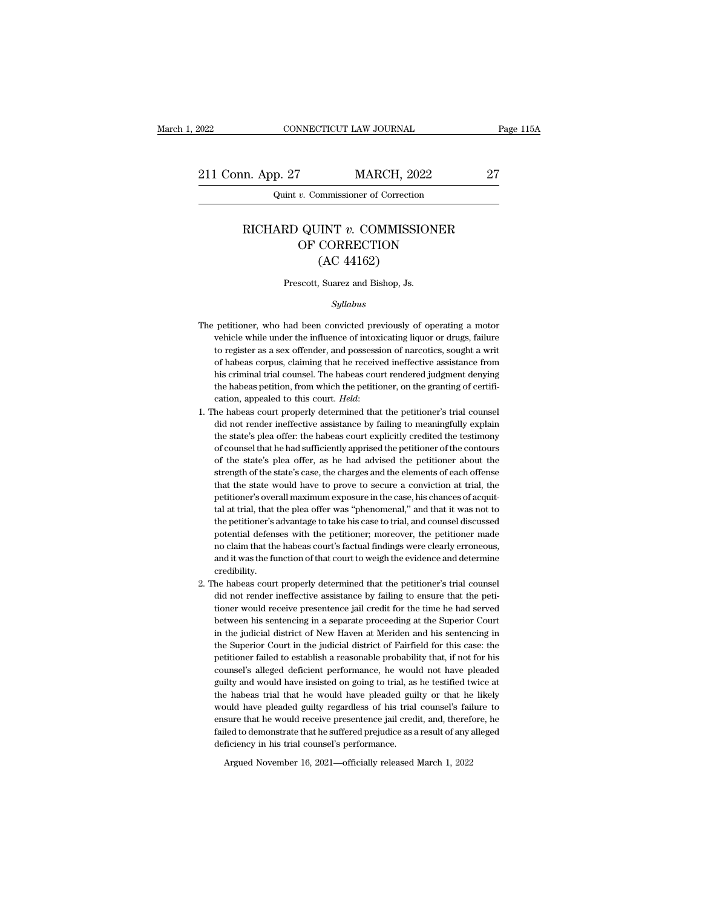2022 CONNECTICUT LAW JOURNAL Page 115A<br>211 Conn. App. 27 MARCH, 2022 27<br>27 Quint v. Commissioner of Correction

CONNECTICUT LAW JOURNAL<br>
p. 27 MARCH, 2022<br>
Quint *v.* Commissioner of Correction

### m. App. 27 MARCH, 2022 27<br>
Quint *v.* Commissioner of Correction<br>
RICHARD QUINT *v.* COMMISSIONER<br>
OF CORRECTION  $\begin{array}{lll} \text{\textcolor{red}{\bf{M}}}\text{ARCH, 2022} \\ \text{\textcolor{red}{\bf{v}}.\text{ Commissioner of Correction}} \\ \text{\textcolor{red}{\bf{QUINT}\text{ }}v.\text{ COMMISSIONER}} \\ \text{\textcolor{red}{\bf{OF CORRECTION}}}\text{ (AC 44162)} \end{array}$ MARCH, 202<br>
IMMISSIC CORRECTION<br>
(AC 44162)<br>
Suarez and Bishop, Js. RICHARD QUINT v. COMMISSIONER<br>OF CORRECTION<br>(AC 44162)<br>Prescott, Suarez and Bishop, Js.

### *Syllabus*

- $(AC 44162)$ <br>Prescott, Suarez and Bishop, Js.<br> $Syllabus$ <br>The petitioner, who had been convicted previously of operating a motor<br>vehicle while under the influence of intoxicating liquor or drugs, failure Prescott, Suarez and Bishop, Js.<br>
Syllabus<br>
petitioner, who had been convicted previously of operating a motor<br>
vehicle while under the influence of intoxicating liquor or drugs, failure<br>
to register as a sex offender, and Prescott, Suarez and Bishop, Js.<br>Syllabus<br>petitioner, who had been convicted previously of operating a motor<br>vehicle while under the influence of intoxicating liquor or drugs, failure<br>to register as a sex offender, and pos *Syllabus*<br>
petitioner, who had been convicted previously of operating a motor<br>
vehicle while under the influence of intoxicating liquor or drugs, failure<br>
to register as a sex offender, and possession of narcotics, sought by petitioner, who had been convicted previously of operating a motor vehicle while under the influence of intoxicating liquor or drugs, failure to register as a sex offender, and possession of narcotics, sought a writ of petitioner, who had been convicted previously of operating a motor vehicle while under the influence of intoxicating liquor or drugs, failure to register as a sex offender, and possession of narcotics, sought a writ of ha vehicle while under the influence of intoxicating liquor or drugs, failure<br>to register as a sex offender, and possession of narcotics, sought a writ<br>of habeas corpus, claiming that he received ineffective assistance from<br>h of habeas corpus, claiming that he received ineffective assistance from<br>his criminal trial counsel. The habeas court rendered judgment denying<br>the habeas petition, from which the petitioner, on the granting of certifi-<br>cat
- his criminal trial counsel. The habeas court rendered judgment denying<br>the habeas petition, from which the petitioner, on the granting of certifi-<br>cation, appealed to this court. *Held:*<br>he habeas court properly determined the habeas petition, from which the petitioner, on the granting of certification, appealed to this court. *Held*:<br>he habeas court properly determined that the petitioner's trial counsel<br>did not render ineffective assistanc cation, appealed to this court. *Held*:<br>he habeas court properly determined that the petitioner's trial counsel<br>did not render ineffective assistance by failing to meaningfully explain<br>the state's plea offer: the habeas co he habeas court properly determined that the petitioner's trial counsel<br>did not render ineffective assistance by failing to meaningfully explain<br>the state's plea offer: the habeas court explicitly credited the testimony<br>of did not render ineffective assistance by failing to meaningfully explain<br>the state's plea offer: the habeas court explicitly credited the testimony<br>of counsel that he had sufficiently apprised the petitioner of the contour the state's plea offer: the habeas court explicitly credited the testimony of counsel that he had sufficiently apprised the petitioner of the contours of the state's plea offer, as he had advised the petitioner about the s of counsel that he had sufficiently apprised the petitioner of the contours<br>of the state's plea offer, as he had advised the petitioner about the<br>strength of the state's case, the charges and the elements of each offense<br>t of the state's plea offer, as he had advised the petitioner about the strength of the state's case, the charges and the elements of each offense that the state would have to prove to secure a conviction at trial, the petit strength of the state's case, the charges and the elements of each offense<br>that the state would have to prove to secure a conviction at trial, the<br>petitioner's overall maximum exposure in the case, his chances of acquit-<br>t tal at trial, that the plea offer was "phenomenal," and that it was not to the petitioner's advantage to take his case to trial, and counsel discussed potential defenses with the petitioner; moreover, the petitioner made n petitioner's overall maximum exposure in the case, his chances of acquit-<br>tal at trial, that the plea offer was "phenomenal," and that it was not to<br>the petitioner's advantage to take his case to trial, and counsel discuss credibility. the petitioner's advantage to take his case to trial, and counsel discussed<br>potential defenses with the petitioner; moreover, the petitioner made<br>no claim that the habeas court's factual findings were clearly erroneous,<br>an potential defenses with the petitioner; moreover, the petitioner made no claim that the habeas court's factual findings were clearly erroneous, and it was the function of that court to weigh the evidence and determine cred
- the non-claim that the habeas court's factual findings were clearly erroneous,<br>and it was the function of that court to weigh the evidence and determine<br>credibility.<br>the habeas court properly determined that the petitioner and it was the function of that court to weigh the evidence and determine credibility.<br>
he habeas court properly determined that the petitioner's trial counsel<br>
did not render ineffective assistance by failing to ensure th credibility.<br>
he habeas court properly determined that the petitioner's trial counsel<br>
did not render ineffective assistance by failing to ensure that the peti-<br>
tioner would receive presentence jail credit for the time he he habeas court properly determined that the petitioner's trial counsel<br>did not render ineffective assistance by failing to ensure that the peti-<br>tioner would receive presentence jail credit for the time he had served<br>betw did not render ineffective assistance by failing to ensure that the petitioner would receive presentence jail credit for the time he had served between his sentencing in a separate proceeding at the Superior Court in the j tioner would receive presentence jail credit for the time he had served<br>between his sentencing in a separate proceeding at the Superior Court<br>in the judicial district of New Haven at Meriden and his sentencing in<br>the Super between his sentencing in a separate proceeding at the Superior Court<br>in the judicial district of New Haven at Meriden and his sentencing in<br>the Superior Court in the judicial district of Fairfield for this case: the<br>petit in the judicial district of New Haven at Meriden and his sentencing in<br>the Superior Court in the judicial district of Fairfield for this case: the<br>petitioner failed to establish a reasonable probability that, if not for hi the Superior Court in the judicial district of Fairfield for this case: the petitioner failed to establish a reasonable probability that, if not for his counsel's alleged deficient performance, he would not have pleaded gu petitioner failed to establish a reasonable probability that, if not for his counsel's alleged deficient performance, he would not have pleaded guilty and would have insisted on going to trial, as he testified twice at the failed to demonstrate that he suffered produces. The suffered pailty and would have insisted on going to trial, as he testified twice at the habeas trial that he would have pleaded guilty or that he likely would have plead guilty and would have insisted on going to trial, as he testified twice at the habeas trial that he would have pleaded guilty or that he likely would have pleaded guilty regardless of his trial counsel's failure to ensure

Argued November 16, 2021—officially released March 1, 2022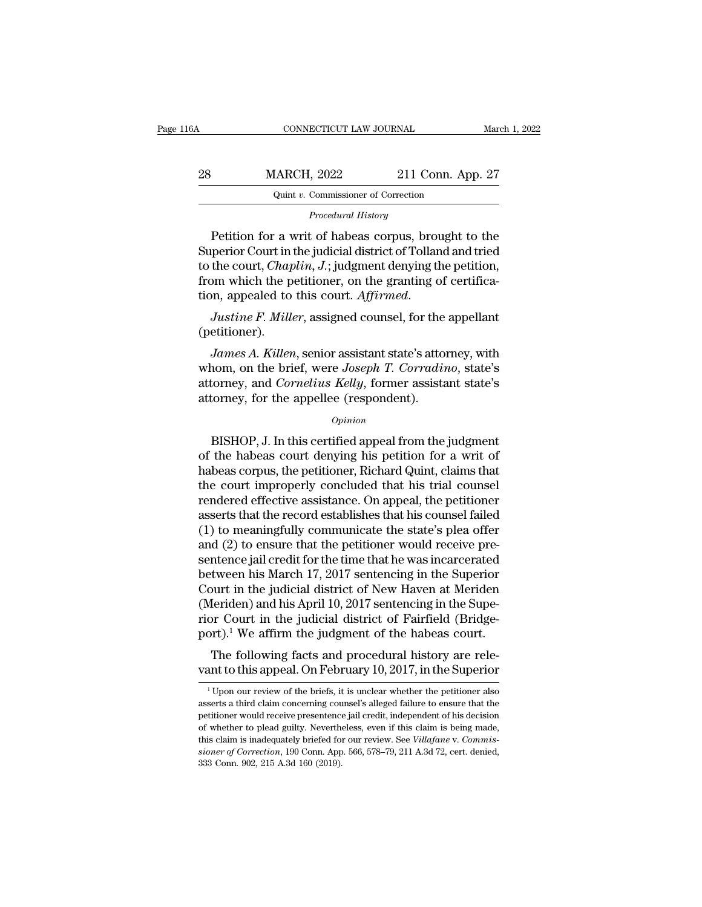|                    | March 1, 2022                                                                                                                               |
|--------------------|---------------------------------------------------------------------------------------------------------------------------------------------|
| 211 Conn. App. 27  |                                                                                                                                             |
|                    |                                                                                                                                             |
|                    |                                                                                                                                             |
| <b>MARCH, 2022</b> | CONNECTICUT LAW JOURNAL<br>Quint v. Commissioner of Correction<br>Procedural History<br>Potition for a writ of haboas corpus brought to the |

MARCH, 2022 211 Conn. App. 27<br>
Quint v. Commissioner of Correction<br>
Procedural History<br>
Petition for a writ of habeas corpus, brought to the<br>
perior Court in the judicial district of Tolland and tried<br>
the court Charlin I:  $\begin{array}{ll}\n & \text{MARCH, 2022} & \text{211 Conn. App. 27} \\
 & \text{Quint } v. \text{ Commissioner of Correction} \\
 & \text{Procedural History} \\
 \end{array}$ <br>
Petition for a writ of habeas corpus, brought to the Superior Court in the judicial district of Tolland and tried to the court, *Chaplin*, J.; judg MARCH, 2022 211 Conn. App. 27<br>
Quint *v.* Commissioner of Correction<br>
Procedural History<br>
Petition for a writ of habeas corpus, brought to the<br>
Superior Court in the judicial district of Tolland and tried<br>
to the court, *C* Frocedural History<br>
Frocedural History<br>
Petition for a writ of habeas corpus, brought to the<br>
Superior Court in the judicial district of Tolland and tried<br>
to the court, *Chaplin*, *J*.; judgment denying the petition,<br>
fro Frocedural History<br>Petition for a writ of habeas corpus, brought to the<br>Superior Court in the judicial district of Tolland and tried<br>to the court, *Chaplin*, *J*.; judgment denying the petition,<br>from which the petitioner, *James A. Killen, J.*; judgment denying the petition,<br> *Justine F. Miller*, assigned counsel, for the appellant<br> *Justine F. Miller*, assigned counsel, for the appellant<br> *Justine F. Miller*, assigned counsel, for the appe

(petitioner).

from which the petitioner, on the granting of certification, appealed to this court. *Affirmed.*<br> *Justine F. Miller*, assigned counsel, for the appellant (petitioner).<br> *James A. Killen*, senior assistant state's attorney ion, appealed to this court. *Affirmed.*<br> *Justine F. Miller*, assigned counsel, for the appellant<br>
(petitioner).<br> *James A. Killen*, senior assistant state's attorney, with<br>
whom, on the brief, were *Joseph T. Corradino*, Justine F. Miller, assigned counsel, for the (petitioner).<br>(petitioner).<br>James A. Killen, senior assistant state's attom<br>whom, on the brief, were Joseph T. Corradia<br>attorney, and Cornelius Kelly, former assistant<br>attorney, *James A. Killen*, senior assistant state's attorney, with<br>nom, on the brief, were *Joseph T. Corradino*, state's<br>torney, and *Cornelius Kelly*, former assistant state's<br>torney, for the appellee (respondent).<br> $o_{pinion}$ <br>BISHO

### *Opinion*

whom, on the brief, were *Joseph T. Corradino*, state's<br>attorney, and *Cornelius Kelly*, former assistant state's<br>attorney, for the appellee (respondent).<br> $o_{pinion}$ <br>BISHOP, J. In this certified appeal from the judgment<br>of th attorney, and *Cornelius Kelly*, former assistant state's<br>attorney, for the appellee (respondent).<br> $\overline{O}$ <br>BISHOP, J. In this certified appeal from the judgment<br>of the habeas court denying his petition for a writ of<br>habea attorney, for the appellee (respondent).<br>
opinion<br>
BISHOP, J. In this certified appeal from the judgment<br>
of the habeas court denying his petition for a writ of<br>
habeas corpus, the petitioner, Richard Quint, claims that<br>
t **EXALCO CONTE CONTENT:**<br>
FOR THE SECTION AT A HIS CONDITION OF A HIS CONDITED A HIS CONDUCT A MORE THAND AND A HORE THE COULD THAN THE COULD THE COULD THE PERIOD THAN THE PERIOD THAN THE PERIOD THAN THE PERIOD THAN THE PER BISHOP, J. In this certified appeal from the judgment<br>of the habeas court denying his petition for a writ of<br>habeas corpus, the petitioner, Richard Quint, claims that<br>the court improperly concluded that his trial counsel<br> BISHOP, J. In this certified appeal from the judgment<br>of the habeas court denying his petition for a writ of<br>habeas corpus, the petitioner, Richard Quint, claims that<br>the court improperly concluded that his trial counsel<br>r of the habeas court denying his petition for a writ of<br>habeas corpus, the petitioner, Richard Quint, claims that<br>the court improperly concluded that his trial counsel<br>rendered effective assistance. On appeal, the petitione habeas corpus, the petitioner, Richard Quint, claims that<br>the court improperly concluded that his trial counsel<br>rendered effective assistance. On appeal, the petitioner<br>asserts that the record establishes that his counsel the court improperly concluded that his trial counsel<br>rendered effective assistance. On appeal, the petitioner<br>asserts that the record establishes that his counsel failed<br>(1) to meaningfully communicate the state's plea of rendered effective assistance. On appeal, the petitioner<br>asserts that the record establishes that his counsel failed<br>(1) to meaningfully communicate the state's plea offer<br>and (2) to ensure that the petitioner would receiv asserts that the record establishes that his counsel failed (1) to meaningfully communicate the state's plea offer and (2) to ensure that the petitioner would receive presentence jail credit for the time that he was incar (1) to meaningfully communicate the state's plea offer<br>and (2) to ensure that the petitioner would receive pre-<br>sentence jail credit for the time that he was incarcerated<br>between his March 17, 2017 sentencing in the Super and (2) to ensure that the petitioner would receive pre-<br>sentence jail credit for the time that he was incarcerated<br>between his March 17, 2017 sentencing in the Superior<br>Court in the judicial district of New Haven at Merid Intence jan credit for the time that he was incarcerated<br>tween his March 17, 2017 sentencing in the Superior<br>purt in the judicial district of New Haven at Meriden<br>leriden) and his April 10, 2017 sentencing in the Supe-<br>pro between ins march 17, 2017 sentencing in the superior<br>Court in the judicial district of New Haven at Meriden<br>(Meriden) and his April 10, 2017 sentencing in the Supe-<br>rior Court in the judicial district of Fairfield (Bridg

1 Our review of the briefs, it is unclear whether the petitioner also extract to this appeal. On February 10, 2017, in the Superior  $\frac{1}{1}$  Upon our review of the briefs, it is unclear whether the petitioner also serts

port). We arrith the judgment of the habeas court.<br>The following facts and procedural history are relevant to this appeal. On February 10, 2017, in the Superior<br><sup>1</sup> Upon our review of the briefs, it is unclear whether the The following facts and procedural history are relevant to this appeal. On February 10, 2017, in the Superior  $\frac{1}{1}$  Upon our review of the briefs, it is unclear whether the petitioner also asserts a third claim concer Vant to this appeal. On February 10, 2017, in the Superior  $\frac{1}{1}$  Upon our review of the briefs, it is unclear whether the petitioner also asserts a third claim concerning counsel's alleged failure to ensure that the p vant to tris appear. Of February 10, 2017, if the superformulation of the briefs, it is unclear whether the petitioner also asserts a third claim concerning counsel's alleged failure to ensure that the petitioner would rec <sup>1</sup> Upon our review of the briefs, it is unclear whether the petitioner also asserts a third claim concerning counsel's alleged failure to ensure that the petitioner would receive presentence jail credit, independent of h asserts a third claim concerning counsel's alleged failure to ensure that the petitioner would receive presentence jail credit, independent of his decision of whether to plead guilty. Nevertheless, even if this claim is b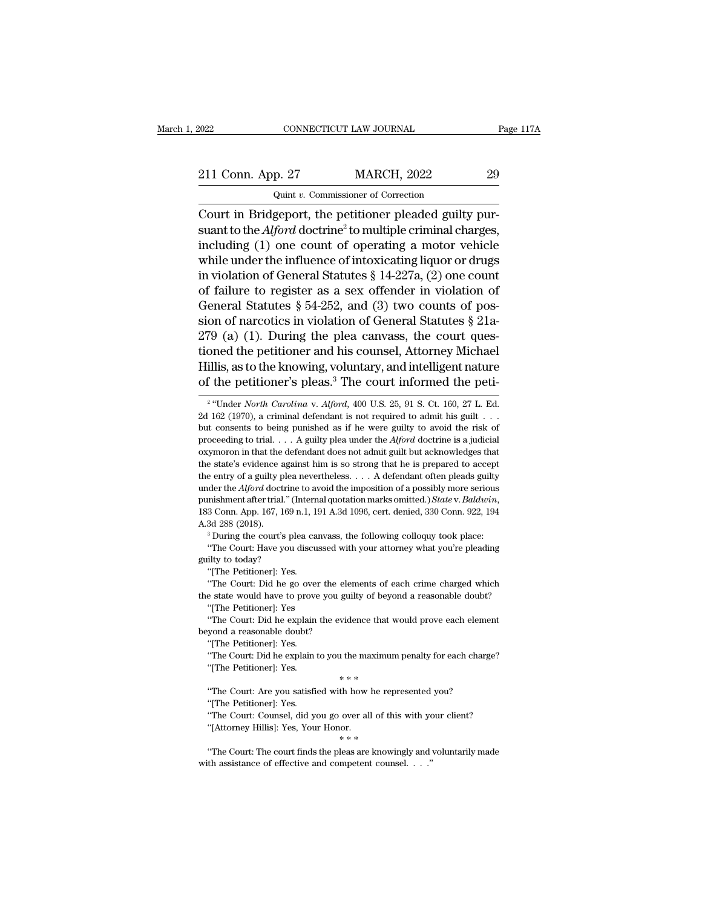## 2022 CONNECTICUT LAW JOURNAL Page 117A<br>211 Conn. App. 27 MARCH, 2022 29<br>29 Quint v. Commissioner of Correction CONNECTICUT LAW JOURNAL<br>p. 27 MARCH, 2022<br>Quint *v.* Commissioner of Correction<br>genort the petitioner pleaded guilty

CONNECTICUT LAW JOURNAL<br>
211 Conn. App. 27 MARCH, 2022 29<br>
29 Quint v. Commissioner of Correction<br>
Court in Bridgeport, the petitioner pleaded guilty pur-<br>
suant to the *Alford* doctrine<sup>2</sup> to multiple criminal charges,<br>
i 211 Conn. App. 27 MARCH, 2022 29<br>
Quint v. Commissioner of Correction<br>
Court in Bridgeport, the petitioner pleaded guilty pursuant to the *Alford* doctrine<sup>2</sup> to multiple criminal charges,<br>
including (1) one count of opera 211 Conn. App. 27 MARCH, 2022 29<br>
Quint v. Commissioner of Correction<br>
Court in Bridgeport, the petitioner pleaded guilty pur-<br>
suant to the *Alford* doctrine<sup>2</sup> to multiple criminal charges,<br>
including (1) one count of o 211 Conn. App. 27 MARCH, 2022 29<br>
Quint v. Commissioner of Correction<br>
Court in Bridgeport, the petitioner pleaded guilty pursuant to the *Alford* doctrine<sup>2</sup> to multiple criminal charges,<br>
including (1) one count of oper Quint v. Commissioner of Correction<br>
Court in Bridgeport, the petitioner pleaded guilty pur-<br>
suant to the *Alford* doctrine<sup>2</sup> to multiple criminal charges,<br>
including (1) one count of operating a motor vehicle<br>
while un Court in Bridgeport, the petitioner pleaded guilty pursuant to the *Alford* doctrine<sup>2</sup> to multiple criminal charges, including (1) one count of operating a motor vehicle while under the influence of intoxicating liquor o Court in Bridgeport, the petitioner pleaded guilty pursuant to the *Alford* doctrine<sup>2</sup> to multiple criminal charges, including (1) one count of operating a motor vehicle while under the influence of intoxicating liquor o suant to the *Alford* doctrine<sup>2</sup> to multiple criminal charges,<br>including (1) one count of operating a motor vehicle<br>while under the influence of intoxicating liquor or drugs<br>in violation of General Statutes § 14-227a, (2 including (1) one count of operating a motor vehicle<br>while under the influence of intoxicating liquor or drugs<br>in violation of General Statutes § 14-227a, (2) one count<br>of failure to register as a sex offender in violatio while under the influence of intoxicating liquor or drugs<br>in violation of General Statutes  $\S$  14-227a, (2) one count<br>of failure to register as a sex offender in violation of<br>General Statutes  $\S$  54-252, and (3) two count in violation of General Statutes § 14-227a, (2) one count<br>of failure to register as a sex offender in violation of<br>General Statutes § 54-252, and (3) two counts of pos-<br>sion of narcotics in violation of General Statutes § of failure to register as a sex offender in violation of General Statutes § 54-252, and (3) two counts of possion of narcotics in violation of General Statutes § 21a-279 (a) (1). During the plea canvass, the court questio 279 (a) (1). During the plea canvass, the court questioned the petitioner and his counsel, Attorney Michael Hillis, as to the knowing, voluntary, and intelligent nature of the petitioner's pleas.<sup>3</sup> The court informed the tioned the petitioner and his counsel, Attorney Michael<br>Hillis, as to the knowing, voluntary, and intelligent nature<br>of the petitioner's pleas.<sup>3</sup> The court informed the peti-<br><sup>2</sup> "Under *North Carolina* v. *Alford*, 400

3d 288 (2018).<br>
<sup>3</sup> During the court's plea canvass, the following colloquy took place:<br>
"The Court: Have you discussed with your attorney what you're pleading<br>
ilty to today?<br>
"[The Petitioner]: Yes.<br>
"The Court: Did he g <sup>3</sup> During the court's plea canvass, the following colloquy took place:<br><sup>3</sup> During the court's plea canvass, the following colloquy took place:<br>"The Court: Have you discussed with your attorney what you're pleading<br>guilty "The Court: Have you discussed with your attorney what you're pleading<br>guilty to today?<br>"[The Petitioner]: Yes.<br>"The Court: Did he go over the elements of each crime charged which<br>the state would have to prove you guilty o The Petitioner]: Yes.<br>
"The Court: Did he go over the elements of each crime charged which<br>
"The Court: Did he go over the elements of each crime charged which<br>
"The Court: Did he explain the evidence that would prove each "[The Petitioner]: Yes.<br>"The Court: Did he go over the eld<br>the state would have to prove you gu<br>"[The Petitioner]: Yes<br>"The Court: Did he explain the evid<br>beyond a reasonable doubt?"<br>"[The Petitioner]: Yes. "The Court: Did he go over<br>"The Court: Did he go over"<br>"[The Petitioner]: Yes."<br>"The Court: Did he explain<br>yond a reasonable doubt?<br>"[The Petitioner]: Yes.<br>"The Court: Did he explain

The Extractionary of the control of explaint of the maximum charged minds ("The Petitioner]: Yes<br>
"The Court: Did he explain the evidence that would prove each element<br>
yond a reasonable doubt?<br>
"[The Petitioner]: Yes.<br>
"T "The Petitioner]: Yes.<br>
"The Petitioner]: Yes.<br>
"The Court: Did he explain the evidence that vyond a reasonable doubt?<br>
"The Petitioner]: Yes.<br>
"The Court: Did he explain to you the maximur"<br>
"The Petitioner]: Yes.<br>
\*\*\*<br>
"

yond a reasonable doubt?<br>
"[The Petitioner]: Yes.<br>
"The Court: Did he explain to you the maximum penalty for each charg<br>
"[The Petitioner]: Yes.<br>
"The Court: Are you satisfied with how he represented you?<br>
"[The Petitioner "The Petitioner]: Yes.<br>"The Petitioner]: Yes.<br>"The Court: Did he explain<br>"[The Petitioner]: Yes.<br>"The Court: Are you satisfic"<br>"The Court: Counsel, did ye "The Court: Did he explain to you the maximum penalty for each charge?<br>"The Court: Did he explain to you the maximum penalty for each charge?"<br>"The Court: Are you satisfied with how he represented you?"<br>"The Court: Counse

"The Petitioner]: Yes.<br>"The Petitioner]: Yes.<br>"The Court: Are you satisfied with how he rep<br>"[The Petitioner]: Yes.<br>"The Court: Counsel, did you go over all of the "[Attorney Hillis]: Yes, Your Honor.<br>"The Court: The court

"The Court: Are you satisfied with how he represented you?<br>"[The Petitioner]: Yes.<br>"The Court: Counsel, did you go over all of this with your client?<br>"[Attorney Hillis]: Yes, Your Honor.<br>"The Court: The court finds the ple "The Petitioner]: Yes.<br>
"The Court: Counsel, did you go over all of this with ye<br>
"Lettorney Hillis]: Yes, Your Honor.<br>  $**$ <br>
"The Court: The court finds the pleas are knowingly and with assistance of effective and compete

 $2$  "Llnde Hillis, as to the knowing, voluntary, and intelligent nature<br>of the petitioner's pleas.<sup>3</sup> The court informed the peti-<br><sup>2</sup> "Under *North Carolina* v. *Alford*, 400 U.S. 25, 91 S. Ct. 160, 27 L. Ed.<br>2d 162 (1970), a crimi of the petitioner's pleas.<sup>3</sup> The court informed the peti-<br><sup>2</sup> "Under *North Carolina v. Alford*, 400 U.S. 25, 91 S. Ct. 160, 27 L. Ed.<br>2d 162 (1970), a criminal defendant is not required to admit his guilt . . .<br>but cons or the petricular s preas. The COULT infurted the petri-<br>
<sup>2</sup> "Under *North Carolina* v. *Alford*, 400 U.S. 25, 91 S. Ct. 160, 27 L. Ed.<br>
2d 162 (1970), a criminal defendant is not required to admit his guilt . . .<br>
but c <sup>2</sup> "Under *North Carolina* v. *Alford*, 400 U.S. 25, 91 S. Ct. 160, 27 L. Ed.<br>2d 162 (1970), a criminal defendant is not required to admit his guilt . . .<br>but consents to being punished as if he were guilty to avoid the the entry of a guilty plea nevertheless. . . . A defendant often pleads guilty and the *Alford* obtained as if he were guilty to avoid the risk of proceeding to trial. . . . A guilty plea under the *Alford* doctrine is a judicial oxymoron in that the defendant does not admit guilt but acknowledges th proceeding to trial. . . . A guilty plea under the *Alford* doctrine is a judicial oxymoron in that the defendant does not admit guilt but acknowledges that the state's evidence against him is so strong that he is prepared A.3d 288 (2018).<br>
<sup>2</sup> A.3d 288 (2018). <sup>3</sup> During the court's plea canvass, the following control of a possibly more serious punishment after trial." (Internal quotation marks omitted.) *State v. Baldwin*, 183 Conn. App. of the *Alford* doctrine to avoid the imposition of a possibly more serious mishment after trial." (Internal quotation marks omitted.) *State v. Baldwin*, 3 Conn. App. 167, 169 n.1, 191 A.3d 1096, cert. denied, 330 Conn. punishment after trial." (I<br>punishment after trial." (I<br>183 Conn. App. 167, 169 1<br>A.3d 288 (2018).<br>"During the court's please of the Court: Have you<br>guilty to today?" "[The Petitioner]: Yes. 183 Conn. App. 167, 169 n.1, 191 A.3d 1096, cert. denied, 330 Conn. 922, 194<br>
A.3d 288 (2018).<br>
<sup>3</sup> During the court's plea canvass, the following colloquy took place:<br>
"The Court: Have you discussed with your attorney wh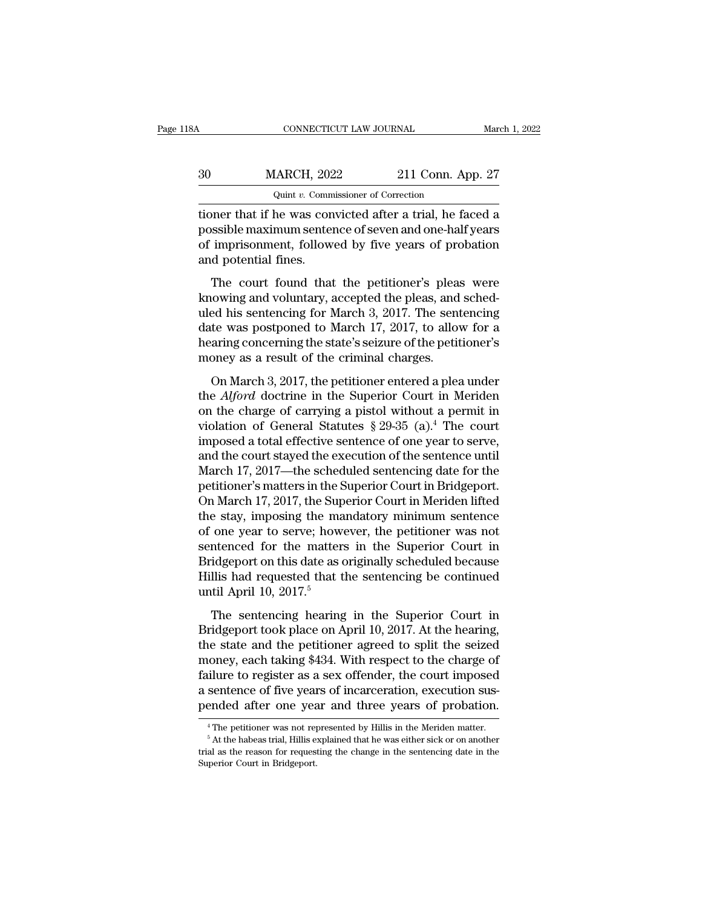| 8Α | CONNECTICUT LAW JOURNAL                                  |                   | March 1, 2022 |
|----|----------------------------------------------------------|-------------------|---------------|
| 30 | <b>MARCH, 2022</b>                                       | 211 Conn. App. 27 |               |
|    | Quint v. Commissioner of Correction                      |                   |               |
|    | tioner that if he was convicted after a trial he faced a |                   |               |

CONNECTICUT LAW JOURNAL March 1, 2022<br>
30 MARCH, 2022 211 Conn. App. 27<br>
211 Conn. App. 27<br>
400 March 1: Commissioner of Correction<br>
31 Conn. App. 27<br>
400 March 1: Commissioner of Correction<br>
21 Conn. App. 27<br>
400 March 21 MARCH, 2022 211 Conn. App. 27<br>
Quint v. Commissioner of Correction<br>
tioner that if he was convicted after a trial, he faced a<br>
possible maximum sentence of seven and one-half years<br>
of imprisonment, followed by five years  $\frac{30}{\text{WARCH}}$  2022 211 Conn. App. 27<br>  $\frac{1}{\text{Wint } v \cdot \text{Commissioner of Correction}}$ <br>
tioner that if he was convicted after a trial, he faced a<br>
possible maximum sentence of seven and one-half years<br>
of imprisonment, followed by five years of 30 MARCH, 202<br>
Quint v. Comm<br>
tioner that if he was com<br>
possible maximum senter<br>
of imprisonment, follow<br>
and potential fines.<br>
The court found that  $\frac{q_{\text{uint } v.}$  Commissioner of Correction<br>
oner that if he was convicted after a trial, he faced a<br>
ssible maximum sentence of seven and one-half years<br>
imprisonment, followed by five years of probation<br>
d potential fine tioner that if he was convicted after a trial, he faced a<br>possible maximum sentence of seven and one-half years<br>of imprisonment, followed by five years of probation<br>and potential fines.<br>The court found that the petitioner'

possible maximum sentence of seven and one-half years<br>of imprisonment, followed by five years of probation<br>and potential fines.<br>The court found that the petitioner's pleas were<br>knowing and voluntary, accepted the pleas, an dependent of imprisonment, followed by five years of probation<br>and potential fines.<br>The court found that the petitioner's pleas were<br>knowing and voluntary, accepted the pleas, and sched-<br>uled his sentencing for March 3, 20 and potential fines.<br>
The court found that the petitioner's pleas were<br>
knowing and voluntary, accepted the pleas, and sched-<br>
uled his sentencing for March 3, 2017. The sentencing<br>
date was postponed to March 17, 2017, to The court found that the petitioner's pleas<br>knowing and voluntary, accepted the pleas, and<br>uled his sentencing for March 3, 2017. The sent<br>date was postponed to March 17, 2017, to allow<br>hearing concerning the state's seizu The coard found and are pediable b pleas were<br>cowing and voluntary, accepted the pleas, and sched-<br>ed his sentencing for March 3, 2017. The sentencing<br>te was postponed to March 17, 2017, to allow for a<br>aring concerning the the *Alford* doctrines in the Superior Court in Meriden of General Superior Court in the charge of the petitioner's<br>noney as a result of the criminal charges.<br>On March 3, 2017, the petitioner entered a plea under<br>the *Alfo* 

date was postponed to March 17, 2017, to allow for a<br>hearing concerning the state's seizure of the petitioner's<br>money as a result of the criminal charges.<br>On March 3, 2017, the petitioner entered a plea under<br>the *Alford* meaning concerning the state's seizure of the petitioner's<br>money as a result of the criminal charges.<br>On March 3, 2017, the petitioner entered a plea under<br>the *Alford* doctrine in the Superior Court in Meriden<br>on the cha money as a result of the criminal charges.<br>
On March 3, 2017, the petitioner entered a plea under<br>
the *Alford* doctrine in the Superior Court in Meriden<br>
on the charge of carrying a pistol without a permit in<br>
violation on March 3, 2017, the petitioner entered a plea under<br>the *Alford* doctrine in the Superior Court in Meriden<br>on the charge of carrying a pistol without a permit in<br>violation of General Statutes  $\S 29-35$  (a).<sup>4</sup> The court On March 3, 2017, the petitioner entered a plea under<br>the *Alford* doctrine in the Superior Court in Meriden<br>on the charge of carrying a pistol without a permit in<br>violation of General Statutes § 29-35 (a).<sup>4</sup> The court<br>i the *Alford* doctrine in the Superior Court in Meriden<br>on the charge of carrying a pistol without a permit in<br>violation of General Statutes  $\S 29-35$  (a).<sup>4</sup> The court<br>imposed a total effective sentence of one year to ser on the charge of carrying a pistol without a permit in<br>violation of General Statutes  $\S 29-35$  (a).<sup>4</sup> The court<br>imposed a total effective sentence of one year to serve,<br>and the court stayed the execution of the sentence violation of General Statutes  $\S 29-35$  (a).<sup>4</sup> The court<br>imposed a total effective sentence of one year to serve,<br>and the court stayed the execution of the sentence until<br>March 17, 2017—the scheduled sentencing date for imposed a total effective sentence of one year to serve,<br>and the court stayed the execution of the sentence until<br>March 17, 2017—the scheduled sentencing date for the<br>petitioner's matters in the Superior Court in Bridgepor and the court stayed the execution of the sentence until<br>March 17, 2017—the scheduled sentencing date for the<br>petitioner's matters in the Superior Court in Bridgeport.<br>On March 17, 2017, the Superior Court in Meriden lifte March 17, 2017—the scheduled sentencing date for the<br>petitioner's matters in the Superior Court in Bridgeport.<br>On March 17, 2017, the Superior Court in Meriden lifted<br>the stay, imposing the mandatory minimum sentence<br>of o petitioner's matters in the Superior Court in Bridgeport.<br>On March 17, 2017, the Superior Court in Meriden lifted<br>the stay, imposing the mandatory minimum sentence<br>of one year to serve; however, the petitioner was not<br>sent On March 17, 2017, the Sup<br>the stay, imposing the ma<br>of one year to serve; how<br>sentenced for the matter:<br>Bridgeport on this date as o<br>Hillis had requested that t<br>until April 10, 2017.<sup>5</sup><br>The sentencing hearing one year to serve; however, the petitioner was not<br>ntenced for the matters in the Superior Court in<br>idgeport on this date as originally scheduled because<br>llis had requested that the sentencing be continued<br>til April 10, 20 Bridgeport on this date as originally scheduled because<br>Bridgeport on this date as originally scheduled because<br>Hillis had requested that the sentencing be continued<br>until April 10, 2017.<sup>5</sup><br>The sentencing hearing in the

Bridgeport on this date as originally scheduled because<br>Hillis had requested that the sentencing be continued<br>until April 10, 2017.<sup>5</sup><br>The sentencing hearing in the Superior Court in<br>Bridgeport took place on April 10, 201 Fillis had requested that the sentencing be continued<br>until April 10, 2017.<sup>5</sup><br>The sentencing hearing in the Superior Court in<br>Bridgeport took place on April 10, 2017. At the hearing,<br>the state and the petitioner agreed t Failure 1 and 1 equation and the sentencing second<br>that April 10, 2017.<sup>5</sup><br>The sentencing hearing in the Superior Court in<br>Bridgeport took place on April 10, 2017. At the hearing,<br>the state and the petitioner agreed to sp The sentencing hearing in the Superior Court in<br>Bridgeport took place on April 10, 2017. At the hearing,<br>the state and the petitioner agreed to split the seized<br>money, each taking \$434. With respect to the charge of<br>failur The sentencing hearing in the Superior Court in<br>Bridgeport took place on April 10, 2017. At the hearing,<br>the state and the petitioner agreed to split the seized<br>money, each taking \$434. With respect to the charge of<br>failur idlumerationer was not represented by Hillis in the Meriden matter.<br>
4 The petitioner was not represented by Hillis in the Meriden matter.<br>
4 The petitioner was not represented by Hillis in the Meriden matter.<br>
5 At the ha

a sentence of five years of incarceration, execution sus-<br>pended after one year and three years of probation.<br> $\frac{4}{1}$ The petitioner was not represented by Hillis in the Meriden matter.<br> $\frac{5}{1}$ At the habeas trial, Hill pended after one year<br>
<sup>4</sup> The petitioner was not rep<br>
<sup>5</sup> At the habeas trial, Hillis e<br>
trial as the reason for request<br>
Superior Court in Bridgeport.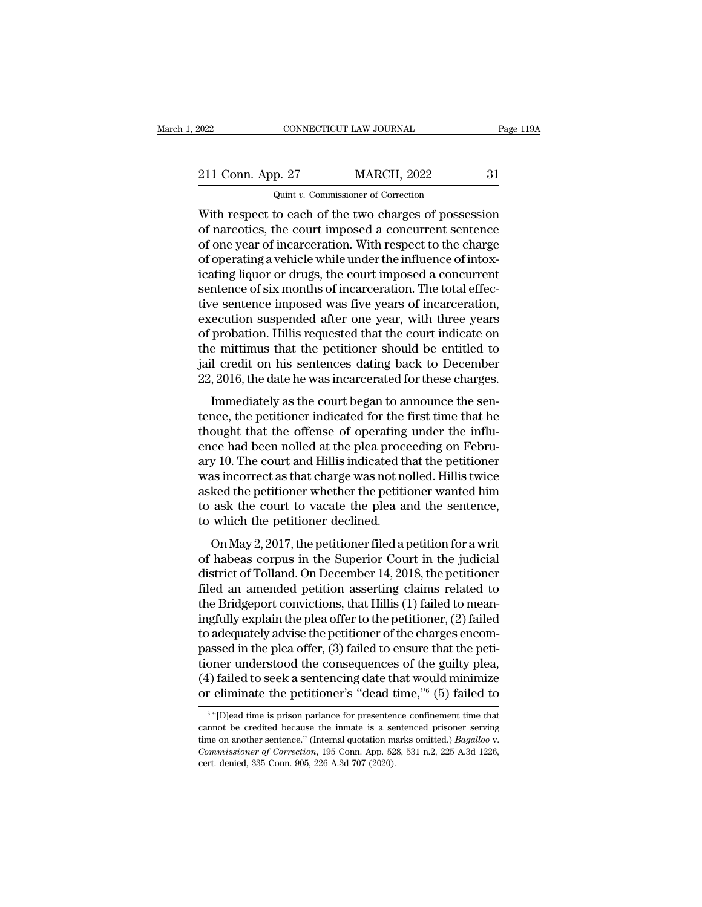2022 CONNECTICUT LAW JOURNAL Page 119A<br>211 Conn. App. 27 MARCH, 2022 31<br>Quint v. Commissioner of Correction CONNECTICUT LAW JOURNAL<br>
p. 27 MARCH, 2022<br>
Quint *v.* Commissioner of Correction<br>
to each of the two charges of posse

CONNECTICUT LAW JOURNAL Page 119A<br>
211 Conn. App. 27 MARCH, 2022 31<br>
Quint v. Commissioner of Correction<br>
With respect to each of the two charges of possession<br>
of narcotics, the court imposed a concurrent sentence 211 Conn. App. 27 MARCH, 2022 31<br>
Quint v. Commissioner of Correction<br>
With respect to each of the two charges of possession<br>
of narcotics, the court imposed a concurrent sentence<br>
of one year of incarceration. With respec 211 Conn. App. 27 MARCH, 2022 31<br>  $\frac{211 \text{ Conn.} \text{ App. 27}}{2 \text{ unit } v. \text{ Commissioner of Correction}}$ <br>
With respect to each of the two charges of possession<br>
of narcotics, the court imposed a concurrent sentence<br>
of one year of incarceration. With 211 Conn. App. 27 MARCH, 2022 31<br>
Quint v. Commissioner of Correction<br>
With respect to each of the two charges of possession<br>
of narcotics, the court imposed a concurrent sentence<br>
of one year of incarceration. With respe With respect to each of the two charges of possession<br>With respect to each of the two charges of possession<br>of narcotics, the court imposed a concurrent sentence<br>of one year of incarceration. With respect to the charge<br>of  $Q$ unt  $v$ . Commissioner of Correction<br>With respect to each of the two charges of possession<br>of narcotics, the court imposed a concurrent sentence<br>of one year of incarceration. With respect to the charge<br>of operating a ve With respect to each of the two charges of possession<br>of narcotics, the court imposed a concurrent sentence<br>of one year of incarceration. With respect to the charge<br>of operating a vehicle while under the influence of intox of narcotics, the court imposed a concurrent sentence<br>of one year of incarceration. With respect to the charge<br>of operating a vehicle while under the influence of intox-<br>icating liquor or drugs, the court imposed a concurr of one year of incarceration. With respect to the charge<br>of operating a vehicle while under the influence of intox-<br>icating liquor or drugs, the court imposed a concurrent<br>sentence of six months of incarceration. The total of operating a vehicle while under the influence of intox-<br>icating liquor or drugs, the court imposed a concurrent<br>sentence of six months of incarceration. The total effec-<br>tive sentence imposed was five years of incarcera icating liquor or drugs, the court imposed a concurrent<br>sentence of six months of incarceration. The total effec-<br>tive sentence imposed was five years of incarceration,<br>execution suspended after one year, with three years<br> sentence of six months of incarceration. The total effective sentence imposed was five years of incarceration, execution suspended after one year, with three years of probation. Hillis requested that the court indicate on E sentence imposed was five years of included<br>that the evary probation. Hillis requested that the court indicate on<br>e mittimus that the petitioner should be entitled to<br>l credit on his sentences dating back to December<br>, 2 Execution suspensed and the year, what are years<br>of probation. Hillis requested that the court indicate on<br>the mittimus that the petitioner should be entitled to<br>jail credit on his sentences dating back to December<br>22, 201

or probation. This requested that the court indicate on<br>the mittimus that the petitioner should be entitled to<br>jail credit on his sentences dating back to December<br>22, 2016, the date he was incarcerated for these charges.<br> ial credit on his sentences dating back to December<br>22, 2016, the date he was incarcerated for these charges.<br>Immediately as the court began to announce the sen-<br>tence, the petitioner indicated for the first time that he<br>t 22, 2016, the date he was incarcerated for these charges.<br>
Immediately as the court began to announce the sentence, the petitioner indicated for the first time that he<br>
thought that the offense of operating under the influ Immediately as the court began to announce the sent-<br>tence, the petitioner indicated for the first time that he<br>thought that the offense of operating under the influ-<br>ence had been nolled at the plea proceeding on Febru-<br>a Immediately as the court began to announce the sent-<br>tence, the petitioner indicated for the first time that he<br>thought that the offense of operating under the influ-<br>ence had been nolled at the plea proceeding on Febru-<br>a tence, the petitioner indicated for the first time that he thought that the offense of operating under the influ-<br>ence had been nolled at the plea proceeding on Febru-<br>ary 10. The court and Hillis indicated that the petiti thought that the offense of operating<br>ence had been nolled at the plea proce<br>ary 10. The court and Hillis indicated th<br>was incorrect as that charge was not no<br>asked the petitioner whether the petitic<br>to ask the court to va or May 2, 2017, the petitioner filed a petition for a write had a correct as that charge was not nolled. Hillis twice ked the petitioner whether the petitioner wanted him ask the court to vacate the plea and the sentence, ary ro. The coard and rims maleaded and the peritorier<br>was incorrect as that charge was not nolled. Hillis twice<br>asked the petitioner whether the petitioner wanted him<br>to ask the court to vacate the plea and the sentence,<br>

was incorrect as that charge was not noned. This twice<br>asked the petitioner whether the petitioner wanted him<br>to ask the court to vacate the plea and the sentence,<br>to which the petitioner declined.<br>On May 2, 2017, the peti for ask the court to vacate the plea and the sentence,<br>to which the petitioner declined.<br>On May 2, 2017, the petitioner filed a petition for a writ<br>of habeas corpus in the Superior Court in the judicial<br>district of Tollan to ask are coart to vacate are prea and are sentence,<br>to which the petitioner declined.<br>On May 2, 2017, the petitioner filed a petition for a writ<br>of habeas corpus in the Superior Court in the judicial<br>district of Tolland. or May 2, 2017, the petitioner filed a petition for a writ<br>of habeas corpus in the Superior Court in the judicial<br>district of Tolland. On December 14, 2018, the petitioner<br>filed an amended petition asserting claims relate On May 2, 2017, the petitioner filed a petition for a writ<br>of habeas corpus in the Superior Court in the judicial<br>district of Tolland. On December 14, 2018, the petitioner<br>filed an amended petition asserting claims related of habeas corpus in the Superior Court in the judicial<br>district of Tolland. On December 14, 2018, the petitioner<br>filed an amended petition asserting claims related to<br>the Bridgeport convictions, that Hillis (1) failed to m district of Tolland. On December 14, 2018, the petitioner<br>filed an amended petition asserting claims related to<br>the Bridgeport convictions, that Hillis (1) failed to mean-<br>ingfully explain the plea offer to the petitioner, filed an amended petition asserting claims related to<br>the Bridgeport convictions, that Hillis (1) failed to mean-<br>ingfully explain the plea offer to the petitioner, (2) failed<br>to adequately advise the petitioner of the cha the Bridgeport convictions, that Hillis (1) failed to mean-<br>ingfully explain the plea offer to the petitioner, (2) failed<br>to adequately advise the petitioner of the charges encom-<br>passed in the plea offer, (3) failed to e ssed in the plea offer, (3) failed to ensure that the peti-<br>
ner understood the consequences of the guilty plea,<br>
) failed to seek a sentencing date that would minimize<br>
eliminate the petitioner's "dead time," (5) failed tioner understood the consequences of the guilty plea,<br>
(4) failed to seek a sentencing date that would minimize<br>
or eliminate the petitioner's "dead time,"<sup>6</sup> (5) failed to<br>
<sup>6</sup> "[D]ead time is prison parlance for presen

 $6$  "mlo (4) failed to seek a sentencing date that would minimize or eliminate the petitioner's "dead time,"<sup>6</sup> (5) failed to  $\frac{1}{\sqrt{2}}$  (Internal guotation marks confinement time that cannot be credited because the inmate is a The <sup>6</sup> "[D]ead time is prison parlance for presenten cannot be credited because the inmate is a setime on another sentence." (Internal quotation m. *Commissioner of Correction*, 195 Conn. App. 52 cert. denied, 335 Conn.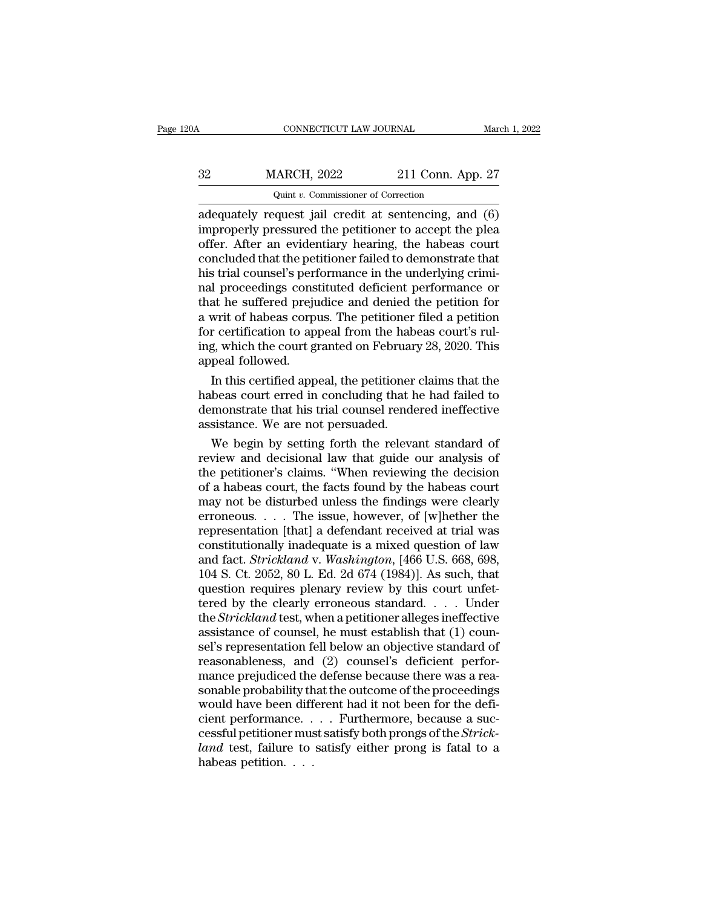| 0Α | CONNECTICUT LAW JOURNAL                              |                   | March 1, 2022 |
|----|------------------------------------------------------|-------------------|---------------|
| 32 | <b>MARCH, 2022</b>                                   | 211 Conn. App. 27 |               |
|    | Quint v. Commissioner of Correction                  |                   |               |
|    | adequately request jail credit at sentencing and (6) |                   |               |

CONNECTICUT LAW JOURNAL March 1, 2022<br> **ADECITE AT ALCONAL MARCH, 2022** 211 Conn. App. 27<br>
Quint v. Commissioner of Correction<br>
adequately request jail credit at sentencing, and (6)<br>
improperly pressured the petitioner to MARCH, 2022 211 Conn. App. 27<br>
Quint v. Commissioner of Correction<br>
adequately request jail credit at sentencing, and (6)<br>
improperly pressured the petitioner to accept the plea<br>
offer. After an evidentiary hearing, the ha  $\frac{32}{\text{WARCH}}$ , 2022 211 Conn. App. 27<br>  $\frac{1}{\text{Quint } v}$ . Commissioner of Correction<br>
adequately request jail credit at sentencing, and (6)<br>
improperly pressured the petitioner to accept the plea<br>
offer. After an evidentia  $\frac{32}{4}$  MARCH, 2022 211 Conn. App. 27<br>  $\frac{1}{4}$  Quint v. Commissioner of Correction<br>
adequately request jail credit at sentencing, and (6)<br>
improperly pressured the petitioner to accept the plea<br>
offer. After an evide  $Q$  and  $v$ . Commissioner of Correction<br>adequately request jail credit at sentencing, and (6)<br>improperly pressured the petitioner to accept the plea<br>offer. After an evidentiary hearing, the habeas court<br>concluded that the Quint v. Commissioner of Correction<br>
adequately request jail credit at sentencing, and  $(6)$ <br>
improperly pressured the petitioner to accept the plea<br>
offer. After an evidentiary hearing, the habeas court<br>
concluded that t adequately request jail credit at sentencing, and (6)<br>improperly pressured the petitioner to accept the plea<br>offer. After an evidentiary hearing, the habeas court<br>concluded that the petitioner failed to demonstrate that<br>hi improperly pressured the petitioner to accept the plea<br>offer. After an evidentiary hearing, the habeas court<br>concluded that the petitioner failed to demonstrate that<br>his trial counsel's performance in the underlying crimioffer. After an evidentiary hearing, the habeas court concluded that the petitioner failed to demonstrate that his trial counsel's performance in the underlying criminal proceedings constituted deficient performance or tha concluded that the petitioner failed to demonstrate that<br>his trial counsel's performance in the underlying crimi-<br>nal proceedings constituted deficient performance or<br>that he suffered prejudice and denied the petition for<br> his trial counsel's perf<br>nal proceedings cons<br>that he suffered preju<br>a writ of habeas corp<br>for certification to ap<br>ing, which the court g<br>appeal followed.<br>In this certified app I proceedings constituted deficient performance or<br>at he suffered prejudice and denied the petition for<br>writ of habeas corpus. The petitioner filed a petition<br>r certification to appeal from the habeas court's rul-<br>g, which that he suffered prejudice and denied the petition for<br>a writ of habeas corpus. The petitioner filed a petition<br>for certification to appeal from the habeas court's rul-<br>ing, which the court granted on February 28, 2020. Th

a writ of habeas corpus. The petitioner filed a petition<br>for certification to appeal from the habeas court's rul-<br>ing, which the court granted on February 28, 2020. This<br>appeal followed.<br>In this certified appeal, the petit for certification to appeal from the habing, which the court granted on Februar<br>appeal followed.<br>In this certified appeal, the petitioner<br>habeas court erred in concluding that h<br>demonstrate that his trial counsel rende<br>ass gin this certified appeal, the petitioner claims that the<br>peal followed.<br>In this certified appeal, the petitioner claims that the<br>beas court erred in concluding that he had failed to<br>monstrate that his trial counsel render In this certified appeal, the petitioner claims that the<br>habeas court erred in concluding that he had failed to<br>demonstrate that his trial counsel rendered ineffective<br>assistance. We are not persuaded.<br>We begin by setting

In this certified appeal, the petitioner claims that the<br>habeas court erred in concluding that he had failed to<br>demonstrate that his trial counsel rendered ineffective<br>assistance. We are not persuaded.<br>We begin by setting habeas court erred in concluding that he had failed to<br>demonstrate that his trial counsel rendered ineffective<br>assistance. We are not persuaded.<br>We begin by setting forth the relevant standard of<br>review and decisional law demonstrate that his trial counsel rendered ineffective<br>assistance. We are not persuaded.<br>We begin by setting forth the relevant standard of<br>review and decisional law that guide our analysis of<br>the petitioner's claims. "Wh assistance. We are not persuaded.<br>We begin by setting forth the relevant standard of<br>review and decisional law that guide our analysis of<br>the petitioner's claims. "When reviewing the decision<br>of a habeas court, the facts f We begin by setting forth the relevant standard of<br>review and decisional law that guide our analysis of<br>the petitioner's claims. "When reviewing the decision<br>of a habeas court, the facts found by the habeas court<br>may not review and decisional law that guide our analysis of<br>the petitioner's claims. "When reviewing the decision<br>of a habeas court, the facts found by the habeas court<br>may not be disturbed unless the findings were clearly<br>erron the petitioner's claims. "When reviewing the decision<br>of a habeas court, the facts found by the habeas court<br>may not be disturbed unless the findings were clearly<br>erroneous. . . . The issue, however, of [w]hether the<br>repre of a habeas court, the facts found by the habeas court<br>may not be disturbed unless the findings were clearly<br>erroneous.... The issue, however, of [w]hether the<br>representation [that] a defendant received at trial was<br>consti may not be disturbed unless the findings were clearly<br>erroneous. . . . The issue, however, of [w]hether the<br>representation [that] a defendant received at trial was<br>constitutionally inadequate is a mixed question of law<br>an erroneous. . . . The issue, however, of [w]hether the<br>representation [that] a defendant received at trial was<br>constitutionally inadequate is a mixed question of law<br>and fact. Strickland v. Washington, [466 U.S. 668, 698,<br> representation [that] a defendant received at trial was<br>constitutionally inadequate is a mixed question of law<br>and fact. *Strickland* v. *Washington*, [466 U.S. 668, 698,<br>104 S. Ct. 2052, 80 L. Ed. 2d 674 (1984)]. As such, constitutionally inadequate is a mixed question of law<br>and fact. *Strickland* v. *Washington*, [466 U.S. 668, 698,<br>104 S. Ct. 2052, 80 L. Ed. 2d 674 (1984)]. As such, that<br>question requires plenary review by this court un and fact. *Strickland* v. *Washington*, [466 U.S. 668, 698, 104 S. Ct. 2052, 80 L. Ed. 2d 674 (1984)]. As such, that question requires plenary review by this court unfettered by the clearly erroneous standard. . . . Under 104 S. Ct. 2052, 80 L. Ed. 2d 674 (1984)]. As such, that<br>question requires plenary review by this court unfet-<br>tered by the clearly erroneous standard. . . . Under<br>the *Strickland* test, when a petitioner alleges ineffect question requires plenary review by this court unfet-<br>tered by the clearly erroneous standard. . . . Under<br>the *Strickland* test, when a petitioner alleges ineffective<br>assistance of counsel, he must establish that  $(1)$  c tered by the clearly erroneous standard. . . . Under<br>the *Strickland* test, when a petitioner alleges ineffective<br>assistance of counsel, he must establish that (1) coun-<br>sel's representation fell below an objective standar the *Strickland* test, when a petitioner alleges ineffective<br>assistance of counsel, he must establish that (1) coun-<br>sel's representation fell below an objective standard of<br>reasonableness, and (2) counsel's deficient perf assistance of counsel, he must establish that (1) counsel's representation fell below an objective standard of reasonableness, and (2) counsel's deficient performance prejudiced the defense because there was a reasonable sel's representation fell below an objective standard of<br>reasonableness, and (2) counsel's deficient perfor-<br>mance prejudiced the defense because there was a rea-<br>sonable probability that the outcome of the proceedings<br>wou reasonableness, and (2) counsel's deficient perfor-<br>mance prejudiced the defense because there was a rea-<br>sonable probability that the outcome of the proceedings<br>would have been different had it not been for the defi-<br>cien mance prejudiced the<br>sonable probability th<br>would have been diff<br>cient performance.<br>cessful petitioner mus<br>land test, failure to<br>habeas petition. . . .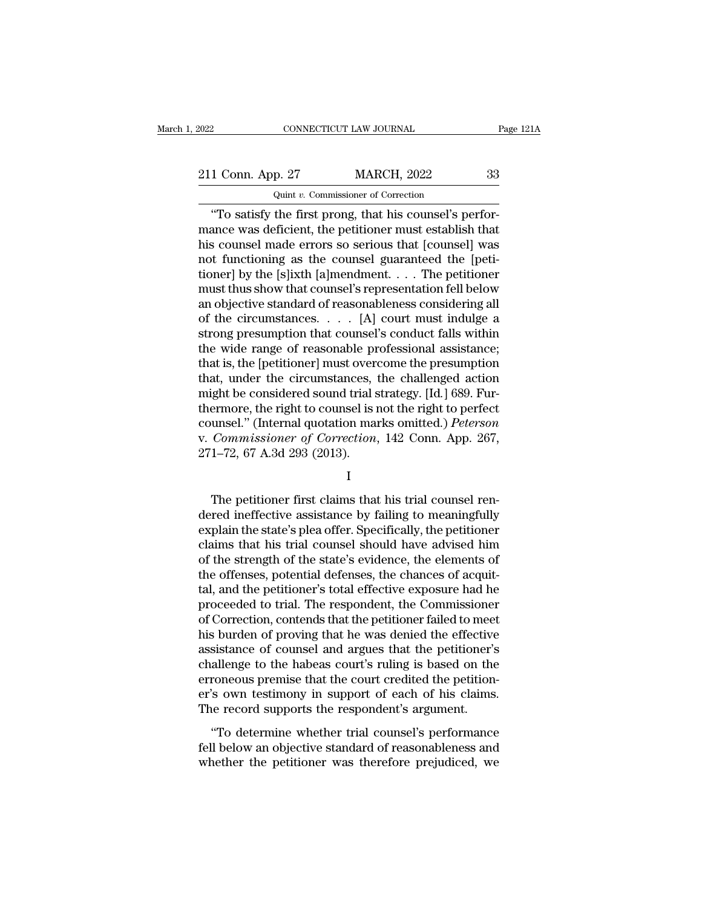2022 CONNECTICUT LAW JOURNAL Page 121A<br>211 Conn. App. 27 MARCH, 2022 33<br>Quint v. Commissioner of Correction CONNECTICUT LAW JOURNAL<br>
p. 27 MARCH, 2022<br>
Quint *v.* Commissioner of Correction<br>
the first props that his counsel's p

CONNECTICUT LAW JOURNAL<br>
1 Conn. App. 27 MARCH, 2022 33<br>
Quint v. Commissioner of Correction<br>
"To satisfy the first prong, that his counsel's perfor-<br>
ance was deficient, the petitioner must establish that 211 Conn. App. 27 MARCH, 2022 33<br>
Quint v. Commissioner of Correction<br>
"To satisfy the first prong, that his counsel's perfor-<br>
mance was deficient, the petitioner must establish that<br>
his counsel made errors so serious t 211 Conn. App. 27 MARCH, 2022 33<br>  $\frac{211 \text{ Conn. App. 27}}{\text{Unit } v. \text{ Commissioner of Correction}}$ <br>
"To satisfy the first prong, that his counsel's perfor-<br>
mance was deficient, the petitioner must establish that<br>
his counsel made errors so serious th 211 Conn. App. 27 MARCH, 2022 33<br>
Quint v. Commissioner of Correction<br>
"To satisfy the first prong, that his counsel's perfor-<br>
mance was deficient, the petitioner must establish that<br>
his counsel made errors so serious t Quint v. Commissioner of Correction<br>
"To satisfy the first prong, that his counsel's perfor-<br>
mance was deficient, the petitioner must establish that<br>
his counsel made errors so serious that [counsel] was<br>
not functioning Quant v. Commissioner of Correction<br>
"To satisfy the first prong, that his counsel's perfor-<br>
mance was deficient, the petitioner must establish that<br>
his counsel made errors so serious that [counsel] was<br>
not functioning "To satisfy the first prong, that his counsel's performance was deficient, the petitioner must establish that<br>his counsel made errors so serious that [counsel] was<br>not functioning as the counsel guaranteed the [peti-<br>tion mance was deficient, the petitioner must establish that<br>his counsel made errors so serious that [counsel] was<br>not functioning as the counsel guaranteed the [peti-<br>tioner] by the [s]ixth [a]mendment.... The petitioner<br>must his counsel made errors so serious that [counsel] was<br>not functioning as the counsel guaranteed the [peti-<br>tioner] by the [s]ixth [a]mendment. . . . The petitioner<br>must thus show that counsel's representation fell below<br>an not functioning as the counsel guaranteed the [petitioner] by the [s]ixth [a]mendment. . . . The petitioner must thus show that counsel's representation fell below an objective standard of reasonableness considering all o tioner] by the [s]ixth [a]mendment. . . . The petitioner<br>must thus show that counsel's representation fell below<br>an objective standard of reasonableness considering all<br>of the circumstances. . . . . [A] court must indulge must thus show that counsel's representation fell below<br>an objective standard of reasonableness considering all<br>of the circumstances.  $\dots$  [A] court must indulge a<br>strong presumption that counsel's conduct falls within<br>th an objective standard of reasonableness considering all<br>of the circumstances. . . . [A] court must indulge a<br>strong presumption that counsel's conduct falls within<br>the wide range of reasonable professional assistance;<br>that of the circumstances. . . . . [A] court must indulge a<br>strong presumption that counsel's conduct falls within<br>the wide range of reasonable professional assistance;<br>that is, the [petitioner] must overcome the presumption<br>t strong presumption that counsel's conduct falls within<br>the wide range of reasonable professional assistance;<br>that is, the [petitioner] must overcome the presumption<br>that, under the circumstances, the challenged action<br>migh the wide range of reasonable professional assistance;<br>that is, the [petitioner] must overcome the presumption<br>that, under the circumstances, the challenged action<br>might be considered sound trial strategy. [Id.] 689. Fur-<br>t that is, the [petitioner] must over<br>that, under the circumstances,<br>might be considered sound trial s<br>thermore, the right to counsel is i<br>counsel." (Internal quotation mai<br>v. Commissioner of Correction,<br>271–72, 67 A.3d 293 ermore, the right to counsel is not the right to perfect<br>unsel." (Internal quotation marks omitted.) *Peterson*<br>Commissioner of Correction, 142 Conn. App. 267,<br>1–72, 67 A.3d 293 (2013).<br>I<br>The petitioner first claims that h

### I

counsel." (Internal quotation marks omitted.) *Peterson*<br>v. Commissioner of Correction, 142 Conn. App. 267,<br>271–72, 67 A.3d 293 (2013).<br>I<br>The petitioner first claims that his trial counsel ren-<br>dered ineffective assistance v. Commissioner of Correction, 142 Conn. App. 267,<br>271–72, 67 A.3d 293 (2013).<br>I<br>The petitioner first claims that his trial counsel ren-<br>dered ineffective assistance by failing to meaningfully<br>explain the state's plea offe 271–72, 67 A.3d 293 (2013).<br>
I<br>
The petitioner first claims that his trial counsel rendered ineffective assistance by failing to meaningfully<br>
explain the state's plea offer. Specifically, the petitioner<br>
claims that his I<br>
The petitioner first claims that his trial counsel ren-<br>
dered ineffective assistance by failing to meaningfully<br>
explain the state's plea offer. Specifically, the petitioner<br>
claims that his trial counsel should have a The petitioner first claims that his trial counsel rendered ineffective assistance by failing to meaningfully explain the state's plea offer. Specifically, the petitioner claims that his trial counsel should have advised h The petitioner first claims that his trial counsel rendered ineffective assistance by failing to meaningfully explain the state's plea offer. Specifically, the petitioner claims that his trial counsel should have advised h dered ineffective assistance by failing to meaningfully<br>explain the state's plea offer. Specifically, the petitioner<br>claims that his trial counsel should have advised him<br>of the strength of the state's evidence, the elemen explain the state's plea offer. Specifically, the petitioner<br>claims that his trial counsel should have advised him<br>of the strength of the state's evidence, the elements of<br>the offenses, potential defenses, the chances of a claims that his trial counsel should have advised him<br>of the strength of the state's evidence, the elements of<br>the offenses, potential defenses, the chances of acquit-<br>tal, and the petitioner's total effective exposure had of the strength of the state's evidence, the elements of<br>the offenses, potential defenses, the chances of acquit-<br>tal, and the petitioner's total effective exposure had he<br>proceeded to trial. The respondent, the Commission the offenses, potential defenses, the chances of acquit-<br>tal, and the petitioner's total effective exposure had he<br>proceeded to trial. The respondent, the Commissioner<br>of Correction, contends that the petitioner failed to tal, and the petitioner's total effective exposure had he proceeded to trial. The respondent, the Commissioner of Correction, contends that the petitioner failed to meet his burden of proving that he was denied the effecti proceeded to trial. The respondent, the Commissioner<br>of Correction, contends that the petitioner failed to meet<br>his burden of proving that he was denied the effective<br>assistance of counsel and argues that the petitioner's<br> of Correction, contends that the petitioner failed to mee<br>his burden of proving that he was denied the effective<br>assistance of counsel and argues that the petitioner's<br>challenge to the habeas court's ruling is based on the Sistance of counsel and argues that the petitioner's<br>sistance of counsel and argues that the petitioner's<br>allenge to the habeas court's ruling is based on the<br>roneous premise that the court credited the petition-<br>'s own te desistance of counser and argues and are perfactners challenge to the habeas court's ruling is based on the erroneous premise that the court credited the petitioner's own testimony in support of each of his claims.<br>The rec enancing is once that the courts ruling is stated on and<br>erroneous premise that the court credited the petition-<br>er's own testimony in support of each of his claims.<br>The record supports the respondent's argument.<br>"To deter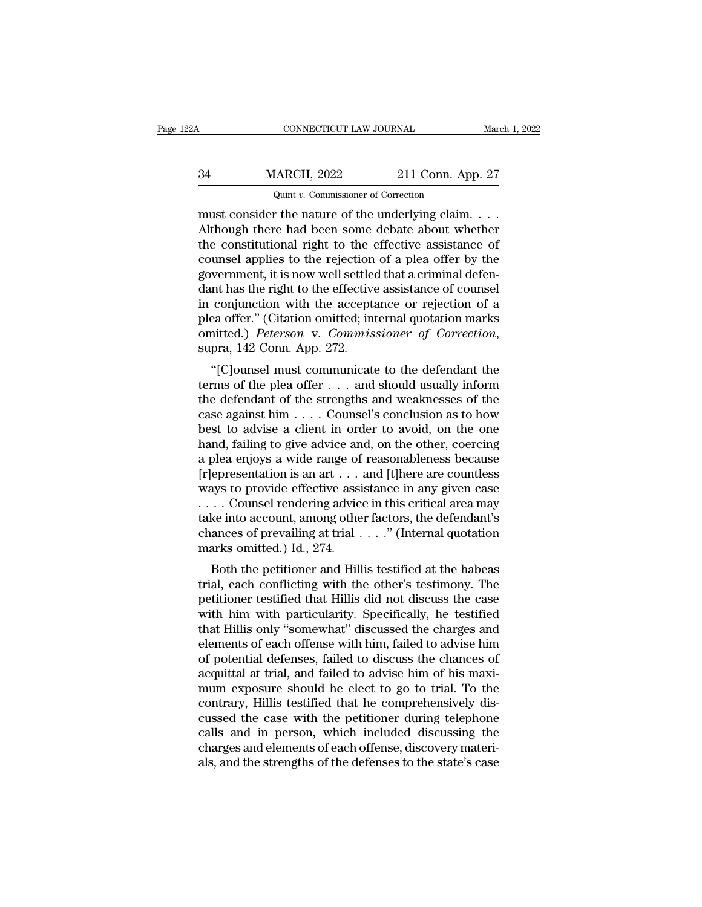## CONNECTICUT LAW JOURNAL March 1, 2022<br>34 MARCH, 2022 211 Conn. App. 27<br>Quint v. Commissioner of Correction CONNECTICUT LAW JOURNAL<br>IARCH, 2022 211 Conn. Ap<br>
Quint *v.* Commissioner of Correction<br>
r the nature of the underlying claim

CONNECTICUT LAW JOURNAL March 1, 2<br>
MARCH, 2022 211 Conn. App. 27<br>
Quint v. Commissioner of Correction<br>
must consider the nature of the underlying claim. . . .<br>
Although there had been some debate about whether<br>
the consti  $\frac{34}{211}$  MARCH, 2022 211 Conn. App. 27<br>
Quint v. Commissioner of Correction<br>
must consider the nature of the underlying claim....<br>
Although there had been some debate about whether<br>
the constitutional right to the eff MARCH, 2022 211 Conn. App. 27<br>
Quint v. Commissioner of Correction<br>
must consider the nature of the underlying claim....<br>
Although there had been some debate about whether<br>
the constitutional right to the effective assist 34 MARCH, 2022 211 Conn. App. 27<br>
Quint v. Commissioner of Correction<br>
must consider the nature of the underlying claim....<br>
Although there had been some debate about whether<br>
the constitutional right to the effective ass  $Q$ uint v. Commissioner of Correction<br>must consider the nature of the underlying claim....<br>Although there had been some debate about whether<br>the constitutional right to the effective assistance of<br>counsel applies to the r  $\frac{Q_{\text{unit}} v. \text{ Commissioner of Correction}}{\text{Mutt } v. \text{ Commissioner of the underlying claim.} \dots$ <br>Although there had been some debate about whether<br>the constitutional right to the effective assistance of<br>counsel applies to the rejection of a plea offer by the<br>government, i must consider the nature of the underlying claim.  $\dots$ <br>Although there had been some debate about whether<br>the constitutional right to the effective assistance of<br>counsel applies to the rejection of a plea offer by the<br>gove Although there had been some debate about whether<br>the constitutional right to the effective assistance of<br>counsel applies to the rejection of a plea offer by the<br>government, it is now well settled that a criminal defen-<br>d the constitutional right to the effective assistance of counsel applies to the rejection of a plea offer by the government, it is now well settled that a criminal defendant has the right to the effective assistance of coun vernment, it is now wen settled that a criminal deferment has the right to the effective assistance of counsel<br>
conjunction with the acceptance or rejection of a<br>
ea offer." (Citation omitted; internal quotation marks<br>
int dant has the right to the enective assistance of counser<br>in conjunction with the acceptance or rejection of a<br>plea offer." (Citation omitted; internal quotation marks<br>omitted.) *Peterson* v. *Commissioner of Correction*,<br>

In conjunction with the acceptance of rejection of a<br>plea offer." (Citation omitted; internal quotation marks<br>omitted.) *Peterson* v. *Commissioner of Correction*,<br>supra, 142 Conn. App. 272.<br>"[C]ounsel must communicate to plea oner. (Chanon omitted, internal quotation makes<br>omitted.) *Peterson v. Commissioner of Correction*,<br>supra, 142 Conn. App. 272.<br>"[C]ounsel must communicate to the defendant the<br>terms of the plea offer . . . and should binitied.) Teterson v. Commissioner of Correction,<br>supra, 142 Conn. App. 272.<br>"[C]ounsel must communicate to the defendant the<br>terms of the plea offer . . . and should usually inform<br>the defendant of the strengths and wea supra, 142 Conn. App. 272.<br>
"[C]ounsel must communicate to the defendant the<br>
terms of the plea offer . . . and should usually inform<br>
the defendant of the strengths and weaknesses of the<br>
case against him . . . . Counsel "[C]ounsel must communicate to the defendant the<br>terms of the plea offer . . . and should usually inform<br>the defendant of the strengths and weaknesses of the<br>case against him . . . . Counsel's conclusion as to how<br>best to terms of the plea offer . . . and should usually inform<br>the defendant of the strengths and weaknesses of the<br>case against him . . . . Counsel's conclusion as to how<br>best to advise a client in order to avoid, on the one<br>ha the defendant of the strengths and weaknesses of the<br>case against him . . . . Counsel's conclusion as to how<br>best to advise a client in order to avoid, on the one<br>hand, failing to give advice and, on the other, coercing<br>a case against him . . . . Counsel's conclusion as to how<br>best to advise a client in order to avoid, on the one<br>hand, failing to give advice and, on the other, coercing<br>a plea enjoys a wide range of reasonableness because<br>[ best to advise a client in order to avoid, on the one<br>hand, failing to give advice and, on the other, coercing<br>a plea enjoys a wide range of reasonableness because<br>[r]epresentation is an art . . . and [t]here are countles hand, failing to give advice and, on the other, coercing<br>a plea enjoys a wide range of reasonableness because<br>[r]epresentation is an art . . . and [t]here are countless<br>ways to provide effective assistance in any given ca a plea enjoys a wide range of<br>[r]epresentation is an art . . . ways to provide effective assi<br>. . . . Counsel rendering advictake into account, among othe<br>chances of prevailing at trial . marks omitted.) Id., 274.<br>Both th epresentation is an art  $\ldots$  and [t]here are countess<br>ays to provide effective assistance in any given case<br> $\ldots$  Counsel rendering advice in this critical area may<br>ke into account, among other factors, the defendant's<br>an ways to provide enective assistance in any given case<br>  $\dots$  Counsel rendering advice in this critical area may<br>
take into account, among other factors, the defendant's<br>
chances of prevailing at trial  $\dots$ ." (Internal quot

 $\ldots$  counser rendering advice in this critical area may<br>take into account, among other factors, the defendant's<br>chances of prevailing at trial  $\ldots$ ." (Internal quotation<br>marks omitted.) Id., 274.<br>Both the petitioner and chances of prevailing at trial  $\dots$ ." (Internal quotation<br>marks omitted.) Id., 274.<br>Both the petitioner and Hillis testified at the habeas<br>trial, each conflicting with the other's testimony. The<br>petitioner testified that that Hillis only at that  $\ldots$  (internal quotation<br>marks omitted.) Id., 274.<br>Both the petitioner and Hillis testified at the habeas<br>trial, each conflicting with the other's testimony. The<br>petitioner testified that Hillis marks omitted.) Id., 274.<br>
Both the petitioner and Hillis testified at the habeas<br>
trial, each conflicting with the other's testimony. The<br>
petitioner testified that Hillis did not discuss the case<br>
with him with particula Both the petitioner and Hillis testified at the habeas<br>trial, each conflicting with the other's testimony. The<br>petitioner testified that Hillis did not discuss the case<br>with him with particularity. Specifically, he testifi trial, each conflicting with the other's testimony. The petitioner testified that Hillis did not discuss the case<br>with him with particularity. Specifically, he testified<br>that Hillis only "somewhat" discussed the charges an petitioner testified that Hillis did not discuss the case<br>with him with particularity. Specifically, he testified<br>that Hillis only "somewhat" discussed the charges and<br>elements of each offense with him, failed to advise hi with him with particularity. Specifically, he testified<br>that Hillis only "somewhat" discussed the charges and<br>elements of each offense with him, failed to advise him<br>of potential defenses, failed to discuss the chances of<br> that Hillis only "somewhat" discussed the charges and<br>elements of each offense with him, failed to advise him<br>of potential defenses, failed to discuss the chances of<br>acquittal at trial, and failed to advise him of his maxi elements of each offense with him, failed to advise him<br>of potential defenses, failed to discuss the chances of<br>acquittal at trial, and failed to advise him of his maxi-<br>mum exposure should he elect to go to trial. To the<br> of potential defenses, failed to discuss the chances of acquittal at trial, and failed to advise him of his maximum exposure should he elect to go to trial. To the contrary, Hillis testified that he comprehensively discuss acquittal at trial, and failed to advise him of his maximum exposure should he elect to go to trial. To the contrary, Hillis testified that he comprehensively discussed the case with the petitioner during telephone calls a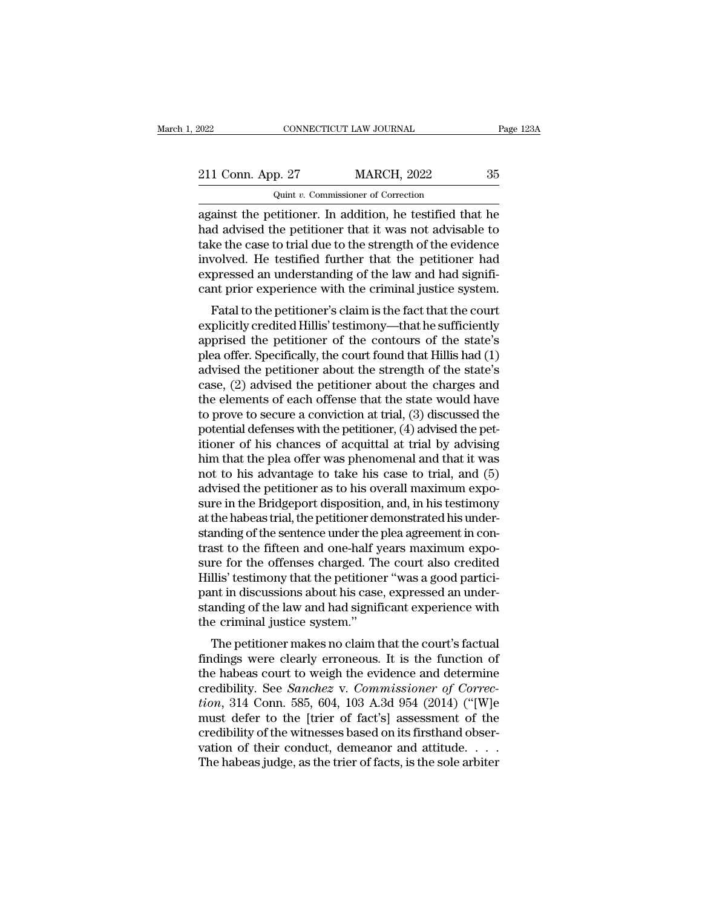| 2022                                                      | CONNECTICUT LAW JOURNAL             |                    |    | Page 123A |
|-----------------------------------------------------------|-------------------------------------|--------------------|----|-----------|
|                                                           |                                     |                    |    |           |
| 211 Conn. App. 27                                         |                                     | <b>MARCH, 2022</b> | 35 |           |
|                                                           | Quint v. Commissioner of Correction |                    |    |           |
| against the netitioner. In addition, he testified that he |                                     |                    |    |           |

Fage 123A<br>
211 Conn. App. 27 MARCH, 2022 35<br>
211 Conn. App. 27 MARCH, 2022 35<br>
2011 v. Commissioner of Correction<br>
2023 35<br>
2011 v. Commissioner of Correction<br>
2023 35<br>
2011 v. Commissioner of Correction<br>
2023 45<br>
2021 12: 211 Conn. App. 27 MARCH, 2022 35<br>
Quint v. Commissioner of Correction<br>
against the petitioner. In addition, he testified that he<br>
had advised the petitioner that it was not advisable to<br>
take the case to trial due to the 211 Conn. App. 27 MARCH, 2022 35<br>
Quint v. Commissioner of Correction<br>
against the petitioner. In addition, he testified that he<br>
had advised the petitioner that it was not advisable to<br>
take the case to trial due to the 211 Conn. App. 27 MARCH, 2022 35<br>
Quint v. Commissioner of Correction<br>
against the petitioner. In addition, he testified that he<br>
had advised the petitioner that it was not advisable to<br>
take the case to trial due to the  $Q$ uint *v*. Commissioner of Correction<br>against the petitioner. In addition, he testified that he<br>had advised the petitioner that it was not advisable to<br>take the case to trial due to the strength of the evidence<br>involved  $\frac{1}{2}$  and *v*. Commissioner of Correction<br>against the petitioner. In addition, he testified that he<br>had advised the petitioner that it was not advisable to<br>take the case to trial due to the strength of the evidence<br>in anst the petholer. In addition, he testined that he<br>d advised the petitioner that it was not advisable to<br>ke the case to trial due to the strength of the evidence<br>volved. He testified further that the petitioner had<br>presse rad advised the petrioner that it was not advisable to<br>take the case to trial due to the strength of the evidence<br>involved. He testified further that the petitioner had<br>expressed an understanding of the law and had signifi

rake the case to trial due to the strength of the evidence<br>involved. He testified further that the petitioner had<br>expressed an understanding of the law and had signifi-<br>cant prior experience with the criminal justice syste mvoived. The testined further that the pethtoner had<br>expressed an understanding of the law and had significant prior experience with the criminal justice system.<br>Fatal to the petitioner's claim is the fact that the court<br>e expressed an understanding or the raw and nad significant prior experience with the criminal justice system.<br>Fatal to the petitioner's claim is the fact that the court<br>explicitly credited Hillis' testimony—that he sufficie cant prior experience with the criminal justice system.<br>
Fatal to the petitioner's claim is the fact that the court<br>
explicitly credited Hillis' testimony—that he sufficiently<br>
apprised the petitioner of the contours of th Fatal to the petitioner's claim is the fact that the court<br>explicitly credited Hillis' testimony—that he sufficiently<br>apprised the petitioner of the contours of the state's<br>plea offer. Specifically, the court found that H explicitly credited Hillis' testimony—that he sufficiently<br>apprised the petitioner of the contours of the state's<br>plea offer. Specifically, the court found that Hillis had (1)<br>advised the petitioner about the strength of t apprised the petitioner of the contours of the state's<br>plea offer. Specifically, the court found that Hillis had (1)<br>advised the petitioner about the strength of the state's<br>case, (2) advised the petitioner about the charg plea offer. Specifically, the court found that Hillis had (1)<br>advised the petitioner about the strength of the state's<br>case, (2) advised the petitioner about the charges and<br>the elements of each offense that the state woul advised the petitioner about the strength of the state's<br>case, (2) advised the petitioner about the charges and<br>the elements of each offense that the state would have<br>to prove to secure a conviction at trial, (3) discussed case, (2) advised the petitioner about the charges and<br>the elements of each offense that the state would have<br>to prove to secure a conviction at trial, (3) discussed the<br>potential defenses with the petitioner, (4) advised the elements of each offense that the state would have<br>to prove to secure a conviction at trial, (3) discussed the<br>potential defenses with the petitioner, (4) advised the pet-<br>itioner of his chances of acquittal at trial b to prove to secure a conviction at trial, (3) discussed the potential defenses with the petitioner, (4) advised the petitioner of his chances of acquittal at trial by advising him that the plea offer was phenomenal and tha potential defenses with the petitioner, (4) advised the petitioner of his chances of acquittal at trial by advising<br>him that the plea offer was phenomenal and that it was<br>not to his advantage to take his case to trial, and itioner of his chances of acquittal at trial by advising<br>him that the plea offer was phenomenal and that it was<br>not to his advantage to take his case to trial, and (5)<br>advised the petitioner as to his overall maximum expohim that the plea offer was phenomenal and that it was<br>not to his advantage to take his case to trial, and (5)<br>advised the petitioner as to his overall maximum expo-<br>sure in the Bridgeport disposition, and, in his testimon not to his advantage to take his case to trial, and (5)<br>advised the petitioner as to his overall maximum expo-<br>sure in the Bridgeport disposition, and, in his testimony<br>at the habeas trial, the petitioner demonstrated his advised the petitioner as to his overall maximum exposure in the Bridgeport disposition, and, in his testimony<br>at the habeas trial, the petitioner demonstrated his under-<br>standing of the sentence under the plea agreement i sure in the Bridgeport disposition, and, in his testimony<br>at the habeas trial, the petitioner demonstrated his under-<br>standing of the sentence under the plea agreement in con-<br>trast to the fifteen and one-half years maximu at the habeas trial, the petitioner demonstrated his understanding of the sentence under the plea agreement in contrast to the fifteen and one-half years maximum exposure for the offenses charged. The court also credited H standing of the sentence under the prast to the fifteen and one-half y<br>sure for the offenses charged. Th<br>Hillis' testimony that the petitione<br>pant in discussions about his case<br>standing of the law and had signif<br>the crimin ist to the inteen and one-han years maximum exported this' testimony that the petitioner "was a good partici-<br>int in discussions about his case, expressed an under-<br>anding of the law and had significant experience with<br>e-c sure for the onenses charged. The court also credited<br>Hillis' testimony that the petitioner "was a good partici-<br>pant in discussions about his case, expressed an under-<br>standing of the law and had significant experience wi

Thins testimoly that the petitioner was a good participant in discussions about his case, expressed an understanding of the law and had significant experience with the criminal justice system."<br>The petitioner makes no cla pant in discussions about his case, expressed an under-<br>standing of the law and had significant experience with<br>the criminal justice system."<br>The petitioner makes no claim that the court's factual<br>findings were clearly err Examing of the law and had significant experience with<br>
the criminal justice system."<br>
The petitioner makes no claim that the court's factual<br>
findings were clearly erroneous. It is the function of<br>
the habeas court to wei The petitioner makes no claim that the court's factual<br>findings were clearly erroneous. It is the function of<br>the habeas court to weigh the evidence and determine<br>credibility. See *Sanchez* v. *Commissioner of Correc-<br>tion* The petitioner makes no claim that the court's factual<br>findings were clearly erroneous. It is the function of<br>the habeas court to weigh the evidence and determine<br>credibility. See *Sanchez* v. *Commissioner of Correc-<br>tio* findings were clearly erroneous. It is the function of<br>the habeas court to weigh the evidence and determine<br>credibility. See *Sanchez* v. *Commissioner of Correc-<br>tion*, 314 Conn. 585, 604, 103 A.3d 954 (2014) ("[W]e<br>must the habeas court to weigh the evidence and determine<br>credibility. See *Sanchez* v. *Commissioner of Correction*, 314 Conn. 585, 604, 103 A.3d 954 (2014) ("[W]e<br>must defer to the [trier of fact's] assessment of the<br>credibi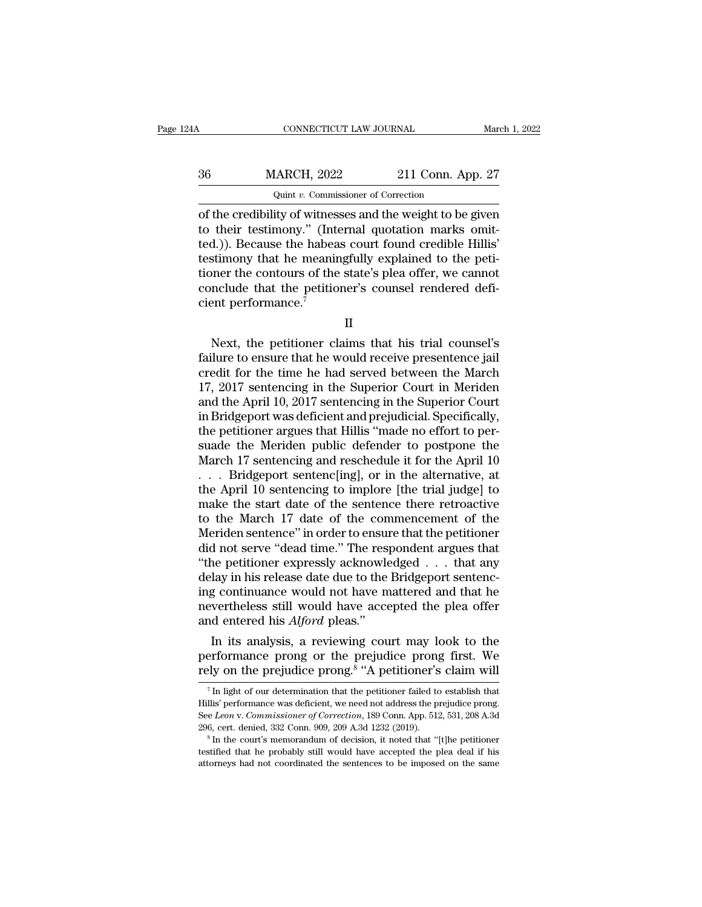| 24 A | CONNECTICUT LAW JOURNAL                                                                                            |                   | March 1, 2022 |
|------|--------------------------------------------------------------------------------------------------------------------|-------------------|---------------|
|      |                                                                                                                    |                   |               |
| 36   | <b>MARCH, 2022</b>                                                                                                 | 211 Conn. App. 27 |               |
|      | Quint v. Commissioner of Correction                                                                                |                   |               |
|      | of the credibility of witnesses and the weight to be given<br>to their testimony." (Internal quotation marks omit- |                   |               |

MARCH, 2022 211 Conn. App. 27<br>
Quint v. Commissioner of Correction<br>
of the credibility of witnesses and the weight to be given<br>
to their testimony." (Internal quotation marks omit-<br>
ted.)). Because the habeas court found c  $\frac{36}{200}$  MARCH, 2022 211 Conn. App. 27<br>  $\frac{36}{200}$   $\frac{1}{2}$   $\frac{1}{2}$   $\frac{1}{2}$   $\frac{1}{2}$   $\frac{1}{2}$   $\frac{1}{2}$   $\frac{1}{2}$   $\frac{1}{2}$   $\frac{1}{2}$  of the credibility of witnesses and the weight to be given<br>
to their testi 36 MARCH, 2022 211 Conn. App. 27<br>
Quint v. Commissioner of Correction<br>
of the credibility of witnesses and the weight to be given<br>
to their testimony." (Internal quotation marks omit-<br>
ted.)). Because the habeas court fou Quint v. Commissioner of Correction<br>
of the credibility of witnesses and the weight to be given<br>
to their testimony." (Internal quotation marks omit-<br>
ted.)). Because the habeas court found credible Hillis'<br>
testimony tha Quint v. Commissioner of Correction<br>of the credibility of witnesses and the weight to be given<br>to their testimony." (Internal quotation marks omit-<br>ted.)). Because the habeas court found credible Hillis'<br>testimony that he of the credibility of witness<br>to their testimony." (Inte<br>ted.)). Because the habear<br>testimony that he meanin<br>tioner the contours of the<br>conclude that the petition<br>cient performance." Mexicant Financial meaningfully explained to the peti-<br>stimony that he meaningfully explained to the peti-<br>near the contours of the state's plea offer, we cannot<br>nclude that the petitioner's counsel rendered defi-<br>ent perf

Failure the contours of the state's plea offer, we cannot<br>conclude that the petitioner's counsel rendered defi-<br>cient performance.<sup>7</sup><br> $II$ <br>Next, the petitioner claims that his trial counsel's<br>failure to ensure that he woul conclude that the petitioner's counsel rendered defi-<br>cient performance.<sup>7</sup><br>II<br>Next, the petitioner claims that his trial counsel's<br>failure to ensure that he would receive presentence jail<br>credit for the time he had served 17, 2017 sentencing in the Superior Court in Bridgeport<br>
2017 sentence is all the Superior Court in Meriden<br>
17, 2017 sentencing in the Superior Court in Meriden<br>
17, 2017 sentencing in the Superior Court in Meriden<br>
18 Su II<br>
Next, the petitioner claims that his trial counsel's<br>
failure to ensure that he would receive presentence jail<br>
credit for the time he had served between the March<br>
17, 2017 sentencing in the Superior Court in Meriden<br> II<br>
Next, the petitioner claims that his trial counsel's<br>
failure to ensure that he would receive presentence jail<br>
credit for the time he had served between the March<br>
17, 2017 sentencing in the Superior Court in Meriden<br> Next, the petitioner claims that his trial counsel's<br>failure to ensure that he would receive presentence jail<br>credit for the time he had served between the March<br>17, 2017 sentencing in the Superior Court in Meriden<br>and the failure to ensure that he would receive presentence jail<br>credit for the time he had served between the March<br>17, 2017 sentencing in the Superior Court in Meriden<br>and the April 10, 2017 sentencing in the Superior Court<br>in B credit for the time he had served between the March 17, 2017 sentencing in the Superior Court in Meriden<br>and the April 10, 2017 sentencing in the Superior Court<br>in Bridgeport was deficient and prejudicial. Specifically,<br>th 17, 2017 sentencing in the Superior Court in Meriden<br>and the April 10, 2017 sentencing in the Superior Court<br>in Bridgeport was deficient and prejudicial. Specifically,<br>the petitioner argues that Hillis "made no effort to and the April 10, 2017 sentencing in the Superior Court<br>in Bridgeport was deficient and prejudicial. Specifically,<br>the petitioner argues that Hillis "made no effort to per-<br>suade the Meriden public defender to postpone the in Bridgeport was deficient and prejudicial. Specifically,<br>the petitioner argues that Hillis "made no effort to per-<br>suade the Meriden public defender to postpone the<br>March 17 sentencing and reschedule it for the April 10<br> the petitioner argues that Hillis "made no effort to per-<br>suade the Meriden public defender to postpone the<br>March 17 sentencing and reschedule it for the April 10<br>... Bridgeport sentenc[ing], or in the alternative, at<br>the suade the Meriden public defender to postpone the<br>March 17 sentencing and reschedule it for the April 10<br> $\ldots$  Bridgeport sentenc[ing], or in the alternative, at<br>the April 10 sentencing to implore [the trial judge] to<br>mak March 17 sentencing and reschedule it for the April 10<br>  $\ldots$  Bridgeport sentenc[ing], or in the alternative, at<br>
the April 10 sentencing to implore [the trial judge] to<br>
make the start date of the sentence there retroact . . . Bridgeport sentenc[ing], or in the alternative, at<br>the April 10 sentencing to implore [the trial judge] to<br>make the start date of the sentence there retroactive<br>to the March 17 date of the commencement of the<br>Meriden the April 10 sentencing to implore [the trial judge] to make the start date of the sentence there retroactive to the March 17 date of the commencement of the Meriden sentence" in order to ensure that the petitioner did not make the start date of the sentence there retroactive<br>to the March 17 date of the commencement of the<br>Meriden sentence" in order to ensure that the petitioner<br>did not serve "dead time." The respondent argues that<br>"the pet to the March 17 date of the commencement of the Meriden sentence" in order to ensure that the petitioner did not serve "dead time." The respondent argues that "the petitioner expressly acknowledged  $\dots$  that any delay in Meriden sentence" in order to ensure did not serve "dead time." The respective the petitioner expressly acknowled<br>the petitioner expressly acknowled delay in his release date due to the<br>ing continuance would not have mever In its analysis, a reviewing court may look to the principle of the network of the set of the Bridgeport sentence is continuance would not have mattered and that he vertheless still would have accepted the plea offer dent "the petitioner expressly acknowledged  $\ldots$  that any<br>delay in his release date due to the Bridgeport sentenc-<br>ing continuance would not have mattered and that he<br>nevertheless still would have accepted the plea offer<br>and delay in his release date due to the Bridgeport sentencing continuance would not have mattered and that he nevertheless still would have accepted the plea offer and entered his *Alford* pleas."<br>In its analysis, a reviewin

In its analysis, a reviewing court may look to the erformance prong or the prejudice prong first. We ely on the prejudice prong.<sup>8</sup> "A petitioner's claim will  $\frac{7}{1}$  In light of our determination that the petitioner fa In its analysis, a reviewing court may look to the performance prong or the prejudice prong first. We rely on the prejudice prong.<sup>8</sup> "A petitioner's claim will  $\frac{7}{1}$  In light of our determination that the petitioner

II

performance prong or the prejudice prong first. We<br>rely on the prejudice prong.<sup>8</sup> "A petitioner's claim will<br><sup>7</sup> In light of our determination that the petitioner failed to establish that<br>Hillis' performance was deficient **Profile of the prejudice prong A.** "A petitioner's claim will  $\tau$  in light of our determination that the petitioner failed to establish that Hillis' performance was deficient, we need not address the prejudice prong.<br>Se  $^7$ In light of our determination that the petitioner failed to establish that Hillis' performance was deficient, we need not address the prejudice prong. See *Leon v. Commissioner of Correction*, 189 Conn. App. 512, 531, Hillis' performance was deficient, we need not address the prejudice prong.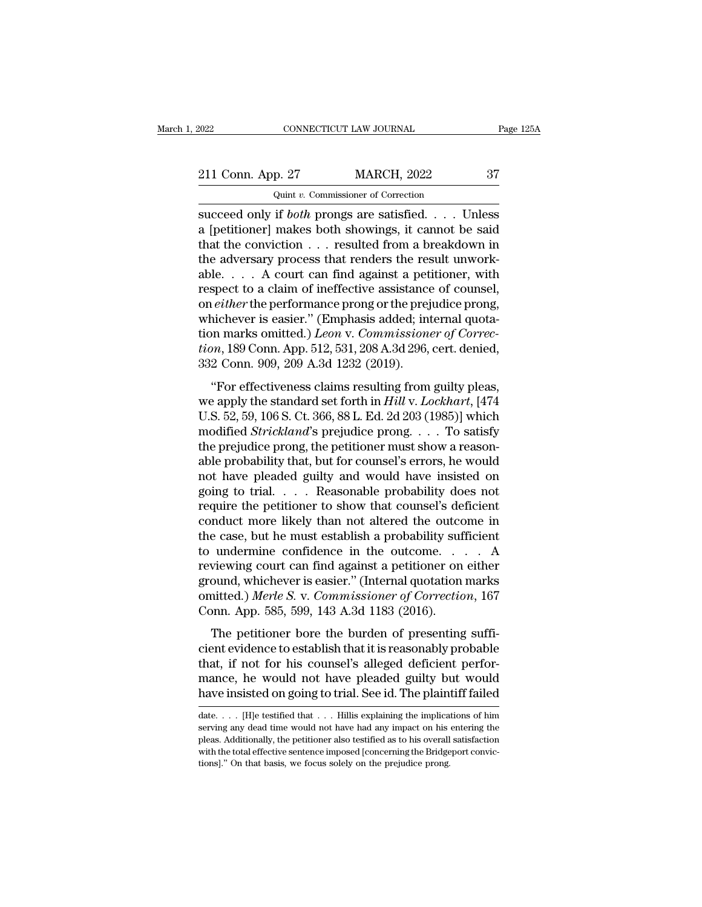| 2022                                             | CONNECTICUT LAW JOURNAL             | Page 125A |
|--------------------------------------------------|-------------------------------------|-----------|
| 211 Conn. App. 27                                | <b>MARCH, 2022</b>                  | 37        |
|                                                  | Quint v. Commissioner of Correction |           |
| succeed only if <i>hoth</i> prongs are satisfied |                                     | Linless.  |

Fage 125A<br>
Succeed only if *both* prongs are satisfied. . . . Unless<br>
a [petitioner] makes both showings, it cannot be said<br>
that the conviction 211 Conn. App. 27 MARCH, 2022 37<br>
Quint v. Commissioner of Correction<br>
succeed only if *both* prongs are satisfied. . . . Unless<br>
a [petitioner] makes both showings, it cannot be said<br>
that the conviction . . . resulted f 211 Conn. App. 27 MARCH, 2022 37<br>
Quint v. Commissioner of Correction<br>
succeed only if *both* prongs are satisfied. . . . Unless<br>
a [petitioner] makes both showings, it cannot be said<br>
that the conviction . . . resulted f 211 Conn. App. 27 MARCH, 2022 37<br>
Quint v. Commissioner of Correction<br>
succeed only if *both* prongs are satisfied. . . . Unless<br>
a [petitioner] makes both showings, it cannot be said<br>
that the conviction . . . resulted f Quint v. Commissioner of Correction<br>succeed only if *both* prongs are satisfied. . . . Unless<br>a [petitioner] makes both showings, it cannot be said<br>that the conviction . . . resulted from a breakdown in<br>the adversary proc Gunt v. Commissioner of Correction<br>succeed only if *both* prongs are satisfied. . . . Unless<br>a [petitioner] makes both showings, it cannot be said<br>that the conviction . . . resulted from a breakdown in<br>the adversary proce succeed only if *both* prongs are satisfied. . . . Unless<br>a [petitioner] makes both showings, it cannot be said<br>that the conviction . . . resulted from a breakdown in<br>the adversary process that renders the result unwork-<br> a [petitioner] makes both showings, it cannot be said<br>that the conviction  $\ldots$  resulted from a breakdown in<br>the adversary process that renders the result unwork-<br>able.  $\ldots$  A court can find against a petitioner, with<br>re that the conviction . . . resulted from a breakdown in<br>the adversary process that renders the result unwork-<br>able. . . . A court can find against a petitioner, with<br>respect to a claim of ineffective assistance of counsel,<br> the adversary process that renders the result unworkable. . . . A court can find against a petitioner, with respect to a claim of ineffective assistance of counsel, on *either* the performance prong or the prejudice prong, able. . . . A court can find against a pet<br>respect to a claim of ineffective assistance<br>on *either* the performance prong or the prej<br>whichever is easier." (Emphasis added; in<br>tion marks omitted.) *Leon* v. Commission<br>tion either the performance prong or the prejudice prong,<br>
inchever is easier." (Emphasis added; internal quota-<br>
in marks omitted.) *Leon v. Commissioner of Correc-*<br>
m, 189 Conn. App. 512, 531, 208 A.3d 296, cert. denied,<br>
2 whichever is easier." (Emphasis added; internal quotation marks omitted.) *Leon v. Commissioner of Correction*, 189 Conn. App. 512, 531, 208 A.3d 296, cert. denied, 332 Conn. 909, 209 A.3d 1232 (2019).<br>"For effectiveness c

where ver is easier. (Emphasis added, machina quotation marks omitted.) Leon v. Commissioner of Correction, 189 Conn. App. 512, 531, 208 A.3d 296, cert. denied, 332 Conn. 909, 209 A.3d 1232 (2019).<br>
"For effectiveness cla tion, 189 Conn. App. 512, 531, 208 A.3d 296, cert. denied,<br>332 Conn. 909, 209 A.3d 1232 (2019).<br>"For effectiveness claims resulting from guilty pleas,<br>we apply the standard set forth in *Hill* v. *Lockhart*, [474<br>U.S. 52, the prejudice prong, 200 m. 200 m. 200 m. 200, ech. denied,<br>332 Conn. 909, 209 A.3d 1232 (2019).<br>"For effectiveness claims resulting from guilty pleas,<br>we apply the standard set forth in  $Hill$  v. Lockhart, [474<br>U.S. 52, 59 "For effectiveness claims resulting from guilty pleas,<br>we apply the standard set forth in *Hill* v. *Lockhart*, [474<br>U.S. 52, 59, 106 S. Ct. 366, 88 L. Ed. 2d 203 (1985)] which<br>modified *Strickland*'s prejudice prong. . . "For effectiveness claims resulting from guilty pleas,<br>we apply the standard set forth in  $Hill$  v. Lockhart, [474<br>U.S. 52, 59, 106 S. Ct. 366, 88 L. Ed. 2d 203 (1985)] which<br>modified *Strickland*'s prejudice prong. . . . T we apply the standard set forth in *Hill* v. *Lockhart*, [474<br>U.S. 52, 59, 106 S. Ct. 366, 88 L. Ed. 2d 203 (1985)] which<br>modified *Strickland*'s prejudice prong. . . . To satisfy<br>the prejudice prong, the petitioner must U.S. 52, 59, 106 S. Ct. 366, 88 L. Ed. 2d 203 (1985)] which<br>modified *Strickland'*s prejudice prong. . . . To satisfy<br>the prejudice prong, the petitioner must show a reason-<br>able probability that, but for counsel's errors, modified *Strickland*'s prejudice prong. . . . To satisfy<br>the prejudice prong, the petitioner must show a reason-<br>able probability that, but for counsel's errors, he would<br>not have pleaded guilty and would have insisted o the prejudice prong, the petitioner must show a reasonable probability that, but for counsel's errors, he would<br>not have pleaded guilty and would have insisted on<br>going to trial. . . . Reasonable probability does not<br>requ able probability that, but for counsel's errors, he would<br>not have pleaded guilty and would have insisted on<br>going to trial. . . . Reasonable probability does not<br>require the petitioner to show that counsel's deficient<br>co not have pleaded guilty and would have insisted on<br>going to trial. . . . Reasonable probability does not<br>require the petitioner to show that counsel's deficient<br>conduct more likely than not altered the outcome in<br>the case going to trial. . . . Reasonable probability does not<br>require the petitioner to show that counsel's deficient<br>conduct more likely than not altered the outcome in<br>the case, but he must establish a probability sufficient<br>to require the petitioner to show that counsel's deficient<br>conduct more likely than not altered the outcome in<br>the case, but he must establish a probability sufficient<br>to undermine confidence in the outcome. . . . . A<br>reviewi conduct more likely than not altered the outcome the case, but he must establish a probability suf to undermine confidence in the outcome.<br>
reviewing court can find against a petitioner on ground, whichever is easier." (In undermine confidence in the outcome.... A<br>viewing court can find against a petitioner on either<br>ound, whichever is easier." (Internal quotation marks<br>nitted.) Merle S. v. Commissioner of Correction, 167<br>pnn. App. 585, 599 contribute to the contribute to the control of the providence of the providence of the provided.) Merle S. v. Commissioner of Correction, 167<br>Conn. App. 585, 599, 143 A.3d 1183 (2016).<br>The petitioner bore the burden of pr

reviewing court can find against a pentioner of entier<br>ground, whichever is easier." (Internal quotation marks<br>omitted.) Merle S. v. Commissioner of Correction, 167<br>Conn. App. 585, 599, 143 A.3d 1183 (2016).<br>The petitioner mance, the would not have pleaded guilty but would have insisted on going to the petitioner bore the burden of presenting sufficient evidence to establish that it is reasonably probable that, if not for his counsel's alleg Conn. App. 585, 599, 143 A.3d 1183 (2016).<br>The petitioner bore the burden of presenting sufficient evidence to establish that it is reasonably probable<br>that, if not for his counsel's alleged deficient perfor-<br>mance, he wo cient evidence to establish that it is reasonably probable<br>that, if not for his counsel's alleged deficient perfor-<br>mance, he would not have pleaded guilty but would<br>have insisted on going to trial. See id. The plaintiff f that, if not for his counsel's alleged deficient performance, he would not have pleaded guilty but would have insisted on going to trial. See id. The plaintiff failed date. . . . [H]e testified that . . . Hillis explainin

mance, he would not have pleaded guilty but would<br>have insisted on going to trial. See id. The plaintiff failed<br>date.... [H]e testified that ... Hillis explaining the implications of him<br>serving any dead time would not hav have insisted on going to trial. See id. The plaintiff failed<br>date.... [H]e testified that ... Hillis explaining the implications of him<br>serving any dead time would not have had any impact on his entering the<br>pleas. Addit date.  $\ldots$  [H]e testified that  $\ldots$  Hillis explaining the implications of him serving any dead time would not have had any impact on his entering the pleas. Additionally, the petitioner also testified as to his overall